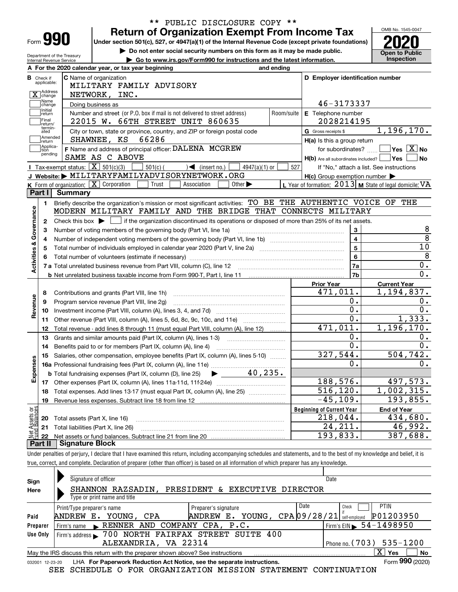| Form |  |  |
|------|--|--|

## **Return of Organization Exempt From Income Tax** \*\* PUBLIC DISCLOSURE COPY \*\*

**Under section 501(c), 527, or 4947(a)(1) of the Internal Revenue Code (except private foundations) 2020**

**| Do not enter social security numbers on this form as it may be made public.**

OMB No. 1545-0047

| ► Go to www.irs.gov/Form990 for instructions and the latest information.<br>Internal Revenue Service                                                                                                                           | $\triangleright$ Do not enter social security numbers on this form as it may be made public. | <b>Open to Public</b><br>Inspection                       |
|--------------------------------------------------------------------------------------------------------------------------------------------------------------------------------------------------------------------------------|----------------------------------------------------------------------------------------------|-----------------------------------------------------------|
| A For the 2020 calendar year, or tax year beginning<br>and ending                                                                                                                                                              |                                                                                              |                                                           |
| <b>C</b> Name of organization<br><b>B</b> Check if<br>applicable:                                                                                                                                                              |                                                                                              | D Employer identification number                          |
| MILITARY FAMILY ADVISORY                                                                                                                                                                                                       |                                                                                              |                                                           |
| X Address<br>NETWORK, INC.<br>Name                                                                                                                                                                                             |                                                                                              |                                                           |
| Doing business as<br>change<br>Initial                                                                                                                                                                                         | 46-3173337                                                                                   |                                                           |
| Number and street (or P.O. box if mail is not delivered to street address)<br>return                                                                                                                                           | Room/suite<br>E Telephone number                                                             |                                                           |
| Final<br>22015 W. 66TH STREET UNIT 860635<br>return/<br>termin-                                                                                                                                                                | 2028214195                                                                                   |                                                           |
| City or town, state or province, country, and ZIP or foreign postal code<br>ated<br>Amended                                                                                                                                    | G Gross receipts \$                                                                          | 1,196,170.                                                |
| SHAWNEE, KS<br>66286<br>return                                                                                                                                                                                                 | H(a) Is this a group return                                                                  |                                                           |
| Applica-<br>dtion<br>F Name and address of principal officer: DALENA MCGREW<br>pending                                                                                                                                         | for subordinates? $\ldots$                                                                   | $\overline{\ }$ Yes $\overline{\phantom{X}}$ No           |
| SAME AS C ABOVE                                                                                                                                                                                                                |                                                                                              | $H(b)$ Are all subordinates included? $\Box$ Yes<br>l No  |
| Tax-exempt status: $\boxed{\mathbf{X}}$ 501(c)(3)<br>$501(c)$ (<br>$\sqrt{\phantom{a}}$ (insert no.)<br>$4947(a)(1)$ or                                                                                                        | 527                                                                                          | If "No," attach a list. See instructions                  |
| J Website: MILITARYFAMILYADVISORYNETWORK.ORG                                                                                                                                                                                   | $H(c)$ Group exemption number $\blacktriangleright$                                          |                                                           |
| K Form of organization: $\boxed{\mathbf{X}}$ Corporation<br>Trust<br>Association<br>Other $\blacktriangleright$                                                                                                                |                                                                                              | L Year of formation: $2013$ M State of legal domicile: VA |
| Part I<br>Summary                                                                                                                                                                                                              |                                                                                              |                                                           |
| Briefly describe the organization's mission or most significant activities: TO BE THE AUTHENTIC VOICE OF THE<br>1.                                                                                                             |                                                                                              |                                                           |
| MODERN MILITARY FAMILY AND THE BRIDGE THAT CONNECTS MILITARY                                                                                                                                                                   |                                                                                              |                                                           |
| Check this box $\blacktriangleright$ $\Box$ if the organization discontinued its operations or disposed of more than 25% of its net assets.<br>2                                                                               |                                                                                              |                                                           |
| Number of voting members of the governing body (Part VI, line 1a)                                                                                                                                                              |                                                                                              | 3                                                         |
|                                                                                                                                                                                                                                |                                                                                              | $\overline{4}$                                            |
|                                                                                                                                                                                                                                |                                                                                              | 10<br>$\overline{5}$                                      |
| Total number of volunteers (estimate if necessary) manufacture content content content of volunteers (estimate if necessary) manufacture content content content of the content of the content of the content of the content o |                                                                                              | $6\phantom{a}$                                            |
|                                                                                                                                                                                                                                |                                                                                              | $\mathbf 0$ .<br>7a                                       |
|                                                                                                                                                                                                                                |                                                                                              | $\overline{0}$ .<br>7b                                    |
|                                                                                                                                                                                                                                | <b>Prior Year</b>                                                                            | <b>Current Year</b>                                       |
| Contributions and grants (Part VIII, line 1h)<br>8                                                                                                                                                                             | 471,011.                                                                                     | 1, 194, 837.                                              |
| Program service revenue (Part VIII, line 2g)<br>9                                                                                                                                                                              |                                                                                              |                                                           |
|                                                                                                                                                                                                                                |                                                                                              | 0.<br>$0$ .                                               |
|                                                                                                                                                                                                                                |                                                                                              | 0.<br>0.                                                  |
| 10                                                                                                                                                                                                                             |                                                                                              | $\overline{0}$ .                                          |
| Other revenue (Part VIII, column (A), lines 5, 6d, 8c, 9c, 10c, and 11e)<br>11                                                                                                                                                 |                                                                                              | 1,333.                                                    |
| Total revenue - add lines 8 through 11 (must equal Part VIII, column (A), line 12)<br>12                                                                                                                                       | 471,011.                                                                                     | 1, 196, 170.                                              |
| Grants and similar amounts paid (Part IX, column (A), lines 1-3)<br>13                                                                                                                                                         |                                                                                              | $\overline{0}$ .<br>0.                                    |
| Benefits paid to or for members (Part IX, column (A), line 4)<br>14                                                                                                                                                            |                                                                                              | $\overline{0}$ .<br>0.                                    |
| Salaries, other compensation, employee benefits (Part IX, column (A), lines 5-10)<br>15                                                                                                                                        | 327,544.                                                                                     | 504, 742.                                                 |
|                                                                                                                                                                                                                                |                                                                                              | 0.<br>0.                                                  |
| 40, 235.<br><b>b</b> Total fundraising expenses (Part IX, column (D), line 25)<br>$\blacktriangleright$ and $\blacktriangleright$                                                                                              |                                                                                              |                                                           |
| Revenue<br>Expenses<br>17 Other expenses (Part IX, column (A), lines 11a-11d, 11f-24e)                                                                                                                                         | 188,576.                                                                                     | 497,573.                                                  |
| 18 Total expenses. Add lines 13-17 (must equal Part IX, column (A), line 25) <i>manument</i> in                                                                                                                                | 516, 120.                                                                                    | 1,002,315.                                                |
| 19                                                                                                                                                                                                                             | $-45, 109.$                                                                                  | 193,855.                                                  |
|                                                                                                                                                                                                                                | <b>Beginning of Current Year</b>                                                             | <b>End of Year</b>                                        |
| Total assets (Part X, line 16)<br>20                                                                                                                                                                                           | 218,044.                                                                                     | 434,680.                                                  |
| Net Assets or<br>Fund Balances<br>Total liabilities (Part X, line 26)<br>21<br>22                                                                                                                                              | 24, 211.<br>193,833.                                                                         | 46,992.<br>387,688.                                       |

Under penalties of perjury, I declare that I have examined this return, including accompanying schedules and statements, and to the best of my knowledge and belief, it is true, correct, and complete. Declaration of preparer (other than officer) is based on all information of which preparer has any knowledge.

| Sign                                                                                                      | Signature of officer<br>Date                                                                                 |                                            |  |  |  |  |  |  |
|-----------------------------------------------------------------------------------------------------------|--------------------------------------------------------------------------------------------------------------|--------------------------------------------|--|--|--|--|--|--|
| Here                                                                                                      | RAZSADIN, PRESIDENT & EXECUTIVE DIRECTOR<br><b>SHANNON</b>                                                   |                                            |  |  |  |  |  |  |
|                                                                                                           | Type or print name and title                                                                                 |                                            |  |  |  |  |  |  |
|                                                                                                           | Date<br>Check<br>Print/Type preparer's name<br>Preparer's signature                                          | <b>PTIN</b>                                |  |  |  |  |  |  |
| Paid                                                                                                      | CPA09/28/21<br>Е.<br>YOUNG,<br>YOUNG, CPA<br>ANDREW E.<br>ANDREW                                             | P01203950<br>self-emploved                 |  |  |  |  |  |  |
| Preparer                                                                                                  | Firm's name RENNER AND COMPANY CPA, P.C.                                                                     | $1$ Firm's EIN $\triangleright$ 54-1498950 |  |  |  |  |  |  |
| Use Only                                                                                                  | Firm's address > 700 NORTH FAIRFAX STREET SUITE 400                                                          |                                            |  |  |  |  |  |  |
|                                                                                                           | ALEXANDRIA, VA 22314                                                                                         | Phone no. $(703)$ 535-1200                 |  |  |  |  |  |  |
| X.<br><b>No</b><br>Yes<br>May the IRS discuss this return with the preparer shown above? See instructions |                                                                                                              |                                            |  |  |  |  |  |  |
|                                                                                                           | Form 990 (2020)<br>LHA For Paperwork Reduction Act Notice, see the separate instructions.<br>032001 12-23-20 |                                            |  |  |  |  |  |  |

SEE SCHEDULE O FOR ORGANIZATION MISSION STATEMENT CONTINUATION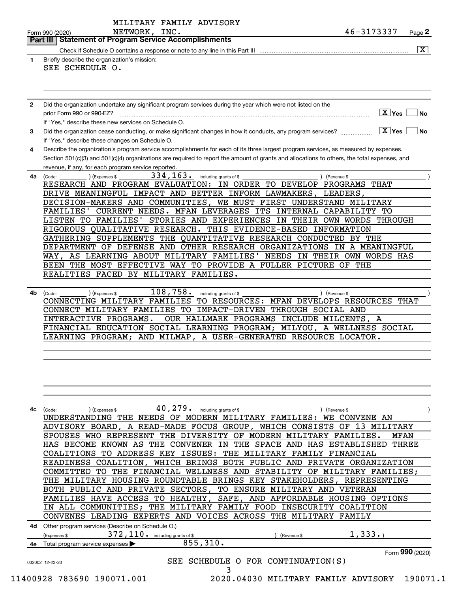|              | Part III   Statement of Program Service Accomplishments                                                                                      |
|--------------|----------------------------------------------------------------------------------------------------------------------------------------------|
|              | $\overline{\mathbf{X}}$                                                                                                                      |
| 1            | Briefly describe the organization's mission:                                                                                                 |
|              | SEE SCHEDULE O.                                                                                                                              |
|              |                                                                                                                                              |
|              |                                                                                                                                              |
|              |                                                                                                                                              |
| $\mathbf{2}$ | Did the organization undertake any significant program services during the year which were not listed on the                                 |
|              | $\boxed{\text{X}}$ Yes<br>prior Form 990 or 990-EZ?<br>No                                                                                    |
|              | If "Yes," describe these new services on Schedule O.                                                                                         |
| 3            | $ X $ Yes<br>Did the organization cease conducting, or make significant changes in how it conducts, any program services?<br>No              |
|              | If "Yes," describe these changes on Schedule O.                                                                                              |
| 4            | Describe the organization's program service accomplishments for each of its three largest program services, as measured by expenses.         |
|              | Section 501(c)(3) and 501(c)(4) organizations are required to report the amount of grants and allocations to others, the total expenses, and |
|              | revenue, if any, for each program service reported.                                                                                          |
| 4а           | 334, 163. including grants of \$<br>(Revenue \$<br>(Code:<br>) (Expenses \$                                                                  |
|              | RESEARCH AND PROGRAM EVALUATION: IN ORDER TO DEVELOP PROGRAMS THAT                                                                           |
|              | DRIVE MEANINGFUL IMPACT AND BETTER INFORM LAWMAKERS, LEADERS,                                                                                |
|              | DECISION-MAKERS AND COMMUNITIES, WE MUST FIRST UNDERSTAND MILITARY                                                                           |
|              | CURRENT NEEDS. MFAN LEVERAGES ITS INTERNAL CAPABILITY TO<br>FAMILIES'                                                                        |
|              | LISTEN TO FAMILIES' STORIES AND EXPERIENCES IN THEIR OWN WORDS THROUGH                                                                       |
|              | RIGOROUS QUALITATIVE RESEARCH. THIS EVIDENCE-BASED INFORMATION                                                                               |
|              | GATHERING SUPPLEMENTS THE QUANTITATIVE RESEARCH CONDUCTED BY THE                                                                             |
|              | DEPARTMENT OF DEFENSE AND OTHER RESEARCH ORGANIZATIONS IN A MEANINGFUL                                                                       |
|              | WAY, AS LEARNING ABOUT MILITARY FAMILIES'<br>NEEDS IN THEIR OWN WORDS HAS                                                                    |
|              | BEEN THE MOST EFFECTIVE WAY TO PROVIDE A FULLER PICTURE OF THE                                                                               |
|              | REALITIES FACED BY MILITARY FAMILIES.                                                                                                        |
|              |                                                                                                                                              |
| 4b           | $108,758$ . including grants of \$<br>(Expenses \$<br>) (Revenue \$<br>(Code:                                                                |
|              | CONNECTING MILITARY FAMILIES TO RESOURCES: MFAN DEVELOPS RESOURCES THAT                                                                      |
|              | CONNECT MILITARY FAMILIES TO IMPACT-DRIVEN THROUGH SOCIAL AND                                                                                |
|              | INTERACTIVE PROGRAMS.<br>OUR HALLMARK PROGRAMS INCLUDE MILCENTS, A                                                                           |
|              | FINANCIAL EDUCATION SOCIAL LEARNING PROGRAM; MILYOU, A WELLNESS SOCIAL                                                                       |
|              | LEARNING PROGRAM; AND MILMAP, A USER-GENERATED RESOURCE LOCATOR.                                                                             |
|              |                                                                                                                                              |
|              |                                                                                                                                              |
|              |                                                                                                                                              |
|              |                                                                                                                                              |
|              |                                                                                                                                              |
|              |                                                                                                                                              |
|              |                                                                                                                                              |
|              |                                                                                                                                              |
|              |                                                                                                                                              |
| 4c           | 40, 279. including grants of \$<br>(Code:<br>) (Expenses \$<br>) (Revenue \$                                                                 |
|              | UNDERSTANDING THE NEEDS OF MODERN MILITARY FAMILIES:<br>WE CONVENE AN                                                                        |
|              | ADVISORY BOARD, A READ-MADE FOCUS GROUP, WHICH CONSISTS<br>13 MILITARY<br>OF                                                                 |
|              | SPOUSES WHO REPRESENT THE DIVERSITY OF MODERN MILITARY FAMILIES.<br>MFAN                                                                     |
|              | IN THE SPACE AND HAS ESTABLISHED<br><b>THREE</b><br>HAS BECOME KNOWN AS<br>THE CONVENER                                                      |
|              | TO ADDRESS KEY ISSUES: THE MILITARY FAMILY FINANCIAL<br>COALITIONS                                                                           |
|              | WHICH BRINGS BOTH PUBLIC AND PRIVATE ORGANIZATION<br>READINESS COALITION,                                                                    |
|              | THE FINANCIAL WELLNESS AND STABILITY OF MILITARY FAMILIES;<br>COMMITTED<br>TO.                                                               |
|              | THE MILITARY HOUSING ROUNDTABLE BRINGS KEY STAKEHOLDERS,<br>REPRESENTING                                                                     |
|              | BOTH PUBLIC AND PRIVATE SECTORS,<br>TO ENSURE MILITARY AND VETERAN                                                                           |
|              | TO<br>FAMILIES HAVE ACCESS<br>HEALTHY,<br>SAFE, AND AFFORDABLE HOUSING OPTIONS                                                               |
|              | IN ALL COMMUNITIES;<br>THE MILITARY FAMILY FOOD INSECURITY COALITION                                                                         |
|              | CONVENES LEADING EXPERTS AND VOICES ACROSS THE MILITARY FAMILY                                                                               |
|              | 4d Other program services (Describe on Schedule O.)                                                                                          |
|              | 1,333.<br>(Expenses \$<br>(Revenue \$                                                                                                        |
|              | 372, 110. including grants of \$<br>855,310.<br>4e Total program service expenses                                                            |
|              | Form 990 (2020)                                                                                                                              |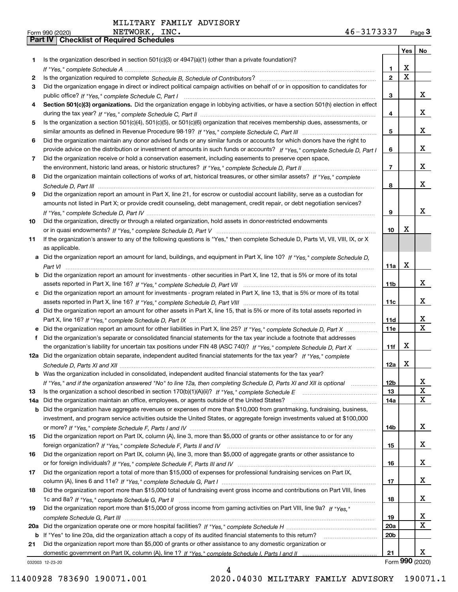| Form 990 (2020) |                                                  | NETWORK, | INC. | 46-3173337 | Page $3$ |
|-----------------|--------------------------------------------------|----------|------|------------|----------|
|                 | <b>Part IV   Checklist of Required Schedules</b> |          |      |            |          |

|     |                                                                                                                                       |                | Yes             | No                            |
|-----|---------------------------------------------------------------------------------------------------------------------------------------|----------------|-----------------|-------------------------------|
| 1.  | Is the organization described in section $501(c)(3)$ or $4947(a)(1)$ (other than a private foundation)?                               |                |                 |                               |
|     |                                                                                                                                       | 1              | X               |                               |
| 2   |                                                                                                                                       | $\overline{2}$ | X               |                               |
| 3   | Did the organization engage in direct or indirect political campaign activities on behalf of or in opposition to candidates for       |                |                 |                               |
|     |                                                                                                                                       | 3              |                 | X                             |
| 4   | Section 501(c)(3) organizations. Did the organization engage in lobbying activities, or have a section 501(h) election in effect      |                |                 |                               |
|     |                                                                                                                                       | 4              |                 | x                             |
| 5   | Is the organization a section 501(c)(4), 501(c)(5), or 501(c)(6) organization that receives membership dues, assessments, or          |                |                 |                               |
|     |                                                                                                                                       | 5              |                 | x                             |
| 6   | Did the organization maintain any donor advised funds or any similar funds or accounts for which donors have the right to             |                |                 |                               |
|     | provide advice on the distribution or investment of amounts in such funds or accounts? If "Yes," complete Schedule D, Part I          | 6              |                 | x                             |
| 7   | Did the organization receive or hold a conservation easement, including easements to preserve open space,                             |                |                 |                               |
|     |                                                                                                                                       | $\overline{7}$ |                 | x                             |
| 8   | Did the organization maintain collections of works of art, historical treasures, or other similar assets? If "Yes," complete          |                |                 |                               |
|     |                                                                                                                                       | 8              |                 | x                             |
| 9   | Did the organization report an amount in Part X, line 21, for escrow or custodial account liability, serve as a custodian for         |                |                 |                               |
|     | amounts not listed in Part X; or provide credit counseling, debt management, credit repair, or debt negotiation services?             |                |                 |                               |
|     |                                                                                                                                       | 9              |                 | x                             |
| 10  | Did the organization, directly or through a related organization, hold assets in donor-restricted endowments                          |                |                 |                               |
|     |                                                                                                                                       | 10             | X               |                               |
| 11  | If the organization's answer to any of the following questions is "Yes," then complete Schedule D, Parts VI, VIII, VIII, IX, or X     |                |                 |                               |
|     | as applicable.                                                                                                                        |                |                 |                               |
|     | a Did the organization report an amount for land, buildings, and equipment in Part X, line 10? If "Yes," complete Schedule D,         |                |                 |                               |
|     |                                                                                                                                       | 11a            | X               |                               |
|     | <b>b</b> Did the organization report an amount for investments - other securities in Part X, line 12, that is 5% or more of its total |                |                 |                               |
|     |                                                                                                                                       | 11b            |                 | x                             |
|     | c Did the organization report an amount for investments - program related in Part X, line 13, that is 5% or more of its total         |                |                 |                               |
|     |                                                                                                                                       | 11c            |                 | x                             |
|     | d Did the organization report an amount for other assets in Part X, line 15, that is 5% or more of its total assets reported in       |                |                 |                               |
|     |                                                                                                                                       | 11d            |                 | x                             |
|     |                                                                                                                                       | <b>11e</b>     |                 | $\overline{\mathbf{x}}$       |
|     | f Did the organization's separate or consolidated financial statements for the tax year include a footnote that addresses             |                |                 |                               |
|     | the organization's liability for uncertain tax positions under FIN 48 (ASC 740)? If "Yes," complete Schedule D, Part X                | 11f            | X               |                               |
|     | 12a Did the organization obtain separate, independent audited financial statements for the tax year? If "Yes," complete               |                |                 |                               |
|     |                                                                                                                                       | 12a            | X               |                               |
|     | <b>b</b> Was the organization included in consolidated, independent audited financial statements for the tax year?                    |                |                 |                               |
|     | If "Yes," and if the organization answered "No" to line 12a, then completing Schedule D, Parts XI and XII is optional                 | 12b            |                 | X.<br>$\overline{\textbf{X}}$ |
| 13  |                                                                                                                                       | 13             |                 | $\mathbf X$                   |
| 14a | Did the organization maintain an office, employees, or agents outside of the United States?                                           | 14a            |                 |                               |
| b   | Did the organization have aggregate revenues or expenses of more than \$10,000 from grantmaking, fundraising, business,               |                |                 |                               |
|     | investment, and program service activities outside the United States, or aggregate foreign investments valued at \$100,000            |                |                 | X                             |
|     |                                                                                                                                       | 14b            |                 |                               |
| 15  | Did the organization report on Part IX, column (A), line 3, more than \$5,000 of grants or other assistance to or for any             |                |                 | х                             |
|     | Did the organization report on Part IX, column (A), line 3, more than \$5,000 of aggregate grants or other assistance to              | 15             |                 |                               |
| 16  |                                                                                                                                       |                |                 | X                             |
|     |                                                                                                                                       | 16             |                 |                               |
| 17  | Did the organization report a total of more than \$15,000 of expenses for professional fundraising services on Part IX,               | 17             |                 | X                             |
| 18  | Did the organization report more than \$15,000 total of fundraising event gross income and contributions on Part VIII, lines          |                |                 |                               |
|     |                                                                                                                                       | 18             |                 | X                             |
| 19  | Did the organization report more than \$15,000 of gross income from gaming activities on Part VIII, line 9a? If "Yes."                |                |                 |                               |
|     |                                                                                                                                       | 19             |                 | x                             |
| 20a |                                                                                                                                       | 20a            |                 | $\mathbf X$                   |
| b   | If "Yes" to line 20a, did the organization attach a copy of its audited financial statements to this return?                          | 20b            |                 |                               |
| 21  | Did the organization report more than \$5,000 of grants or other assistance to any domestic organization or                           |                |                 |                               |
|     |                                                                                                                                       | 21             |                 | x                             |
|     | 032003 12-23-20                                                                                                                       |                | Form 990 (2020) |                               |

032003 12-23-20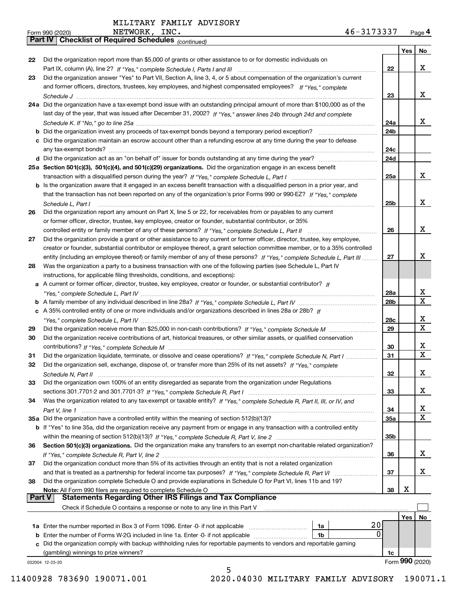|          | NETWORK, INC.<br>46-3173337<br>Form 990 (2020)                                                                                    |                 |     | Page 4          |
|----------|-----------------------------------------------------------------------------------------------------------------------------------|-----------------|-----|-----------------|
|          | <b>Part IV   Checklist of Required Schedules</b> (continued)                                                                      |                 |     |                 |
|          |                                                                                                                                   |                 | Yes | No              |
| 22       | Did the organization report more than \$5,000 of grants or other assistance to or for domestic individuals on                     |                 |     |                 |
|          |                                                                                                                                   | 22              |     | x               |
| 23       | Did the organization answer "Yes" to Part VII, Section A, line 3, 4, or 5 about compensation of the organization's current        |                 |     |                 |
|          | and former officers, directors, trustees, key employees, and highest compensated employees? If "Yes," complete                    |                 |     |                 |
|          |                                                                                                                                   | 23              |     | x               |
|          | 24a Did the organization have a tax-exempt bond issue with an outstanding principal amount of more than \$100,000 as of the       |                 |     |                 |
|          | last day of the year, that was issued after December 31, 2002? If "Yes," answer lines 24b through 24d and complete                |                 |     |                 |
|          |                                                                                                                                   | 24a             |     | x               |
|          | <b>b</b> Did the organization invest any proceeds of tax-exempt bonds beyond a temporary period exception?                        | 24b             |     |                 |
|          | c Did the organization maintain an escrow account other than a refunding escrow at any time during the year to defease            |                 |     |                 |
|          |                                                                                                                                   | 24c             |     |                 |
|          |                                                                                                                                   | 24d             |     |                 |
|          | 25a Section 501(c)(3), 501(c)(4), and 501(c)(29) organizations. Did the organization engage in an excess benefit                  |                 |     |                 |
|          |                                                                                                                                   | 25a             |     | x               |
|          | b Is the organization aware that it engaged in an excess benefit transaction with a disqualified person in a prior year, and      |                 |     |                 |
|          | that the transaction has not been reported on any of the organization's prior Forms 990 or 990-EZ? If "Yes," complete             |                 |     |                 |
|          | Schedule L, Part I                                                                                                                | 25 <sub>b</sub> |     | х               |
| 26       | Did the organization report any amount on Part X, line 5 or 22, for receivables from or payables to any current                   |                 |     |                 |
|          | or former officer, director, trustee, key employee, creator or founder, substantial contributor, or 35%                           |                 |     |                 |
|          |                                                                                                                                   | 26              |     | X               |
| 27       | Did the organization provide a grant or other assistance to any current or former officer, director, trustee, key employee,       |                 |     |                 |
|          | creator or founder, substantial contributor or employee thereof, a grant selection committee member, or to a 35% controlled       |                 |     |                 |
|          | entity (including an employee thereof) or family member of any of these persons? If "Yes," complete Schedule L, Part III          | 27              |     | х               |
| 28       | Was the organization a party to a business transaction with one of the following parties (see Schedule L, Part IV                 |                 |     |                 |
|          | instructions, for applicable filing thresholds, conditions, and exceptions):                                                      |                 |     |                 |
|          | a A current or former officer, director, trustee, key employee, creator or founder, or substantial contributor? If                |                 |     | X               |
|          |                                                                                                                                   | 28a<br>28b      |     | $\mathbf X$     |
|          | c A 35% controlled entity of one or more individuals and/or organizations described in lines 28a or 28b? If                       |                 |     |                 |
|          |                                                                                                                                   | 28c             |     | x               |
| 29       |                                                                                                                                   | 29              |     | $\mathbf X$     |
| 30       | Did the organization receive contributions of art, historical treasures, or other similar assets, or qualified conservation       |                 |     |                 |
|          |                                                                                                                                   | 30              |     | x               |
| 31       | Did the organization liquidate, terminate, or dissolve and cease operations? If "Yes," complete Schedule N, Part I                | 31              |     | $\mathbf X$     |
|          | Did the organization sell, exchange, dispose of, or transfer more than 25% of its net assets? If "Yes," complete                  |                 |     |                 |
|          |                                                                                                                                   | 32              |     | x               |
| 33       | Did the organization own 100% of an entity disregarded as separate from the organization under Regulations                        |                 |     |                 |
|          |                                                                                                                                   | 33              |     | x               |
| 34       | Was the organization related to any tax-exempt or taxable entity? If "Yes," complete Schedule R, Part II, III, or IV, and         |                 |     |                 |
|          |                                                                                                                                   | 34              |     | X               |
|          | 35a Did the organization have a controlled entity within the meaning of section 512(b)(13)?                                       | 35a             |     | $\mathbf X$     |
|          | b If "Yes" to line 35a, did the organization receive any payment from or engage in any transaction with a controlled entity       |                 |     |                 |
|          |                                                                                                                                   | 35b             |     |                 |
| 36       | Section 501(c)(3) organizations. Did the organization make any transfers to an exempt non-charitable related organization?        |                 |     |                 |
|          |                                                                                                                                   | 36              |     | x               |
| 37       | Did the organization conduct more than 5% of its activities through an entity that is not a related organization                  |                 |     |                 |
|          |                                                                                                                                   | 37              |     | x               |
| 38       | Did the organization complete Schedule O and provide explanations in Schedule O for Part VI, lines 11b and 19?                    |                 |     |                 |
| ∣ Part V | Note: All Form 990 filers are required to complete Schedule O<br><b>Statements Regarding Other IRS Filings and Tax Compliance</b> | 38              | x   |                 |
|          | Check if Schedule O contains a response or note to any line in this Part V                                                        |                 |     |                 |
|          |                                                                                                                                   |                 | Yes | No              |
|          | 20<br>1a                                                                                                                          |                 |     |                 |
| b        | 0<br>Enter the number of Forms W-2G included in line 1a. Enter -0- if not applicable<br>1b                                        |                 |     |                 |
|          | c Did the organization comply with backup withholding rules for reportable payments to vendors and reportable gaming              |                 |     |                 |
|          | (gambling) winnings to prize winners?                                                                                             | 1c              |     |                 |
|          | 032004 12-23-20                                                                                                                   |                 |     | Form 990 (2020) |
|          | 5                                                                                                                                 |                 |     |                 |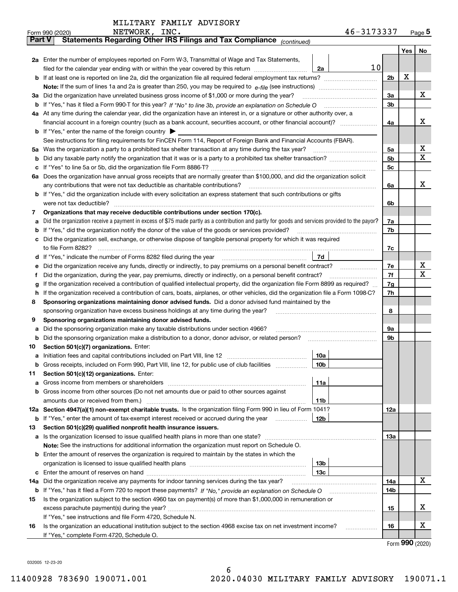|               | 46-3173337<br>NETWORK, INC.<br>Form 990 (2020)                                                                                                  |                |         | $Page$ <sup>5</sup> |  |  |  |
|---------------|-------------------------------------------------------------------------------------------------------------------------------------------------|----------------|---------|---------------------|--|--|--|
| <b>Part V</b> | Statements Regarding Other IRS Filings and Tax Compliance <sub>(continued)</sub>                                                                |                |         |                     |  |  |  |
|               |                                                                                                                                                 |                | Yes $ $ | No                  |  |  |  |
|               | 2a Enter the number of employees reported on Form W-3, Transmittal of Wage and Tax Statements,                                                  |                |         |                     |  |  |  |
|               | 10<br>filed for the calendar year ending with or within the year covered by this return <i>manumumumum</i><br>2a                                |                |         |                     |  |  |  |
|               |                                                                                                                                                 | 2 <sub>b</sub> | Х       |                     |  |  |  |
|               |                                                                                                                                                 |                |         |                     |  |  |  |
| За            | Did the organization have unrelated business gross income of \$1,000 or more during the year?                                                   | 3a             |         | х                   |  |  |  |
|               |                                                                                                                                                 | 3b             |         |                     |  |  |  |
|               | 4a At any time during the calendar year, did the organization have an interest in, or a signature or other authority over, a                    |                |         |                     |  |  |  |
|               | financial account in a foreign country (such as a bank account, securities account, or other financial account)?                                | 4a             |         | x                   |  |  |  |
|               | <b>b</b> If "Yes," enter the name of the foreign country $\blacktriangleright$                                                                  |                |         |                     |  |  |  |
|               | See instructions for filing requirements for FinCEN Form 114, Report of Foreign Bank and Financial Accounts (FBAR).                             |                |         |                     |  |  |  |
|               |                                                                                                                                                 | 5a             |         | х                   |  |  |  |
|               |                                                                                                                                                 | 5b             |         | х                   |  |  |  |
|               |                                                                                                                                                 | 5c             |         |                     |  |  |  |
|               | 6a Does the organization have annual gross receipts that are normally greater than \$100,000, and did the organization solicit                  |                |         |                     |  |  |  |
|               |                                                                                                                                                 | 6a             |         | х                   |  |  |  |
|               | <b>b</b> If "Yes," did the organization include with every solicitation an express statement that such contributions or gifts                   |                |         |                     |  |  |  |
|               |                                                                                                                                                 |                |         |                     |  |  |  |
|               |                                                                                                                                                 | 6b             |         |                     |  |  |  |
| 7             | Organizations that may receive deductible contributions under section 170(c).                                                                   |                |         |                     |  |  |  |
| а             | Did the organization receive a payment in excess of \$75 made partly as a contribution and partly for goods and services provided to the payor? | 7a             |         |                     |  |  |  |
|               | <b>b</b> If "Yes," did the organization notify the donor of the value of the goods or services provided?                                        | 7b             |         |                     |  |  |  |
|               | c Did the organization sell, exchange, or otherwise dispose of tangible personal property for which it was required                             |                |         |                     |  |  |  |
|               |                                                                                                                                                 | 7c             |         |                     |  |  |  |
|               | 7d                                                                                                                                              |                |         |                     |  |  |  |
| е             | Did the organization receive any funds, directly or indirectly, to pay premiums on a personal benefit contract?                                 | 7e             |         | x<br>X              |  |  |  |
| f             | Did the organization, during the year, pay premiums, directly or indirectly, on a personal benefit contract?                                    | 7f             |         |                     |  |  |  |
| g             | If the organization received a contribution of qualified intellectual property, did the organization file Form 8899 as required?                | 7g             |         |                     |  |  |  |
| h.            | If the organization received a contribution of cars, boats, airplanes, or other vehicles, did the organization file a Form 1098-C?              | 7h             |         |                     |  |  |  |
| 8             | Sponsoring organizations maintaining donor advised funds. Did a donor advised fund maintained by the                                            |                |         |                     |  |  |  |
|               | sponsoring organization have excess business holdings at any time during the year?                                                              | 8              |         |                     |  |  |  |
| 9             | Sponsoring organizations maintaining donor advised funds.                                                                                       |                |         |                     |  |  |  |
| а             | Did the sponsoring organization make any taxable distributions under section 4966?                                                              | 9а             |         |                     |  |  |  |
|               | <b>b</b> Did the sponsoring organization make a distribution to a donor, donor advisor, or related person?                                      | 9b             |         |                     |  |  |  |
| 10            | Section 501(c)(7) organizations. Enter:                                                                                                         |                |         |                     |  |  |  |
|               | 10a                                                                                                                                             |                |         |                     |  |  |  |
|               | 10 <sub>b</sub><br>Gross receipts, included on Form 990, Part VIII, line 12, for public use of club facilities                                  |                |         |                     |  |  |  |
| 11            | Section 501(c)(12) organizations. Enter:                                                                                                        |                |         |                     |  |  |  |
|               | 11a                                                                                                                                             |                |         |                     |  |  |  |
|               | b Gross income from other sources (Do not net amounts due or paid to other sources against                                                      |                |         |                     |  |  |  |
|               | 11b                                                                                                                                             |                |         |                     |  |  |  |
|               | 12a Section 4947(a)(1) non-exempt charitable trusts. Is the organization filing Form 990 in lieu of Form 1041?                                  | 12a            |         |                     |  |  |  |
|               | 12b<br><b>b</b> If "Yes," enter the amount of tax-exempt interest received or accrued during the year <i>manument</i>                           |                |         |                     |  |  |  |
| 13            | Section 501(c)(29) qualified nonprofit health insurance issuers.                                                                                |                |         |                     |  |  |  |
|               | a Is the organization licensed to issue qualified health plans in more than one state?                                                          | 13а            |         |                     |  |  |  |
|               | Note: See the instructions for additional information the organization must report on Schedule O.                                               |                |         |                     |  |  |  |
|               | <b>b</b> Enter the amount of reserves the organization is required to maintain by the states in which the                                       |                |         |                     |  |  |  |
|               | 13b                                                                                                                                             |                |         |                     |  |  |  |
|               | 13с                                                                                                                                             |                |         |                     |  |  |  |
| 14a           | Did the organization receive any payments for indoor tanning services during the tax year?                                                      | 14a            |         | х                   |  |  |  |
|               | <b>b</b> If "Yes," has it filed a Form 720 to report these payments? If "No," provide an explanation on Schedule O                              | 14b            |         |                     |  |  |  |
| 15            | Is the organization subject to the section 4960 tax on payment(s) of more than \$1,000,000 in remuneration or                                   |                |         |                     |  |  |  |
|               |                                                                                                                                                 | 15             |         | X                   |  |  |  |
|               | If "Yes," see instructions and file Form 4720, Schedule N.                                                                                      |                |         |                     |  |  |  |
| 16            | Is the organization an educational institution subject to the section 4968 excise tax on net investment income?                                 | 16             |         | X                   |  |  |  |
|               | If "Yes," complete Form 4720, Schedule O.                                                                                                       |                |         |                     |  |  |  |

Form (2020) **990**

032005 12-23-20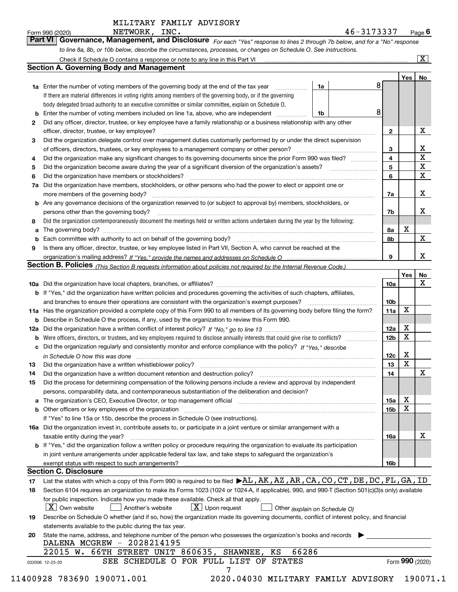|  | rm 990 (2020) |  |
|--|---------------|--|
|  |               |  |

*For each "Yes" response to lines 2 through 7b below, and for a "No" response to line 8a, 8b, or 10b below, describe the circumstances, processes, or changes on Schedule O. See instructions.* Form 990 (2020) **Page 6**<br>**Part VI** | Governance, Management, and Disclosure *For each* "Yes" response to lines 2 through 7b below, and for a "No" response

|    |                                                                                                                                                                            |    |   |                 | Yes             | No                      |
|----|----------------------------------------------------------------------------------------------------------------------------------------------------------------------------|----|---|-----------------|-----------------|-------------------------|
|    | <b>1a</b> Enter the number of voting members of the governing body at the end of the tax year <i>manumum</i>                                                               | 1a | 8 |                 |                 |                         |
|    | If there are material differences in voting rights among members of the governing body, or if the governing                                                                |    |   |                 |                 |                         |
|    | body delegated broad authority to an executive committee or similar committee, explain on Schedule O.                                                                      |    |   |                 |                 |                         |
|    |                                                                                                                                                                            | 1b | 8 |                 |                 |                         |
| 2  | Did any officer, director, trustee, or key employee have a family relationship or a business relationship with any other                                                   |    |   |                 |                 |                         |
|    | officer, director, trustee, or key employee?                                                                                                                               |    |   | $\mathbf{2}$    |                 | X                       |
| 3  | Did the organization delegate control over management duties customarily performed by or under the direct supervision                                                      |    |   |                 |                 |                         |
|    |                                                                                                                                                                            |    |   | 3               |                 | X                       |
| 4  | Did the organization make any significant changes to its governing documents since the prior Form 990 was filed?                                                           |    |   | 4               |                 | $\overline{\mathbf{x}}$ |
| 5  |                                                                                                                                                                            |    |   | 5               |                 | $\mathbf X$             |
| 6  | Did the organization have members or stockholders?                                                                                                                         |    |   | 6               |                 | $\mathbf X$             |
|    | 7a Did the organization have members, stockholders, or other persons who had the power to elect or appoint one or                                                          |    |   |                 |                 |                         |
|    |                                                                                                                                                                            |    |   | 7a              |                 | X                       |
|    | <b>b</b> Are any governance decisions of the organization reserved to (or subject to approval by) members, stockholders, or                                                |    |   |                 |                 |                         |
|    | persons other than the governing body?                                                                                                                                     |    |   | 7b              |                 | X                       |
| 8  | Did the organization contemporaneously document the meetings held or written actions undertaken during the vear by the following:                                          |    |   |                 |                 |                         |
| a  |                                                                                                                                                                            |    |   | 8a              | X               |                         |
|    |                                                                                                                                                                            |    |   | 8b              |                 | $\mathbf{X}$            |
| 9  | Is there any officer, director, trustee, or key employee listed in Part VII, Section A, who cannot be reached at the                                                       |    |   |                 |                 |                         |
|    |                                                                                                                                                                            |    |   | 9               |                 | X                       |
|    | Section B. Policies (This Section B requests information about policies not required by the Internal Revenue Code.)                                                        |    |   |                 |                 |                         |
|    |                                                                                                                                                                            |    |   |                 | Yes∣            | No                      |
|    |                                                                                                                                                                            |    |   | 10a             |                 | X                       |
|    | <b>b</b> If "Yes," did the organization have written policies and procedures governing the activities of such chapters, affiliates,                                        |    |   |                 |                 |                         |
|    |                                                                                                                                                                            |    |   | 10 <sub>b</sub> |                 |                         |
|    | 11a Has the organization provided a complete copy of this Form 990 to all members of its governing body before filing the form?                                            |    |   | 11a             | X               |                         |
|    | <b>b</b> Describe in Schedule O the process, if any, used by the organization to review this Form 990.                                                                     |    |   |                 |                 |                         |
|    |                                                                                                                                                                            |    |   | 12a             | X               |                         |
| b  |                                                                                                                                                                            |    |   | 12b             | X               |                         |
|    | c Did the organization regularly and consistently monitor and enforce compliance with the policy? If "Yes," describe                                                       |    |   |                 |                 |                         |
|    |                                                                                                                                                                            |    |   | 12c             | X               |                         |
|    | in Schedule O how this was done measured and contained a state of the state of the state of the state of the s                                                             |    |   | 13              | X               |                         |
| 13 | Did the organization have a written document retention and destruction policy? manufactured and the organization have a written document retention and destruction policy? |    |   | 14              |                 | $\mathbf X$             |
| 14 |                                                                                                                                                                            |    |   |                 |                 |                         |
| 15 | Did the process for determining compensation of the following persons include a review and approval by independent                                                         |    |   |                 |                 |                         |
|    | persons, comparability data, and contemporaneous substantiation of the deliberation and decision?                                                                          |    |   |                 | X               |                         |
|    |                                                                                                                                                                            |    |   | 15a             | $\mathbf X$     |                         |
|    | <b>b</b> Other officers or key employees of the organization                                                                                                               |    |   | 15b             |                 |                         |
|    | If "Yes" to line 15a or 15b, describe the process in Schedule O (see instructions).                                                                                        |    |   |                 |                 |                         |
|    | 16a Did the organization invest in, contribute assets to, or participate in a joint venture or similar arrangement with a                                                  |    |   |                 |                 |                         |
|    | taxable entity during the year?                                                                                                                                            |    |   | 16a             |                 | X                       |
|    | b If "Yes," did the organization follow a written policy or procedure requiring the organization to evaluate its participation                                             |    |   |                 |                 |                         |
|    | in joint venture arrangements under applicable federal tax law, and take steps to safeguard the organization's                                                             |    |   |                 |                 |                         |
|    | exempt status with respect to such arrangements?                                                                                                                           |    |   | 16b             |                 |                         |
|    | <b>Section C. Disclosure</b>                                                                                                                                               |    |   |                 |                 |                         |
| 17 | List the states with which a copy of this Form 990 is required to be filed $\blacktriangleright$ AL, AK, AZ, AR, CA, CO, CT, DE, DC, FL, GA, ID                            |    |   |                 |                 |                         |
| 18 | Section 6104 requires an organization to make its Forms 1023 (1024 or 1024-A, if applicable), 990, and 990-T (Section 501(c)(3)s only) available                           |    |   |                 |                 |                         |
|    | for public inspection. Indicate how you made these available. Check all that apply.                                                                                        |    |   |                 |                 |                         |
|    | $X$ Upon request<br>$ X $ Own website<br>Another's website<br>Other (explain on Schedule O)                                                                                |    |   |                 |                 |                         |
| 19 | Describe on Schedule O whether (and if so, how) the organization made its governing documents, conflict of interest policy, and financial                                  |    |   |                 |                 |                         |
|    | statements available to the public during the tax year.                                                                                                                    |    |   |                 |                 |                         |
| 20 | State the name, address, and telephone number of the person who possesses the organization's books and records                                                             |    |   |                 |                 |                         |
|    | DALENA MCGREW - 2028214195                                                                                                                                                 |    |   |                 |                 |                         |
|    | 66286<br>22015 W. 66TH STREET UNIT 860635, SHAWNEE,<br>ΚS                                                                                                                  |    |   |                 |                 |                         |
|    | SEE SCHEDULE O FOR FULL LIST OF STATES<br>032006 12-23-20                                                                                                                  |    |   |                 | Form 990 (2020) |                         |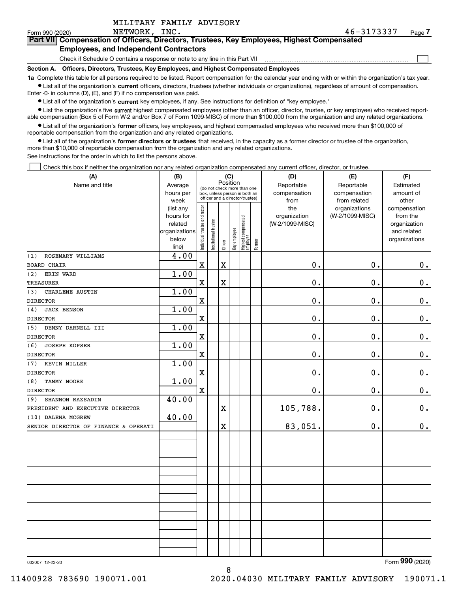| MILITARY FAMILY ADVISORY |  |  |
|--------------------------|--|--|
|                          |  |  |

 $\mathcal{L}^{\text{max}}$ 

### **7Part VII Compensation of Officers, Directors, Trustees, Key Employees, Highest Compensated Employees, and Independent Contractors**

Check if Schedule O contains a response or note to any line in this Part VII

**Section A. Officers, Directors, Trustees, Key Employees, and Highest Compensated Employees**

**1a**  Complete this table for all persons required to be listed. Report compensation for the calendar year ending with or within the organization's tax year. **•** List all of the organization's current officers, directors, trustees (whether individuals or organizations), regardless of amount of compensation.

Enter -0- in columns (D), (E), and (F) if no compensation was paid.

 $\bullet$  List all of the organization's  $\,$ current key employees, if any. See instructions for definition of "key employee."

**•** List the organization's five current highest compensated employees (other than an officer, director, trustee, or key employee) who received reportable compensation (Box 5 of Form W-2 and/or Box 7 of Form 1099-MISC) of more than \$100,000 from the organization and any related organizations.

**•** List all of the organization's former officers, key employees, and highest compensated employees who received more than \$100,000 of reportable compensation from the organization and any related organizations.

**former directors or trustees**  ¥ List all of the organization's that received, in the capacity as a former director or trustee of the organization, more than \$10,000 of reportable compensation from the organization and any related organizations.

See instructions for the order in which to list the persons above.

Check this box if neither the organization nor any related organization compensated any current officer, director, or trustee.  $\mathcal{L}^{\text{max}}$ 

| (A)                                  | (B)                      |                                         | (C)                                                              |             | (D)          | (E)                              | (F)       |                 |                 |                             |
|--------------------------------------|--------------------------|-----------------------------------------|------------------------------------------------------------------|-------------|--------------|----------------------------------|-----------|-----------------|-----------------|-----------------------------|
| Name and title                       | Average                  | Position<br>(do not check more than one |                                                                  | Reportable  | Reportable   | Estimated                        |           |                 |                 |                             |
|                                      | hours per                |                                         | box, unless person is both an<br>officer and a director/trustee) |             | compensation | compensation                     | amount of |                 |                 |                             |
|                                      | week                     |                                         |                                                                  |             |              |                                  |           | from            | from related    | other                       |
|                                      | (list any                |                                         |                                                                  |             |              |                                  |           | the             | organizations   | compensation                |
|                                      | hours for                |                                         |                                                                  |             |              |                                  |           | organization    | (W-2/1099-MISC) | from the                    |
|                                      | related<br>organizations |                                         |                                                                  |             |              |                                  |           | (W-2/1099-MISC) |                 | organization<br>and related |
|                                      | below                    |                                         |                                                                  |             |              |                                  |           |                 |                 | organizations               |
|                                      | line)                    | ndividual trustee or director           | nstitutional trustee                                             | Officer     | Key employee | Highest compensated<br> employee | Former    |                 |                 |                             |
| ROSEMARY WILLIAMS<br>(1)             | 4.00                     |                                         |                                                                  |             |              |                                  |           |                 |                 |                             |
| <b>BOARD CHAIR</b>                   |                          | $\mathbf X$                             |                                                                  | X           |              |                                  |           | 0.              | 0.              | $0_{.}$                     |
| ERIN WARD<br>(2)                     | 1.00                     |                                         |                                                                  |             |              |                                  |           |                 |                 |                             |
| <b>TREASURER</b>                     |                          | $\mathbf X$                             |                                                                  | $\mathbf X$ |              |                                  |           | 0.              | 0.              | $\mathbf 0$ .               |
| CHARLENE AUSTIN<br>(3)               | 1.00                     |                                         |                                                                  |             |              |                                  |           |                 |                 |                             |
| <b>DIRECTOR</b>                      |                          | $\mathbf X$                             |                                                                  |             |              |                                  |           | 0.              | 0.              | $\mathbf 0$ .               |
| (4)<br><b>JACK BENSON</b>            | 1.00                     |                                         |                                                                  |             |              |                                  |           |                 |                 |                             |
| <b>DIRECTOR</b>                      |                          | $\mathbf X$                             |                                                                  |             |              |                                  |           | 0.              | 0.              | 0.                          |
| DENNY DARNELL III<br>(5)             | 1.00                     |                                         |                                                                  |             |              |                                  |           |                 |                 |                             |
| <b>DIRECTOR</b>                      |                          | $\mathbf X$                             |                                                                  |             |              |                                  |           | $\mathbf 0$ .   | 0.              | $\mathbf 0$ .               |
| (6)<br><b>JOSEPH KOPSER</b>          | 1.00                     |                                         |                                                                  |             |              |                                  |           |                 |                 |                             |
| <b>DIRECTOR</b>                      |                          | $\mathbf X$                             |                                                                  |             |              |                                  |           | $\mathbf 0$ .   | 0.              | 0.                          |
| KEVIN MILLER<br>(7)                  | 1.00                     |                                         |                                                                  |             |              |                                  |           |                 |                 |                             |
| <b>DIRECTOR</b>                      |                          | $\mathbf X$                             |                                                                  |             |              |                                  |           | 0.              | 0.              | $\mathbf 0$ .               |
| <b>TAMMY MOORE</b><br>(8)            | 1.00                     |                                         |                                                                  |             |              |                                  |           |                 |                 |                             |
| <b>DIRECTOR</b>                      |                          | $\mathbf X$                             |                                                                  |             |              |                                  |           | $\mathbf 0$ .   | 0.              | $\mathbf 0$ .               |
| SHANNON RAZSADIN<br>(9)              | 40.00                    |                                         |                                                                  |             |              |                                  |           |                 |                 |                             |
| PRESIDENT AND EXECUTIVE DIRECTOR     |                          |                                         |                                                                  | $\mathbf X$ |              |                                  |           | 105,788.        | 0.              | $\mathbf 0$ .               |
| (10) DALENA MCGREW                   | 40.00                    |                                         |                                                                  |             |              |                                  |           |                 |                 |                             |
| SENIOR DIRECTOR OF FINANCE & OPERATI |                          |                                         |                                                                  | X           |              |                                  |           | 83,051.         | $0$ .           | $\mathbf 0$ .               |
|                                      |                          |                                         |                                                                  |             |              |                                  |           |                 |                 |                             |
|                                      |                          |                                         |                                                                  |             |              |                                  |           |                 |                 |                             |
|                                      |                          |                                         |                                                                  |             |              |                                  |           |                 |                 |                             |
|                                      |                          |                                         |                                                                  |             |              |                                  |           |                 |                 |                             |
|                                      |                          |                                         |                                                                  |             |              |                                  |           |                 |                 |                             |
|                                      |                          |                                         |                                                                  |             |              |                                  |           |                 |                 |                             |
|                                      |                          |                                         |                                                                  |             |              |                                  |           |                 |                 |                             |
|                                      |                          |                                         |                                                                  |             |              |                                  |           |                 |                 |                             |
|                                      |                          |                                         |                                                                  |             |              |                                  |           |                 |                 |                             |
|                                      |                          |                                         |                                                                  |             |              |                                  |           |                 |                 |                             |
|                                      |                          |                                         |                                                                  |             |              |                                  |           |                 |                 |                             |
|                                      |                          |                                         |                                                                  |             |              |                                  |           |                 |                 |                             |

8

032007 12-23-20

Form (2020) **990**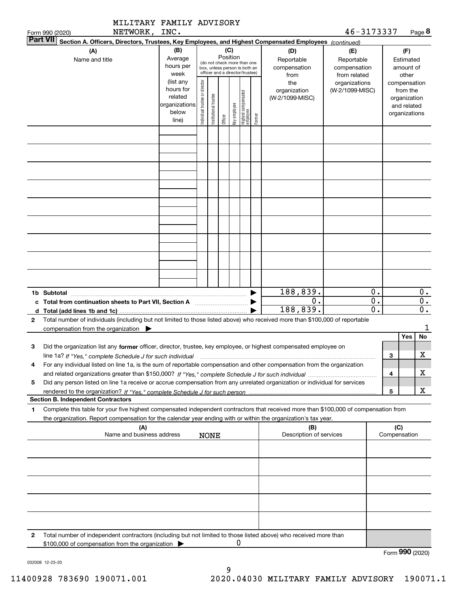|                                                                                                                                                                                                                                                                           | MILITARY FAMILY ADVISORY                                             |                                |                       |          |              |                                                                                                 |        |                                           |                                                   |                        |                     |                                                                          |                        |  |
|---------------------------------------------------------------------------------------------------------------------------------------------------------------------------------------------------------------------------------------------------------------------------|----------------------------------------------------------------------|--------------------------------|-----------------------|----------|--------------|-------------------------------------------------------------------------------------------------|--------|-------------------------------------------|---------------------------------------------------|------------------------|---------------------|--------------------------------------------------------------------------|------------------------|--|
| NETWORK, INC.<br>Form 990 (2020)<br><b>Part VII</b>                                                                                                                                                                                                                       |                                                                      |                                |                       |          |              |                                                                                                 |        |                                           | 46-3173337                                        |                        |                     |                                                                          | Page 8                 |  |
| Section A. Officers, Directors, Trustees, Key Employees, and Highest Compensated Employees (continued)<br>(A)<br>Name and title                                                                                                                                           | (B)<br>Average<br>hours per<br>week                                  |                                |                       | Position | (C)          | (do not check more than one<br>box, unless person is both an<br>officer and a director/trustee) |        | (D)<br>Reportable<br>compensation<br>from | (E)<br>Reportable<br>compensation<br>from related |                        |                     | (F)<br>Estimated<br>amount of<br>other                                   |                        |  |
|                                                                                                                                                                                                                                                                           | (list any<br>hours for<br>related<br>organizations<br>below<br>line) | Individual trustee or director | Institutional trustee | Officer  | Key employee | Highest compensated<br>employee                                                                 | Former | the<br>organization<br>(W-2/1099-MISC)    | organizations<br>(W-2/1099-MISC)                  |                        |                     | compensation<br>from the<br>organization<br>and related<br>organizations |                        |  |
|                                                                                                                                                                                                                                                                           |                                                                      |                                |                       |          |              |                                                                                                 |        |                                           |                                                   |                        |                     |                                                                          |                        |  |
|                                                                                                                                                                                                                                                                           |                                                                      |                                |                       |          |              |                                                                                                 |        |                                           |                                                   |                        |                     |                                                                          |                        |  |
|                                                                                                                                                                                                                                                                           |                                                                      |                                |                       |          |              |                                                                                                 |        |                                           |                                                   |                        |                     |                                                                          |                        |  |
|                                                                                                                                                                                                                                                                           |                                                                      |                                |                       |          |              |                                                                                                 |        |                                           |                                                   |                        |                     |                                                                          |                        |  |
|                                                                                                                                                                                                                                                                           |                                                                      |                                |                       |          |              |                                                                                                 |        |                                           |                                                   |                        |                     |                                                                          |                        |  |
| 1b Subtotal                                                                                                                                                                                                                                                               |                                                                      |                                |                       |          |              |                                                                                                 |        | 188,839.<br>$\mathbf 0$ .                 |                                                   | 0.<br>$\overline{0}$ . |                     |                                                                          | 0.<br>$\overline{0}$ . |  |
| Total number of individuals (including but not limited to those listed above) who received more than \$100,000 of reportable<br>2<br>compensation from the organization $\blacktriangleright$                                                                             |                                                                      |                                |                       |          |              |                                                                                                 |        | 188,839.                                  |                                                   | $\overline{0}$ .       |                     |                                                                          | $\overline{0}$ .<br>1  |  |
|                                                                                                                                                                                                                                                                           |                                                                      |                                |                       |          |              |                                                                                                 |        |                                           |                                                   |                        |                     | <b>Yes</b>                                                               | <b>No</b>              |  |
| Did the organization list any former officer, director, trustee, key employee, or highest compensated employee on<br>з<br>line 1a? If "Yes," complete Schedule J for such individual manufactured contained and the 1a? If "Yes," complete Schedule J for such individual |                                                                      |                                |                       |          |              |                                                                                                 |        |                                           |                                                   |                        | з                   |                                                                          | X                      |  |
| For any individual listed on line 1a, is the sum of reportable compensation and other compensation from the organization<br>4                                                                                                                                             |                                                                      |                                |                       |          |              |                                                                                                 |        |                                           |                                                   |                        | 4                   |                                                                          | х                      |  |
| Did any person listed on line 1a receive or accrue compensation from any unrelated organization or individual for services<br>5                                                                                                                                           |                                                                      |                                |                       |          |              |                                                                                                 |        |                                           |                                                   |                        | 5                   |                                                                          | X                      |  |
| <b>Section B. Independent Contractors</b>                                                                                                                                                                                                                                 |                                                                      |                                |                       |          |              |                                                                                                 |        |                                           |                                                   |                        |                     |                                                                          |                        |  |
| Complete this table for your five highest compensated independent contractors that received more than \$100,000 of compensation from<br>1<br>the organization. Report compensation for the calendar year ending with or within the organization's tax year.               |                                                                      |                                |                       |          |              |                                                                                                 |        |                                           |                                                   |                        |                     |                                                                          |                        |  |
| (A)<br>Name and business address                                                                                                                                                                                                                                          |                                                                      |                                | <b>NONE</b>           |          |              |                                                                                                 |        | (B)<br>Description of services            |                                                   |                        | (C)<br>Compensation |                                                                          |                        |  |
|                                                                                                                                                                                                                                                                           |                                                                      |                                |                       |          |              |                                                                                                 |        |                                           |                                                   |                        |                     |                                                                          |                        |  |
|                                                                                                                                                                                                                                                                           |                                                                      |                                |                       |          |              |                                                                                                 |        |                                           |                                                   |                        |                     |                                                                          |                        |  |
|                                                                                                                                                                                                                                                                           |                                                                      |                                |                       |          |              |                                                                                                 |        |                                           |                                                   |                        |                     |                                                                          |                        |  |
|                                                                                                                                                                                                                                                                           |                                                                      |                                |                       |          |              |                                                                                                 |        |                                           |                                                   |                        |                     |                                                                          |                        |  |
| Total number of independent contractors (including but not limited to those listed above) who received more than<br>2                                                                                                                                                     |                                                                      |                                |                       |          |              |                                                                                                 |        |                                           |                                                   |                        |                     |                                                                          |                        |  |
| \$100,000 of compensation from the organization                                                                                                                                                                                                                           |                                                                      |                                |                       |          | O            |                                                                                                 |        |                                           |                                                   |                        |                     |                                                                          |                        |  |

Form (2020) **990**

032008 12-23-20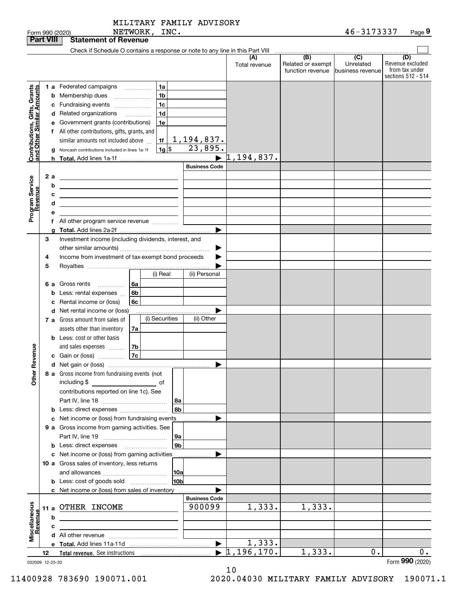| Form 990 (2020) | NETWORK<br>INC. | -<br>46<br>Page<br><u>JJJ</u><br>. . |  |
|-----------------|-----------------|--------------------------------------|--|
|-----------------|-----------------|--------------------------------------|--|

|                                                           |    |    | NETWORK, INC.<br>Form 990 (2020)                                                                      |                       |                      |                                       | 46-3173337                                        | Page 9                                                          |
|-----------------------------------------------------------|----|----|-------------------------------------------------------------------------------------------------------|-----------------------|----------------------|---------------------------------------|---------------------------------------------------|-----------------------------------------------------------------|
| <b>Part VIII</b>                                          |    |    | <b>Statement of Revenue</b>                                                                           |                       |                      |                                       |                                                   |                                                                 |
|                                                           |    |    | Check if Schedule O contains a response or note to any line in this Part VIII                         |                       |                      | (B)                                   |                                                   |                                                                 |
|                                                           |    |    |                                                                                                       |                       | (A)<br>Total revenue | Related or exempt<br>function revenue | $\overline{(C)}$<br>Unrelated<br>business revenue | (D)<br>Revenue excluded<br>from tax under<br>sections 512 - 514 |
|                                                           |    |    | 1a<br>1 a Federated campaigns                                                                         |                       |                      |                                       |                                                   |                                                                 |
| Contributions, Gifts, Grants<br>and Other Similar Amounts |    |    | 1 <sub>b</sub><br><b>b</b> Membership dues<br>$\ldots \ldots \ldots \ldots \ldots$                    |                       |                      |                                       |                                                   |                                                                 |
|                                                           |    |    | 1 <sub>c</sub><br>c Fundraising events                                                                |                       |                      |                                       |                                                   |                                                                 |
|                                                           |    |    | 1 <sub>d</sub><br>d Related organizations                                                             |                       |                      |                                       |                                                   |                                                                 |
|                                                           |    |    | e Government grants (contributions)<br>1e                                                             |                       |                      |                                       |                                                   |                                                                 |
|                                                           |    |    | f All other contributions, gifts, grants, and                                                         |                       |                      |                                       |                                                   |                                                                 |
|                                                           |    |    | similar amounts not included above<br>1f                                                              | 1,194,837.            |                      |                                       |                                                   |                                                                 |
|                                                           |    |    | 1g <br>Noncash contributions included in lines 1a-1f                                                  | 23,895.               |                      |                                       |                                                   |                                                                 |
|                                                           |    |    |                                                                                                       |                       | 1,194,837.           |                                       |                                                   |                                                                 |
|                                                           |    |    |                                                                                                       | <b>Business Code</b>  |                      |                                       |                                                   |                                                                 |
|                                                           |    | 2a |                                                                                                       |                       |                      |                                       |                                                   |                                                                 |
|                                                           |    | b  |                                                                                                       |                       |                      |                                       |                                                   |                                                                 |
|                                                           |    | c  |                                                                                                       |                       |                      |                                       |                                                   |                                                                 |
|                                                           |    | d  | <u> 1989 - Johann Barbara, martxa alemaniar amerikan a</u>                                            |                       |                      |                                       |                                                   |                                                                 |
| Program Service<br>Revenue                                |    | е  |                                                                                                       |                       |                      |                                       |                                                   |                                                                 |
|                                                           |    |    |                                                                                                       |                       |                      |                                       |                                                   |                                                                 |
|                                                           |    |    |                                                                                                       |                       |                      |                                       |                                                   |                                                                 |
|                                                           | 3  |    | Investment income (including dividends, interest, and                                                 |                       |                      |                                       |                                                   |                                                                 |
|                                                           |    |    |                                                                                                       | ▶                     |                      |                                       |                                                   |                                                                 |
|                                                           | 4  |    | Income from investment of tax-exempt bond proceeds                                                    |                       |                      |                                       |                                                   |                                                                 |
|                                                           | 5  |    | (i) Real                                                                                              | (ii) Personal         |                      |                                       |                                                   |                                                                 |
|                                                           |    |    |                                                                                                       |                       |                      |                                       |                                                   |                                                                 |
|                                                           |    | 6а | Gross rents<br>6a<br>.                                                                                |                       |                      |                                       |                                                   |                                                                 |
|                                                           |    |    | 6b<br>Less: rental expenses<br>6c<br>Rental income or (loss)                                          |                       |                      |                                       |                                                   |                                                                 |
|                                                           |    |    | d Net rental income or (loss)                                                                         |                       |                      |                                       |                                                   |                                                                 |
|                                                           |    |    | (i) Securities<br><b>7 a</b> Gross amount from sales of                                               | (ii) Other            |                      |                                       |                                                   |                                                                 |
|                                                           |    |    | assets other than inventory<br>7a                                                                     |                       |                      |                                       |                                                   |                                                                 |
|                                                           |    |    | <b>b</b> Less: cost or other basis                                                                    |                       |                      |                                       |                                                   |                                                                 |
|                                                           |    |    | and sales expenses<br>7b                                                                              |                       |                      |                                       |                                                   |                                                                 |
| evenue                                                    |    |    | 7c<br>c Gain or (loss)                                                                                |                       |                      |                                       |                                                   |                                                                 |
| č                                                         |    |    |                                                                                                       |                       |                      |                                       |                                                   |                                                                 |
| Other                                                     |    |    | 8 a Gross income from fundraising events (not<br>including \$<br><u>and the state of</u> the state of |                       |                      |                                       |                                                   |                                                                 |
|                                                           |    |    | contributions reported on line 1c). See                                                               |                       |                      |                                       |                                                   |                                                                 |
|                                                           |    |    | 8а                                                                                                    |                       |                      |                                       |                                                   |                                                                 |
|                                                           |    |    | 8b                                                                                                    |                       |                      |                                       |                                                   |                                                                 |
|                                                           |    |    | c Net income or (loss) from fundraising events                                                        |                       |                      |                                       |                                                   |                                                                 |
|                                                           |    |    | 9 a Gross income from gaming activities. See                                                          |                       |                      |                                       |                                                   |                                                                 |
|                                                           |    |    | <b>9a</b>                                                                                             |                       |                      |                                       |                                                   |                                                                 |
|                                                           |    |    | 9 <sub>b</sub>                                                                                        |                       |                      |                                       |                                                   |                                                                 |
|                                                           |    |    | c Net income or (loss) from gaming activities                                                         |                       |                      |                                       |                                                   |                                                                 |
|                                                           |    |    | 10 a Gross sales of inventory, less returns                                                           |                       |                      |                                       |                                                   |                                                                 |
|                                                           |    |    | 10a                                                                                                   |                       |                      |                                       |                                                   |                                                                 |
|                                                           |    |    | 10b<br><b>b</b> Less: cost of goods sold                                                              |                       |                      |                                       |                                                   |                                                                 |
|                                                           |    |    | c Net income or (loss) from sales of inventory.                                                       |                       |                      |                                       |                                                   |                                                                 |
|                                                           |    |    |                                                                                                       | <b>Business Code</b>  |                      |                                       |                                                   |                                                                 |
|                                                           |    |    | 11 a OTHER INCOME                                                                                     | 900099                | 1,333.               | 1,333.                                |                                                   |                                                                 |
| Miscellaneous<br>Revenue                                  |    | b  |                                                                                                       |                       |                      |                                       |                                                   |                                                                 |
|                                                           |    | c  |                                                                                                       |                       |                      |                                       |                                                   |                                                                 |
|                                                           |    |    |                                                                                                       | $\blacktriangleright$ | 1,333.               |                                       |                                                   |                                                                 |
|                                                           | 12 |    | Total revenue. See instructions [1001] [101] Total revenue. See instructions                          |                       | 1,196,170.           | 1,333.                                | 0.                                                | 0.                                                              |
| 032009 12-23-20                                           |    |    |                                                                                                       |                       |                      |                                       |                                                   | Form 990 (2020)                                                 |

10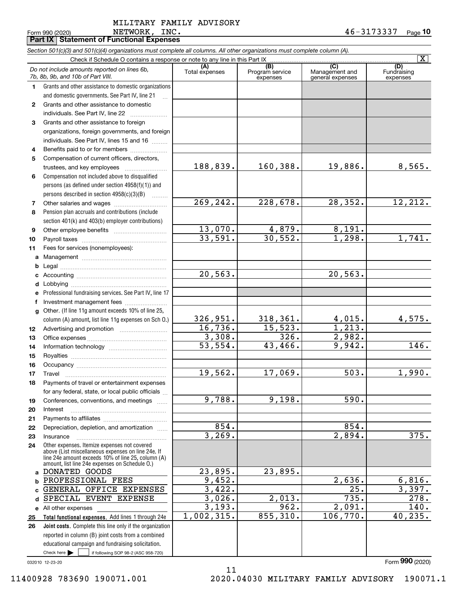|              | Form 990 (2020)<br>NETWORK,<br>TMC.<br><b>Part IX   Statement of Functional Expenses</b>                                   |                        |                                    |                                           | $40 - 31 / 333 /$<br>Page 10 |
|--------------|----------------------------------------------------------------------------------------------------------------------------|------------------------|------------------------------------|-------------------------------------------|------------------------------|
|              | Section 501(c)(3) and 501(c)(4) organizations must complete all columns. All other organizations must complete column (A). |                        |                                    |                                           |                              |
|              | Check if Schedule O contains a response or note to any line in this Part IX                                                |                        |                                    |                                           | $\overline{\mathbf{x}}$      |
|              | Do not include amounts reported on lines 6b,<br>7b, 8b, 9b, and 10b of Part VIII.                                          | (A)<br>Total expenses  | (B)<br>Program service<br>expenses | (C)<br>Management and<br>general expenses | Fundraising                  |
| 1.           | Grants and other assistance to domestic organizations                                                                      |                        |                                    |                                           | expenses                     |
|              | and domestic governments. See Part IV, line 21                                                                             |                        |                                    |                                           |                              |
| $\mathbf{2}$ | Grants and other assistance to domestic                                                                                    |                        |                                    |                                           |                              |
|              | individuals. See Part IV, line 22                                                                                          |                        |                                    |                                           |                              |
| 3            | Grants and other assistance to foreign                                                                                     |                        |                                    |                                           |                              |
|              | organizations, foreign governments, and foreign                                                                            |                        |                                    |                                           |                              |
|              | individuals. See Part IV, lines 15 and 16                                                                                  |                        |                                    |                                           |                              |
| 4            | Benefits paid to or for members                                                                                            |                        |                                    |                                           |                              |
| 5            | Compensation of current officers, directors,                                                                               |                        |                                    |                                           |                              |
|              |                                                                                                                            | 188,839.               | 160,388.                           | 19,886.                                   | 8,565.                       |
| 6            | Compensation not included above to disqualified                                                                            |                        |                                    |                                           |                              |
|              | persons (as defined under section 4958(f)(1)) and                                                                          |                        |                                    |                                           |                              |
|              | persons described in section 4958(c)(3)(B)                                                                                 |                        |                                    |                                           |                              |
| 7            |                                                                                                                            | 269,242.               | 228,678.                           | 28,352.                                   | 12,212.                      |
| 8            | Pension plan accruals and contributions (include                                                                           |                        |                                    |                                           |                              |
|              | section 401(k) and 403(b) employer contributions)                                                                          | 13,070.                | 4,879.                             | 8,191.                                    |                              |
| 9            |                                                                                                                            | 33,591.                | 30,552.                            | $\overline{1}$ , 298.                     | 1,741.                       |
| 10           | Fees for services (nonemployees):                                                                                          |                        |                                    |                                           |                              |
| 11<br>a      |                                                                                                                            |                        |                                    |                                           |                              |
| b            |                                                                                                                            |                        |                                    |                                           |                              |
| c            |                                                                                                                            | 20, 563.               |                                    | 20, 563.                                  |                              |
| d            |                                                                                                                            |                        |                                    |                                           |                              |
| е            | Professional fundraising services. See Part IV, line 17                                                                    |                        |                                    |                                           |                              |
| f            | Investment management fees                                                                                                 |                        |                                    |                                           |                              |
| g            | Other. (If line 11g amount exceeds 10% of line 25,                                                                         |                        |                                    |                                           |                              |
|              | column (A) amount, list line 11g expenses on Sch O.)                                                                       | 326,951.               | 318, 361.                          | 4,015.                                    | 4,575.                       |
| 12           |                                                                                                                            | 16,736.                | 15,523.                            | $\overline{1}$ , 213.                     |                              |
| 13           |                                                                                                                            | 3,308.                 | 326.                               | 2,982.                                    |                              |
| 14           |                                                                                                                            | $\overline{53}$ , 554. | 43,466.                            | 9,942.                                    | 146.                         |
| 15           |                                                                                                                            |                        |                                    |                                           |                              |
| 16           | Occupancy                                                                                                                  |                        |                                    |                                           |                              |
| 17           | Travel                                                                                                                     | 19,562.                | 17,069.                            | 503.                                      | 1,990.                       |
| 18           | Payments of travel or entertainment expenses                                                                               |                        |                                    |                                           |                              |
| 19           | for any federal, state, or local public officials<br>Conferences, conventions, and meetings                                | $\overline{9,788}$ .   | 9,198.                             | 590.                                      |                              |
| 20           | Interest                                                                                                                   |                        |                                    |                                           |                              |
| 21           |                                                                                                                            |                        |                                    |                                           |                              |
| 22           | Depreciation, depletion, and amortization                                                                                  | 854.                   |                                    | 854.                                      |                              |
| 23           | Insurance                                                                                                                  | 3,269.                 |                                    | 2,894.                                    | $\overline{375}$ .           |
| 24           | Other expenses. Itemize expenses not covered                                                                               |                        |                                    |                                           |                              |
|              | above (List miscellaneous expenses on line 24e. If<br>line 24e amount exceeds 10% of line 25, column (A)                   |                        |                                    |                                           |                              |
|              | amount, list line 24e expenses on Schedule O.)                                                                             |                        |                                    |                                           |                              |
| a            | DONATED GOODS                                                                                                              | 23,895.                | 23,895.                            |                                           |                              |
| b            | PROFESSIONAL FEES                                                                                                          | 9,452.                 |                                    | 2,636.                                    | 6,816.                       |
| c            | GENERAL OFFICE EXPENSES                                                                                                    | 3,422.                 |                                    | $\overline{25}$ .                         | 3,397.                       |
| d            | SPECIAL EVENT EXPENSE                                                                                                      | 3,026.                 | 2,013.                             | 735.                                      | $\overline{278}$ .           |
|              | e All other expenses                                                                                                       | 3,193.<br>1,002,315.   | 962.<br>855,310.                   | 2,091.<br>106, 770.                       | 140.                         |
| 25           | Total functional expenses. Add lines 1 through 24e                                                                         |                        |                                    |                                           | 40, 235.                     |
| 26           | Joint costs. Complete this line only if the organization<br>reported in column (B) joint costs from a combined             |                        |                                    |                                           |                              |
|              | educational campaign and fundraising solicitation.                                                                         |                        |                                    |                                           |                              |
|              |                                                                                                                            |                        |                                    |                                           |                              |

11

032010 12-23-20

 $Check here$ 

Check here  $\bullet$  if following SOP 98-2 (ASC 958-720)

Form (2020) **990**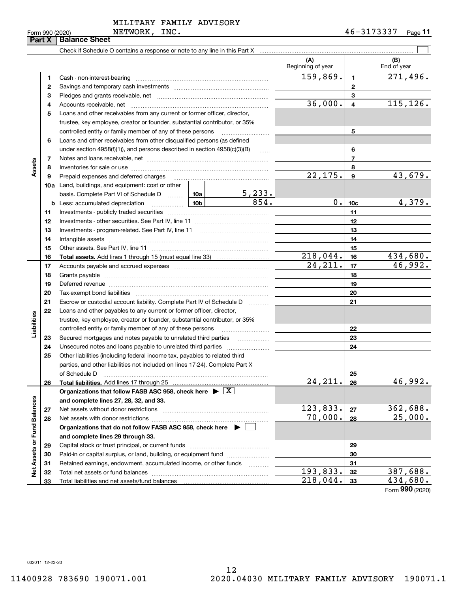| . . | ı |
|-----|---|
|     |   |
|     |   |
|     |   |

**Part X Balance Sheet**

|                        | 2  |                                                                                                                                                                                                                                |                     |               |                | $\mathbf{2}$            |                 |
|------------------------|----|--------------------------------------------------------------------------------------------------------------------------------------------------------------------------------------------------------------------------------|---------------------|---------------|----------------|-------------------------|-----------------|
|                        | з  |                                                                                                                                                                                                                                |                     |               |                | 3                       |                 |
|                        | 4  |                                                                                                                                                                                                                                |                     |               | 36,000.        | $\overline{\mathbf{4}}$ | 115, 126.       |
|                        | 5  | Loans and other receivables from any current or former officer, director,                                                                                                                                                      |                     |               |                |                         |                 |
|                        |    | trustee, key employee, creator or founder, substantial contributor, or 35%                                                                                                                                                     |                     |               |                |                         |                 |
|                        |    | controlled entity or family member of any of these persons                                                                                                                                                                     |                     |               |                | 5                       |                 |
|                        | 6  | Loans and other receivables from other disqualified persons (as defined                                                                                                                                                        |                     |               |                |                         |                 |
|                        |    | under section $4958(f)(1)$ , and persons described in section $4958(c)(3)(B)$                                                                                                                                                  |                     | 6             |                |                         |                 |
|                        | 7  |                                                                                                                                                                                                                                | $\ldots$            |               | $\overline{7}$ |                         |                 |
| Assets                 | 8  |                                                                                                                                                                                                                                |                     |               | 8              |                         |                 |
|                        | 9  | Prepaid expenses and deferred charges                                                                                                                                                                                          |                     |               | 22, 175.       | $\boldsymbol{9}$        | 43,679.         |
|                        |    | <b>10a</b> Land, buildings, and equipment: cost or other                                                                                                                                                                       |                     |               |                |                         |                 |
|                        |    | basis. Complete Part VI of Schedule D  10a                                                                                                                                                                                     |                     | <u>5,233.</u> |                |                         |                 |
|                        |    | <b>b</b> Less: accumulated depreciation                                                                                                                                                                                        | 10 <sub>b</sub>     | 854.          | $0$ .          | 10 <sub>c</sub>         | 4,379.          |
|                        | 11 |                                                                                                                                                                                                                                |                     |               | 11             |                         |                 |
|                        | 12 |                                                                                                                                                                                                                                |                     |               | 12             |                         |                 |
|                        | 13 |                                                                                                                                                                                                                                |                     |               | 13             |                         |                 |
|                        | 14 |                                                                                                                                                                                                                                |                     |               |                | 14                      |                 |
|                        | 15 |                                                                                                                                                                                                                                |                     |               | 15             |                         |                 |
|                        | 16 |                                                                                                                                                                                                                                |                     | 218,044.      | 16             | 434,680.                |                 |
|                        | 17 |                                                                                                                                                                                                                                |                     |               | 24, 211.       | 17                      | 46,992.         |
|                        | 18 |                                                                                                                                                                                                                                |                     |               |                | 18                      |                 |
|                        | 19 | Deferred revenue manual contracts and contracts are all the contracts and contracts are contracted and contracts are contracted and contract are contracted and contract are contracted and contract are contracted and contra |                     |               |                | 19                      |                 |
|                        | 20 |                                                                                                                                                                                                                                |                     |               |                | 20                      |                 |
|                        | 21 | Escrow or custodial account liability. Complete Part IV of Schedule D                                                                                                                                                          | 1.1.1.1.1.1.1.1.1.1 |               | 21             |                         |                 |
|                        | 22 | Loans and other payables to any current or former officer, director,                                                                                                                                                           |                     |               |                |                         |                 |
| Liabilities            |    | trustee, key employee, creator or founder, substantial contributor, or 35%                                                                                                                                                     |                     |               |                |                         |                 |
|                        |    | controlled entity or family member of any of these persons                                                                                                                                                                     |                     |               |                | 22                      |                 |
|                        | 23 |                                                                                                                                                                                                                                |                     |               |                | 23                      |                 |
|                        | 24 | Unsecured notes and loans payable to unrelated third parties                                                                                                                                                                   |                     |               |                | 24                      |                 |
|                        | 25 | Other liabilities (including federal income tax, payables to related third                                                                                                                                                     |                     |               |                |                         |                 |
|                        |    | parties, and other liabilities not included on lines 17-24). Complete Part X                                                                                                                                                   |                     |               |                |                         |                 |
|                        |    | of Schedule D                                                                                                                                                                                                                  |                     |               |                | 25                      |                 |
|                        | 26 |                                                                                                                                                                                                                                |                     |               | 24, 211.       | 26                      | 46,992.         |
|                        |    | Organizations that follow FASB ASC 958, check here $\blacktriangleright \lfloor X \rfloor$                                                                                                                                     |                     |               |                |                         |                 |
| ances                  |    | and complete lines 27, 28, 32, and 33.                                                                                                                                                                                         |                     |               |                |                         |                 |
|                        | 27 |                                                                                                                                                                                                                                |                     |               | 123,833.       | 27                      | 362,688.        |
|                        | 28 |                                                                                                                                                                                                                                |                     |               | 70,000.        | 28                      | 25,000.         |
|                        |    | Organizations that do not follow FASB ASC 958, check here ▶ │                                                                                                                                                                  |                     |               |                |                         |                 |
|                        |    | and complete lines 29 through 33.                                                                                                                                                                                              |                     |               |                |                         |                 |
|                        | 29 |                                                                                                                                                                                                                                |                     |               | 29             |                         |                 |
|                        | 30 | Paid-in or capital surplus, or land, building, or equipment fund                                                                                                                                                               |                     |               |                | 30                      |                 |
| Net Assets or Fund Bal | 31 | Retained earnings, endowment, accumulated income, or other funds                                                                                                                                                               |                     |               |                | 31                      |                 |
|                        | 32 |                                                                                                                                                                                                                                |                     |               | 193,833.       | 32                      | <u>387,688.</u> |
|                        | 33 |                                                                                                                                                                                                                                |                     |               | 218,044.       | 33                      | 434,680.        |
|                        |    |                                                                                                                                                                                                                                |                     |               |                |                         | Form 990 (2020) |

**1**Cash - non-interest-bearing ~~~~~~~~~~~~~~~~~~~~~~~~~

Check if Schedule O contains a response or note to any line in this Part X

Form 990 (2020) NETWORK, INC. 4 6-3173337 <sub>Page</sub> 11

 $159,869.$  1  $271,496.$ 

 $\mathcal{L}^{\text{max}}$ 

**(A) (B)**

Beginning of year | | End of year

**1**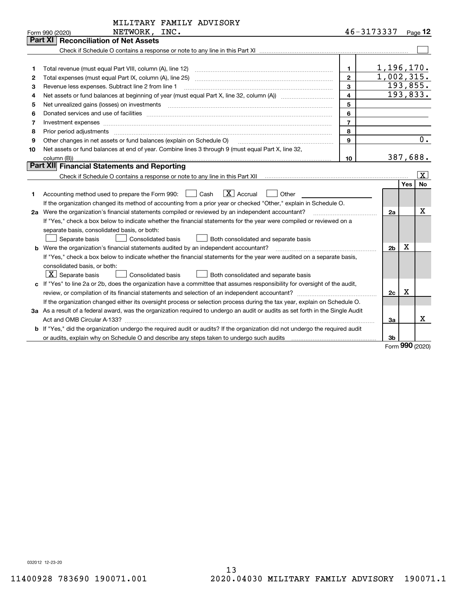| 46-3173337<br>NETWORK, INC.<br>Form 990 (2020)<br><b>Reconciliation of Net Assets</b><br>Part XI I<br>1,196,170.<br>$\mathbf{1}$<br>1                                                                                                    |                     |
|------------------------------------------------------------------------------------------------------------------------------------------------------------------------------------------------------------------------------------------|---------------------|
|                                                                                                                                                                                                                                          | $_{\text{Page}}$ 12 |
|                                                                                                                                                                                                                                          |                     |
|                                                                                                                                                                                                                                          |                     |
|                                                                                                                                                                                                                                          |                     |
|                                                                                                                                                                                                                                          |                     |
| 1,002,315.<br>$\overline{2}$<br>Total expenses (must equal Part IX, column (A), line 25)<br>2                                                                                                                                            |                     |
| 193,855.<br>3<br>Revenue less expenses. Subtract line 2 from line 1<br>3                                                                                                                                                                 |                     |
| 193,833.<br>$\overline{\mathbf{4}}$<br>4                                                                                                                                                                                                 |                     |
| 5<br>5<br>Net unrealized gains (losses) on investments [11] [12] non-manufactured manufactured manufactured manufactured manufactured manufactured manufactured manufactured manufactured manufactured manufactured manufactured manufac |                     |
| 6<br>Donated services and use of facilities manufactured and an intervention of the services and use of facilities<br>6                                                                                                                  |                     |
| $\overline{7}$<br>7<br>Investment expenses www.communication.com/www.communication.com/www.communication.com/www.com/www.com/www.com/                                                                                                    |                     |
| 8<br>8<br>Prior period adjustments                                                                                                                                                                                                       |                     |
| Other changes in net assets or fund balances (explain on Schedule O)<br>9<br>9                                                                                                                                                           | 0.                  |
| Net assets or fund balances at end of year. Combine lines 3 through 9 (must equal Part X, line 32,<br>10                                                                                                                                 |                     |
| 387,688.<br>10<br>column (B))                                                                                                                                                                                                            |                     |
| Part XII Financial Statements and Reporting                                                                                                                                                                                              |                     |
|                                                                                                                                                                                                                                          | Ιx.                 |
| Yes                                                                                                                                                                                                                                      | <b>No</b>           |
| $\boxed{\text{X}}$ Accrual<br>Accounting method used to prepare the Form 990: <u>II</u> Cash<br>Other<br>1                                                                                                                               |                     |
| If the organization changed its method of accounting from a prior year or checked "Other," explain in Schedule O.                                                                                                                        |                     |
| 2a Were the organization's financial statements compiled or reviewed by an independent accountant?<br>2a<br><u> 1986 - Jan Barbarat, martin a</u>                                                                                        | X                   |
| If "Yes," check a box below to indicate whether the financial statements for the year were compiled or reviewed on a                                                                                                                     |                     |
| separate basis, consolidated basis, or both:                                                                                                                                                                                             |                     |
| Separate basis<br>Consolidated basis<br>Both consolidated and separate basis                                                                                                                                                             |                     |
| $\mathbf X$<br><b>b</b> Were the organization's financial statements audited by an independent accountant?<br>2 <sub>b</sub>                                                                                                             |                     |
| If "Yes," check a box below to indicate whether the financial statements for the year were audited on a separate basis,                                                                                                                  |                     |
| consolidated basis, or both:                                                                                                                                                                                                             |                     |
| $X$ Separate basis<br>Consolidated basis<br>Both consolidated and separate basis                                                                                                                                                         |                     |
| c If "Yes" to line 2a or 2b, does the organization have a committee that assumes responsibility for oversight of the audit,                                                                                                              |                     |
| х<br>2c                                                                                                                                                                                                                                  |                     |
| If the organization changed either its oversight process or selection process during the tax year, explain on Schedule O.                                                                                                                |                     |
| 3a As a result of a federal award, was the organization required to undergo an audit or audits as set forth in the Single Audit                                                                                                          |                     |
| Act and OMB Circular A-133?<br>За                                                                                                                                                                                                        | x                   |
| <b>b</b> If "Yes," did the organization undergo the required audit or audits? If the organization did not undergo the required audit                                                                                                     |                     |
| 3b<br>$F_{\rm c,}$ 990 (2020)                                                                                                                                                                                                            |                     |

Form (2020) **990**

032012 12-23-20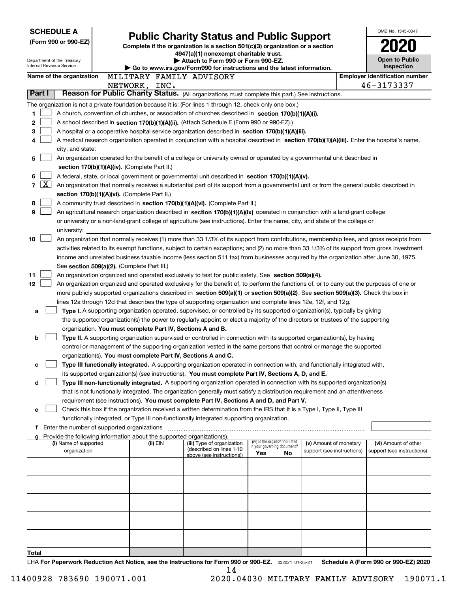| <b>SCHEDULE A</b>                                      |                                                                                                                                                                                                                                                    |                                                                                                                                  |                                 |    |                                                      |  | OMB No. 1545-0047                                  |  |  |  |  |
|--------------------------------------------------------|----------------------------------------------------------------------------------------------------------------------------------------------------------------------------------------------------------------------------------------------------|----------------------------------------------------------------------------------------------------------------------------------|---------------------------------|----|------------------------------------------------------|--|----------------------------------------------------|--|--|--|--|
| (Form 990 or 990-EZ)                                   |                                                                                                                                                                                                                                                    | <b>Public Charity Status and Public Support</b><br>Complete if the organization is a section 501(c)(3) organization or a section |                                 |    |                                                      |  |                                                    |  |  |  |  |
|                                                        |                                                                                                                                                                                                                                                    | 4947(a)(1) nonexempt charitable trust.                                                                                           |                                 |    |                                                      |  |                                                    |  |  |  |  |
| Department of the Treasury<br>Internal Revenue Service |                                                                                                                                                                                                                                                    | Attach to Form 990 or Form 990-EZ.                                                                                               |                                 |    |                                                      |  | <b>Open to Public</b><br>Inspection                |  |  |  |  |
| Name of the organization                               | MILITARY FAMILY ADVISORY                                                                                                                                                                                                                           | Go to www.irs.gov/Form990 for instructions and the latest information.                                                           |                                 |    |                                                      |  | <b>Employer identification number</b>              |  |  |  |  |
|                                                        | NETWORK, INC.                                                                                                                                                                                                                                      |                                                                                                                                  |                                 |    |                                                      |  | 46-3173337                                         |  |  |  |  |
| Part I                                                 | Reason for Public Charity Status. (All organizations must complete this part.) See instructions.                                                                                                                                                   |                                                                                                                                  |                                 |    |                                                      |  |                                                    |  |  |  |  |
|                                                        | The organization is not a private foundation because it is: (For lines 1 through 12, check only one box.)                                                                                                                                          |                                                                                                                                  |                                 |    |                                                      |  |                                                    |  |  |  |  |
| 1                                                      | A church, convention of churches, or association of churches described in section 170(b)(1)(A)(i).                                                                                                                                                 |                                                                                                                                  |                                 |    |                                                      |  |                                                    |  |  |  |  |
| 2                                                      | A school described in section 170(b)(1)(A)(ii). (Attach Schedule E (Form 990 or 990-EZ).)                                                                                                                                                          |                                                                                                                                  |                                 |    |                                                      |  |                                                    |  |  |  |  |
| з                                                      | A hospital or a cooperative hospital service organization described in section 170(b)(1)(A)(iii).                                                                                                                                                  |                                                                                                                                  |                                 |    |                                                      |  |                                                    |  |  |  |  |
| 4                                                      | A medical research organization operated in conjunction with a hospital described in section 170(b)(1)(A)(iii). Enter the hospital's name,                                                                                                         |                                                                                                                                  |                                 |    |                                                      |  |                                                    |  |  |  |  |
| city, and state:                                       |                                                                                                                                                                                                                                                    |                                                                                                                                  |                                 |    |                                                      |  |                                                    |  |  |  |  |
| 5                                                      | An organization operated for the benefit of a college or university owned or operated by a governmental unit described in                                                                                                                          |                                                                                                                                  |                                 |    |                                                      |  |                                                    |  |  |  |  |
|                                                        | section 170(b)(1)(A)(iv). (Complete Part II.)                                                                                                                                                                                                      |                                                                                                                                  |                                 |    |                                                      |  |                                                    |  |  |  |  |
| 6                                                      | A federal, state, or local government or governmental unit described in section 170(b)(1)(A)(v).                                                                                                                                                   |                                                                                                                                  |                                 |    |                                                      |  |                                                    |  |  |  |  |
| $\lfloor x \rfloor$<br>7                               | An organization that normally receives a substantial part of its support from a governmental unit or from the general public described in<br>section 170(b)(1)(A)(vi). (Complete Part II.)                                                         |                                                                                                                                  |                                 |    |                                                      |  |                                                    |  |  |  |  |
| 8                                                      | A community trust described in section 170(b)(1)(A)(vi). (Complete Part II.)                                                                                                                                                                       |                                                                                                                                  |                                 |    |                                                      |  |                                                    |  |  |  |  |
| 9                                                      | An agricultural research organization described in section 170(b)(1)(A)(ix) operated in conjunction with a land-grant college                                                                                                                      |                                                                                                                                  |                                 |    |                                                      |  |                                                    |  |  |  |  |
|                                                        | or university or a non-land-grant college of agriculture (see instructions). Enter the name, city, and state of the college or                                                                                                                     |                                                                                                                                  |                                 |    |                                                      |  |                                                    |  |  |  |  |
| university:                                            |                                                                                                                                                                                                                                                    |                                                                                                                                  |                                 |    |                                                      |  |                                                    |  |  |  |  |
| 10                                                     | An organization that normally receives (1) more than 33 1/3% of its support from contributions, membership fees, and gross receipts from                                                                                                           |                                                                                                                                  |                                 |    |                                                      |  |                                                    |  |  |  |  |
|                                                        | activities related to its exempt functions, subject to certain exceptions; and (2) no more than 33 1/3% of its support from gross investment                                                                                                       |                                                                                                                                  |                                 |    |                                                      |  |                                                    |  |  |  |  |
|                                                        | income and unrelated business taxable income (less section 511 tax) from businesses acquired by the organization after June 30, 1975.                                                                                                              |                                                                                                                                  |                                 |    |                                                      |  |                                                    |  |  |  |  |
|                                                        | See section 509(a)(2). (Complete Part III.)                                                                                                                                                                                                        |                                                                                                                                  |                                 |    |                                                      |  |                                                    |  |  |  |  |
| 11                                                     | An organization organized and operated exclusively to test for public safety. See section 509(a)(4).<br>An organization organized and operated exclusively for the benefit of, to perform the functions of, or to carry out the purposes of one or |                                                                                                                                  |                                 |    |                                                      |  |                                                    |  |  |  |  |
| 12 <sub>2</sub>                                        | more publicly supported organizations described in section 509(a)(1) or section 509(a)(2). See section 509(a)(3). Check the box in                                                                                                                 |                                                                                                                                  |                                 |    |                                                      |  |                                                    |  |  |  |  |
|                                                        | lines 12a through 12d that describes the type of supporting organization and complete lines 12e, 12f, and 12g.                                                                                                                                     |                                                                                                                                  |                                 |    |                                                      |  |                                                    |  |  |  |  |
| a                                                      | Type I. A supporting organization operated, supervised, or controlled by its supported organization(s), typically by giving                                                                                                                        |                                                                                                                                  |                                 |    |                                                      |  |                                                    |  |  |  |  |
|                                                        | the supported organization(s) the power to regularly appoint or elect a majority of the directors or trustees of the supporting                                                                                                                    |                                                                                                                                  |                                 |    |                                                      |  |                                                    |  |  |  |  |
|                                                        | organization. You must complete Part IV, Sections A and B.                                                                                                                                                                                         |                                                                                                                                  |                                 |    |                                                      |  |                                                    |  |  |  |  |
| b                                                      | Type II. A supporting organization supervised or controlled in connection with its supported organization(s), by having                                                                                                                            |                                                                                                                                  |                                 |    |                                                      |  |                                                    |  |  |  |  |
|                                                        | control or management of the supporting organization vested in the same persons that control or manage the supported                                                                                                                               |                                                                                                                                  |                                 |    |                                                      |  |                                                    |  |  |  |  |
|                                                        | organization(s). You must complete Part IV, Sections A and C.                                                                                                                                                                                      |                                                                                                                                  |                                 |    |                                                      |  |                                                    |  |  |  |  |
| c                                                      | Type III functionally integrated. A supporting organization operated in connection with, and functionally integrated with,                                                                                                                         |                                                                                                                                  |                                 |    |                                                      |  |                                                    |  |  |  |  |
| d                                                      | its supported organization(s) (see instructions). You must complete Part IV, Sections A, D, and E.<br>Type III non-functionally integrated. A supporting organization operated in connection with its supported organization(s)                    |                                                                                                                                  |                                 |    |                                                      |  |                                                    |  |  |  |  |
|                                                        | that is not functionally integrated. The organization generally must satisfy a distribution requirement and an attentiveness                                                                                                                       |                                                                                                                                  |                                 |    |                                                      |  |                                                    |  |  |  |  |
|                                                        | requirement (see instructions). You must complete Part IV, Sections A and D, and Part V.                                                                                                                                                           |                                                                                                                                  |                                 |    |                                                      |  |                                                    |  |  |  |  |
| е                                                      | Check this box if the organization received a written determination from the IRS that it is a Type I, Type II, Type III                                                                                                                            |                                                                                                                                  |                                 |    |                                                      |  |                                                    |  |  |  |  |
|                                                        | functionally integrated, or Type III non-functionally integrated supporting organization.                                                                                                                                                          |                                                                                                                                  |                                 |    |                                                      |  |                                                    |  |  |  |  |
|                                                        | f Enter the number of supported organizations                                                                                                                                                                                                      |                                                                                                                                  |                                 |    |                                                      |  |                                                    |  |  |  |  |
|                                                        | Provide the following information about the supported organization(s).                                                                                                                                                                             |                                                                                                                                  | (iv) Is the organization listed |    |                                                      |  |                                                    |  |  |  |  |
| (i) Name of supported<br>organization                  | (ii) EIN                                                                                                                                                                                                                                           | (iii) Type of organization<br>(described on lines 1-10                                                                           | in your governing document?     |    | (v) Amount of monetary<br>support (see instructions) |  | (vi) Amount of other<br>support (see instructions) |  |  |  |  |
|                                                        |                                                                                                                                                                                                                                                    | above (see instructions))                                                                                                        | Yes                             | No |                                                      |  |                                                    |  |  |  |  |
|                                                        |                                                                                                                                                                                                                                                    |                                                                                                                                  |                                 |    |                                                      |  |                                                    |  |  |  |  |
|                                                        |                                                                                                                                                                                                                                                    |                                                                                                                                  |                                 |    |                                                      |  |                                                    |  |  |  |  |
|                                                        |                                                                                                                                                                                                                                                    |                                                                                                                                  |                                 |    |                                                      |  |                                                    |  |  |  |  |
|                                                        |                                                                                                                                                                                                                                                    |                                                                                                                                  |                                 |    |                                                      |  |                                                    |  |  |  |  |
|                                                        |                                                                                                                                                                                                                                                    |                                                                                                                                  |                                 |    |                                                      |  |                                                    |  |  |  |  |
|                                                        |                                                                                                                                                                                                                                                    |                                                                                                                                  |                                 |    |                                                      |  |                                                    |  |  |  |  |
|                                                        |                                                                                                                                                                                                                                                    |                                                                                                                                  |                                 |    |                                                      |  |                                                    |  |  |  |  |
|                                                        |                                                                                                                                                                                                                                                    |                                                                                                                                  |                                 |    |                                                      |  |                                                    |  |  |  |  |
|                                                        |                                                                                                                                                                                                                                                    |                                                                                                                                  |                                 |    |                                                      |  |                                                    |  |  |  |  |
| Total                                                  | LHA For Paperwork Reduction Act Notice, see the Instructions for Form 990 or 990-EZ. 032021 01-25-21                                                                                                                                               |                                                                                                                                  |                                 |    |                                                      |  | Schedule A (Form 990 or 990-EZ) 2020               |  |  |  |  |

<sup>14</sup> 11400928 783690 190071.001 2020.04030 MILITARY FAMILY ADVISORY 190071.1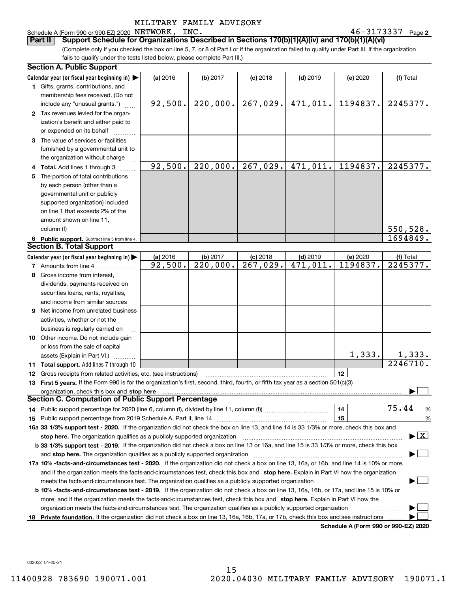## Schedule A (Form 990 or 990-EZ) 2020 NETWORK, INC.

**2**NETWORK, INC. 46-3173337

(Complete only if you checked the box on line 5, 7, or 8 of Part I or if the organization failed to qualify under Part III. If the organization fails to qualify under the tests listed below, please complete Part III.) **Part II Support Schedule for Organizations Described in Sections 170(b)(1)(A)(iv) and 170(b)(1)(A)(vi)**

| <b>Section A. Public Support</b>                                                                                                                                                                                                                       |          |                        |                        |                         |                                      |                                          |  |  |  |
|--------------------------------------------------------------------------------------------------------------------------------------------------------------------------------------------------------------------------------------------------------|----------|------------------------|------------------------|-------------------------|--------------------------------------|------------------------------------------|--|--|--|
| Calendar year (or fiscal year beginning in) $\blacktriangleright$                                                                                                                                                                                      | (a) 2016 | (b) 2017               | $(c)$ 2018             | $(d)$ 2019              | (e) 2020                             | (f) Total                                |  |  |  |
| <b>1</b> Gifts, grants, contributions, and                                                                                                                                                                                                             |          |                        |                        |                         |                                      |                                          |  |  |  |
| membership fees received. (Do not                                                                                                                                                                                                                      |          |                        |                        |                         |                                      |                                          |  |  |  |
| include any "unusual grants.")                                                                                                                                                                                                                         | 92,500.  | 220,000.               | 267,029.               | 471,011.                | 1194837.                             | 2245377.                                 |  |  |  |
| 2 Tax revenues levied for the organ-                                                                                                                                                                                                                   |          |                        |                        |                         |                                      |                                          |  |  |  |
| ization's benefit and either paid to                                                                                                                                                                                                                   |          |                        |                        |                         |                                      |                                          |  |  |  |
| or expended on its behalf                                                                                                                                                                                                                              |          |                        |                        |                         |                                      |                                          |  |  |  |
| 3 The value of services or facilities                                                                                                                                                                                                                  |          |                        |                        |                         |                                      |                                          |  |  |  |
| furnished by a governmental unit to                                                                                                                                                                                                                    |          |                        |                        |                         |                                      |                                          |  |  |  |
| the organization without charge                                                                                                                                                                                                                        |          |                        |                        |                         |                                      |                                          |  |  |  |
| 4 Total. Add lines 1 through 3                                                                                                                                                                                                                         | 92,500.  | 220,000.               | 267,029.               | 471,011.                | 1194837.                             | 2245377.                                 |  |  |  |
| 5 The portion of total contributions                                                                                                                                                                                                                   |          |                        |                        |                         |                                      |                                          |  |  |  |
| by each person (other than a                                                                                                                                                                                                                           |          |                        |                        |                         |                                      |                                          |  |  |  |
| governmental unit or publicly                                                                                                                                                                                                                          |          |                        |                        |                         |                                      |                                          |  |  |  |
| supported organization) included                                                                                                                                                                                                                       |          |                        |                        |                         |                                      |                                          |  |  |  |
| on line 1 that exceeds 2% of the                                                                                                                                                                                                                       |          |                        |                        |                         |                                      |                                          |  |  |  |
| amount shown on line 11,                                                                                                                                                                                                                               |          |                        |                        |                         |                                      |                                          |  |  |  |
| column (f)                                                                                                                                                                                                                                             |          |                        |                        |                         |                                      | 550,528.                                 |  |  |  |
| 6 Public support. Subtract line 5 from line 4.                                                                                                                                                                                                         |          |                        |                        |                         |                                      | 1694849.                                 |  |  |  |
| <b>Section B. Total Support</b>                                                                                                                                                                                                                        |          |                        |                        |                         |                                      |                                          |  |  |  |
| Calendar year (or fiscal year beginning in)                                                                                                                                                                                                            | (a) 2016 | (b) 2017               | $(c)$ 2018             | $(d)$ 2019              | (e) 2020                             | (f) Total                                |  |  |  |
| <b>7</b> Amounts from line 4                                                                                                                                                                                                                           | 92,500.  | $\overline{220,000}$ . | $\overline{267,029}$ . | $\overline{471}$ , 011. | 1194837.                             | 2245377.                                 |  |  |  |
| 8 Gross income from interest,                                                                                                                                                                                                                          |          |                        |                        |                         |                                      |                                          |  |  |  |
| dividends, payments received on                                                                                                                                                                                                                        |          |                        |                        |                         |                                      |                                          |  |  |  |
| securities loans, rents, royalties,                                                                                                                                                                                                                    |          |                        |                        |                         |                                      |                                          |  |  |  |
| and income from similar sources                                                                                                                                                                                                                        |          |                        |                        |                         |                                      |                                          |  |  |  |
| 9 Net income from unrelated business                                                                                                                                                                                                                   |          |                        |                        |                         |                                      |                                          |  |  |  |
| activities, whether or not the                                                                                                                                                                                                                         |          |                        |                        |                         |                                      |                                          |  |  |  |
| business is regularly carried on                                                                                                                                                                                                                       |          |                        |                        |                         |                                      |                                          |  |  |  |
| <b>10</b> Other income. Do not include gain                                                                                                                                                                                                            |          |                        |                        |                         |                                      |                                          |  |  |  |
| or loss from the sale of capital                                                                                                                                                                                                                       |          |                        |                        |                         |                                      |                                          |  |  |  |
| assets (Explain in Part VI.)                                                                                                                                                                                                                           |          |                        |                        |                         | 1,333.                               | 1,333.                                   |  |  |  |
| 11 Total support. Add lines 7 through 10                                                                                                                                                                                                               |          |                        |                        |                         |                                      | 2246710.                                 |  |  |  |
| <b>12</b> Gross receipts from related activities, etc. (see instructions)                                                                                                                                                                              |          |                        |                        |                         | 12                                   |                                          |  |  |  |
| 13 First 5 years. If the Form 990 is for the organization's first, second, third, fourth, or fifth tax year as a section 501(c)(3)                                                                                                                     |          |                        |                        |                         |                                      |                                          |  |  |  |
| organization, check this box and <b>stop here</b> www.communicalisation.communications are constructed and <b>stop here</b>                                                                                                                            |          |                        |                        |                         |                                      |                                          |  |  |  |
| <b>Section C. Computation of Public Support Percentage</b>                                                                                                                                                                                             |          |                        |                        |                         |                                      |                                          |  |  |  |
| 14 Public support percentage for 2020 (line 6, column (f), divided by line 11, column (f) <i>mummumumum</i>                                                                                                                                            |          |                        |                        |                         | 14                                   | 75.44<br>%                               |  |  |  |
|                                                                                                                                                                                                                                                        |          |                        |                        |                         | 15                                   | %                                        |  |  |  |
| 16a 33 1/3% support test - 2020. If the organization did not check the box on line 13, and line 14 is 33 1/3% or more, check this box and                                                                                                              |          |                        |                        |                         |                                      |                                          |  |  |  |
| stop here. The organization qualifies as a publicly supported organization                                                                                                                                                                             |          |                        |                        |                         |                                      | $\blacktriangleright$ $\boxed{\text{X}}$ |  |  |  |
| b 33 1/3% support test - 2019. If the organization did not check a box on line 13 or 16a, and line 15 is 33 1/3% or more, check this box                                                                                                               |          |                        |                        |                         |                                      |                                          |  |  |  |
| and stop here. The organization qualifies as a publicly supported organization                                                                                                                                                                         |          |                        |                        |                         |                                      |                                          |  |  |  |
| 17a 10% -facts-and-circumstances test - 2020. If the organization did not check a box on line 13, 16a, or 16b, and line 14 is 10% or more,                                                                                                             |          |                        |                        |                         |                                      |                                          |  |  |  |
| and if the organization meets the facts-and-circumstances test, check this box and stop here. Explain in Part VI how the organization                                                                                                                  |          |                        |                        |                         |                                      |                                          |  |  |  |
| meets the facts-and-circumstances test. The organization qualifies as a publicly supported organization                                                                                                                                                |          |                        |                        |                         |                                      |                                          |  |  |  |
| <b>b 10% -facts-and-circumstances test - 2019.</b> If the organization did not check a box on line 13, 16a, 16b, or 17a, and line 15 is 10% or                                                                                                         |          |                        |                        |                         |                                      |                                          |  |  |  |
|                                                                                                                                                                                                                                                        |          |                        |                        |                         |                                      |                                          |  |  |  |
| more, and if the organization meets the facts-and-circumstances test, check this box and stop here. Explain in Part VI how the<br>organization meets the facts-and-circumstances test. The organization qualifies as a publicly supported organization |          |                        |                        |                         |                                      |                                          |  |  |  |
|                                                                                                                                                                                                                                                        |          |                        |                        |                         |                                      |                                          |  |  |  |
| 18 Private foundation. If the organization did not check a box on line 13, 16a, 16b, 17a, or 17b, check this box and see instructions                                                                                                                  |          |                        |                        |                         | Schodule A (Form 000 or 000 EZ) 2020 |                                          |  |  |  |

**Schedule A (Form 990 or 990-EZ) 2020**

032022 01-25-21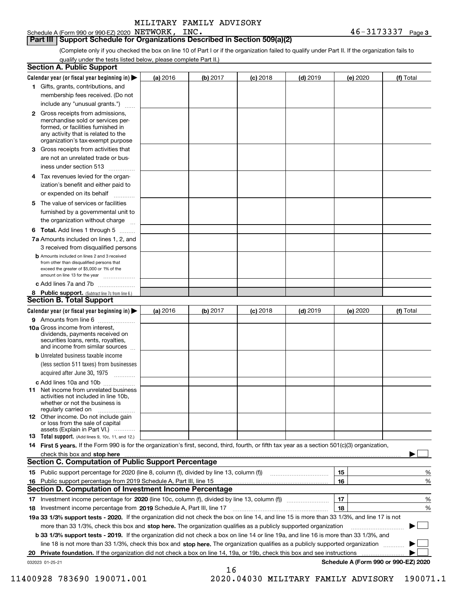Schedule A (Form 990 or 990-EZ) 2020 NETWORK, INC.

### **Part III Support Schedule for Organizations Described in Section 509(a)(2)**

(Complete only if you checked the box on line 10 of Part I or if the organization failed to qualify under Part II. If the organization fails to qualify under the tests listed below, please complete Part II.)

| <b>Section A. Public Support</b>                                                                                                                                                                                                                               |          |          |            |            |          |                                      |
|----------------------------------------------------------------------------------------------------------------------------------------------------------------------------------------------------------------------------------------------------------------|----------|----------|------------|------------|----------|--------------------------------------|
| Calendar year (or fiscal year beginning in) $\blacktriangleright$                                                                                                                                                                                              | (a) 2016 | (b) 2017 | $(c)$ 2018 | $(d)$ 2019 | (e) 2020 | (f) Total                            |
| 1 Gifts, grants, contributions, and                                                                                                                                                                                                                            |          |          |            |            |          |                                      |
| membership fees received. (Do not                                                                                                                                                                                                                              |          |          |            |            |          |                                      |
| include any "unusual grants.")                                                                                                                                                                                                                                 |          |          |            |            |          |                                      |
| 2 Gross receipts from admissions,<br>merchandise sold or services per-<br>formed, or facilities furnished in<br>any activity that is related to the<br>organization's tax-exempt purpose                                                                       |          |          |            |            |          |                                      |
| 3 Gross receipts from activities that<br>are not an unrelated trade or bus-                                                                                                                                                                                    |          |          |            |            |          |                                      |
| iness under section 513                                                                                                                                                                                                                                        |          |          |            |            |          |                                      |
| 4 Tax revenues levied for the organ-<br>ization's benefit and either paid to<br>or expended on its behalf<br>.                                                                                                                                                 |          |          |            |            |          |                                      |
| 5 The value of services or facilities<br>furnished by a governmental unit to<br>the organization without charge                                                                                                                                                |          |          |            |            |          |                                      |
| <b>6 Total.</b> Add lines 1 through 5                                                                                                                                                                                                                          |          |          |            |            |          |                                      |
| 7a Amounts included on lines 1, 2, and<br>3 received from disqualified persons                                                                                                                                                                                 |          |          |            |            |          |                                      |
| <b>b</b> Amounts included on lines 2 and 3 received<br>from other than disqualified persons that<br>exceed the greater of \$5,000 or 1% of the<br>amount on line 13 for the year                                                                               |          |          |            |            |          |                                      |
| c Add lines 7a and 7b                                                                                                                                                                                                                                          |          |          |            |            |          |                                      |
| 8 Public support. (Subtract line 7c from line 6.)<br><b>Section B. Total Support</b>                                                                                                                                                                           |          |          |            |            |          |                                      |
| Calendar year (or fiscal year beginning in) $\blacktriangleright$                                                                                                                                                                                              | (a) 2016 | (b) 2017 | $(c)$ 2018 | $(d)$ 2019 | (e) 2020 | (f) Total                            |
| 9 Amounts from line 6                                                                                                                                                                                                                                          |          |          |            |            |          |                                      |
| 10a Gross income from interest,<br>dividends, payments received on<br>securities loans, rents, royalties,<br>and income from similar sources                                                                                                                   |          |          |            |            |          |                                      |
| <b>b</b> Unrelated business taxable income<br>(less section 511 taxes) from businesses<br>acquired after June 30, 1975<br>1.1.1.1.1.1.1.1.1.1                                                                                                                  |          |          |            |            |          |                                      |
| c Add lines 10a and 10b                                                                                                                                                                                                                                        |          |          |            |            |          |                                      |
| <b>11</b> Net income from unrelated business<br>activities not included in line 10b.<br>whether or not the business is<br>regularly carried on                                                                                                                 |          |          |            |            |          |                                      |
| <b>12</b> Other income. Do not include gain<br>or loss from the sale of capital<br>assets (Explain in Part VI.)                                                                                                                                                |          |          |            |            |          |                                      |
| <b>13</b> Total support. (Add lines 9, 10c, 11, and 12.)                                                                                                                                                                                                       |          |          |            |            |          |                                      |
| 14 First 5 years. If the Form 990 is for the organization's first, second, third, fourth, or fifth tax year as a section 501(c)(3) organization,                                                                                                               |          |          |            |            |          |                                      |
| check this box and stop here <b>contractly contractly and structure and structure of the structure of the structure of the structure of the structure of the structure of the structure of the structure of the structure of the</b>                           |          |          |            |            |          |                                      |
| <b>Section C. Computation of Public Support Percentage</b>                                                                                                                                                                                                     |          |          |            |            |          |                                      |
|                                                                                                                                                                                                                                                                |          |          |            |            | 15       | %                                    |
| 16 Public support percentage from 2019 Schedule A, Part III, line 15                                                                                                                                                                                           |          |          |            |            | 16       | %                                    |
| <b>Section D. Computation of Investment Income Percentage</b>                                                                                                                                                                                                  |          |          |            |            |          |                                      |
| 17 Investment income percentage for 2020 (line 10c, column (f), divided by line 13, column (f))                                                                                                                                                                |          |          |            |            | 17       | %                                    |
| 18 Investment income percentage from 2019 Schedule A, Part III, line 17                                                                                                                                                                                        |          |          |            |            | 18       | %                                    |
| 19a 33 1/3% support tests - 2020. If the organization did not check the box on line 14, and line 15 is more than 33 1/3%, and line 17 is not                                                                                                                   |          |          |            |            |          |                                      |
| more than 33 1/3%, check this box and stop here. The organization qualifies as a publicly supported organization                                                                                                                                               |          |          |            |            |          |                                      |
| b 33 1/3% support tests - 2019. If the organization did not check a box on line 14 or line 19a, and line 16 is more than 33 1/3%, and                                                                                                                          |          |          |            |            |          |                                      |
| line 18 is not more than 33 1/3%, check this box and stop here. The organization qualifies as a publicly supported organization<br>20 Private foundation. If the organization did not check a box on line 14, 19a, or 19b, check this box and see instructions |          |          |            |            |          |                                      |
| 032023 01-25-21                                                                                                                                                                                                                                                |          |          |            |            |          | Schedule A (Form 990 or 990-EZ) 2020 |
|                                                                                                                                                                                                                                                                |          | 16       |            |            |          |                                      |

 <sup>11400928 783690 190071.001 2020.04030</sup> MILITARY FAMILY ADVISORY 190071.1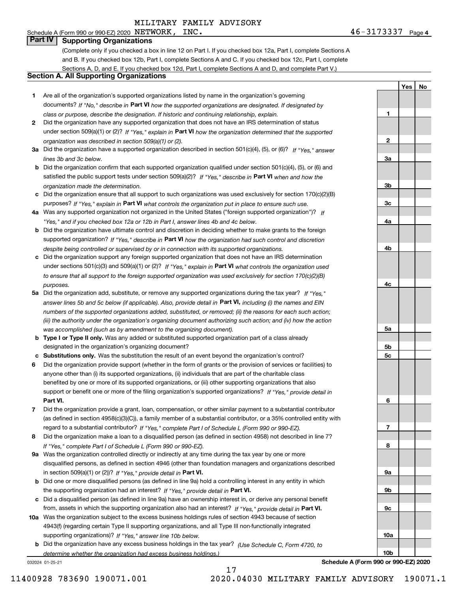# Schedule A (Form 990 or 990-EZ) 2020 NETWORK, INC.

**Part IV Supporting Organizations**

(Complete only if you checked a box in line 12 on Part I. If you checked box 12a, Part I, complete Sections A and B. If you checked box 12b, Part I, complete Sections A and C. If you checked box 12c, Part I, complete Sections A, D, and E. If you checked box 12d, Part I, complete Sections A and D, and complete Part V.)

## **Section A. All Supporting Organizations**

- **1** Are all of the organization's supported organizations listed by name in the organization's governing documents? If "No," describe in **Part VI** how the supported organizations are designated. If designated by *class or purpose, describe the designation. If historic and continuing relationship, explain.*
- **2** Did the organization have any supported organization that does not have an IRS determination of status under section 509(a)(1) or (2)? If "Yes," explain in Part VI how the organization determined that the supported *organization was described in section 509(a)(1) or (2).*
- **3a** Did the organization have a supported organization described in section 501(c)(4), (5), or (6)? If "Yes," answer *lines 3b and 3c below.*
- **b** Did the organization confirm that each supported organization qualified under section 501(c)(4), (5), or (6) and satisfied the public support tests under section 509(a)(2)? If "Yes," describe in **Part VI** when and how the *organization made the determination.*
- **c**Did the organization ensure that all support to such organizations was used exclusively for section 170(c)(2)(B) purposes? If "Yes," explain in **Part VI** what controls the organization put in place to ensure such use.
- **4a***If* Was any supported organization not organized in the United States ("foreign supported organization")? *"Yes," and if you checked box 12a or 12b in Part I, answer lines 4b and 4c below.*
- **b** Did the organization have ultimate control and discretion in deciding whether to make grants to the foreign supported organization? If "Yes," describe in **Part VI** how the organization had such control and discretion *despite being controlled or supervised by or in connection with its supported organizations.*
- **c** Did the organization support any foreign supported organization that does not have an IRS determination under sections 501(c)(3) and 509(a)(1) or (2)? If "Yes," explain in **Part VI** what controls the organization used *to ensure that all support to the foreign supported organization was used exclusively for section 170(c)(2)(B) purposes.*
- **5a** Did the organization add, substitute, or remove any supported organizations during the tax year? If "Yes," answer lines 5b and 5c below (if applicable). Also, provide detail in **Part VI,** including (i) the names and EIN *numbers of the supported organizations added, substituted, or removed; (ii) the reasons for each such action; (iii) the authority under the organization's organizing document authorizing such action; and (iv) how the action was accomplished (such as by amendment to the organizing document).*
- **b** Type I or Type II only. Was any added or substituted supported organization part of a class already designated in the organization's organizing document?
- **cSubstitutions only.**  Was the substitution the result of an event beyond the organization's control?
- **6** Did the organization provide support (whether in the form of grants or the provision of services or facilities) to **Part VI.** *If "Yes," provide detail in* support or benefit one or more of the filing organization's supported organizations? anyone other than (i) its supported organizations, (ii) individuals that are part of the charitable class benefited by one or more of its supported organizations, or (iii) other supporting organizations that also
- **7**Did the organization provide a grant, loan, compensation, or other similar payment to a substantial contributor *If "Yes," complete Part I of Schedule L (Form 990 or 990-EZ).* regard to a substantial contributor? (as defined in section 4958(c)(3)(C)), a family member of a substantial contributor, or a 35% controlled entity with
- **8** Did the organization make a loan to a disqualified person (as defined in section 4958) not described in line 7? *If "Yes," complete Part I of Schedule L (Form 990 or 990-EZ).*
- **9a** Was the organization controlled directly or indirectly at any time during the tax year by one or more in section 509(a)(1) or (2))? If "Yes," *provide detail in* <code>Part VI.</code> disqualified persons, as defined in section 4946 (other than foundation managers and organizations described
- **b**the supporting organization had an interest? If "Yes," provide detail in P**art VI**. Did one or more disqualified persons (as defined in line 9a) hold a controlling interest in any entity in which
- **c**Did a disqualified person (as defined in line 9a) have an ownership interest in, or derive any personal benefit from, assets in which the supporting organization also had an interest? If "Yes," provide detail in P**art VI.**
- **10a** Was the organization subject to the excess business holdings rules of section 4943 because of section supporting organizations)? If "Yes," answer line 10b below. 4943(f) (regarding certain Type II supporting organizations, and all Type III non-functionally integrated
- **b** Did the organization have any excess business holdings in the tax year? (Use Schedule C, Form 4720, to *determine whether the organization had excess business holdings.)*

17

032024 01-25-21

**10bSchedule A (Form 990 or 990-EZ) 2020**

**10a**

**1**

**2**

**3a**

**3b**

**3c**

**4a**

**4b**

**4c**

**5a**

**5b5c**

**6**

**7**

**8**

**9a**

**9b**

**9c**

**YesNo**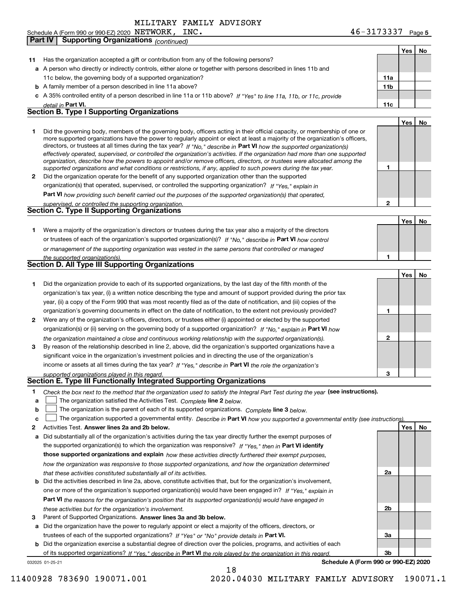**Part IV Supporting Organizations** *(continued)*

**5** Schedule A (Form 990 or 990-EZ) 2020  $N$  Bill W $O$ RK ,  $N$  LNC . The contract of the contract of the contract of the contract of the contract of the contract of the contract of the contract of the contract of the contract  $N\texttt{ETWORK}$ ,  $\texttt{INC.}$   $\texttt{46-3173337}$ 

|              |                                                                                                                                                                                                                                                           |              | Yes   No |    |
|--------------|-----------------------------------------------------------------------------------------------------------------------------------------------------------------------------------------------------------------------------------------------------------|--------------|----------|----|
| 11           | Has the organization accepted a gift or contribution from any of the following persons?                                                                                                                                                                   |              |          |    |
|              | a A person who directly or indirectly controls, either alone or together with persons described in lines 11b and                                                                                                                                          |              |          |    |
|              | 11c below, the governing body of a supported organization?                                                                                                                                                                                                | 11a          |          |    |
|              | <b>b</b> A family member of a person described in line 11a above?                                                                                                                                                                                         | 11b          |          |    |
|              | c A 35% controlled entity of a person described in line 11a or 11b above? If "Yes" to line 11a, 11b, or 11c, provide                                                                                                                                      |              |          |    |
|              | detail in Part VI.                                                                                                                                                                                                                                        | 11c          |          |    |
|              | <b>Section B. Type I Supporting Organizations</b>                                                                                                                                                                                                         |              |          |    |
|              |                                                                                                                                                                                                                                                           |              | Yes      | No |
| 1.           | Did the governing body, members of the governing body, officers acting in their official capacity, or membership of one or                                                                                                                                |              |          |    |
|              | more supported organizations have the power to regularly appoint or elect at least a majority of the organization's officers,                                                                                                                             |              |          |    |
|              | directors, or trustees at all times during the tax year? If "No," describe in Part VI how the supported organization(s)<br>effectively operated, supervised, or controlled the organization's activities. If the organization had more than one supported |              |          |    |
|              | organization, describe how the powers to appoint and/or remove officers, directors, or trustees were allocated among the                                                                                                                                  |              |          |    |
|              | supported organizations and what conditions or restrictions, if any, applied to such powers during the tax year.                                                                                                                                          | 1            |          |    |
| $\mathbf{2}$ | Did the organization operate for the benefit of any supported organization other than the supported                                                                                                                                                       |              |          |    |
|              | organization(s) that operated, supervised, or controlled the supporting organization? If "Yes," explain in                                                                                                                                                |              |          |    |
|              | Part VI how providing such benefit carried out the purposes of the supported organization(s) that operated,                                                                                                                                               |              |          |    |
|              | supervised, or controlled the supporting organization.                                                                                                                                                                                                    | $\mathbf{2}$ |          |    |
|              | <b>Section C. Type II Supporting Organizations</b>                                                                                                                                                                                                        |              |          |    |
|              |                                                                                                                                                                                                                                                           |              | Yes      | No |
| 1.           | Were a majority of the organization's directors or trustees during the tax year also a majority of the directors                                                                                                                                          |              |          |    |
|              | or trustees of each of the organization's supported organization(s)? If "No." describe in Part VI how control                                                                                                                                             |              |          |    |
|              | or management of the supporting organization was vested in the same persons that controlled or managed                                                                                                                                                    |              |          |    |
|              | the supported organization(s).                                                                                                                                                                                                                            | 1            |          |    |
|              | <b>Section D. All Type III Supporting Organizations</b>                                                                                                                                                                                                   |              |          |    |
|              |                                                                                                                                                                                                                                                           |              | Yes      | No |
| 1            | Did the organization provide to each of its supported organizations, by the last day of the fifth month of the                                                                                                                                            |              |          |    |
|              | organization's tax year, (i) a written notice describing the type and amount of support provided during the prior tax                                                                                                                                     |              |          |    |
|              | year, (ii) a copy of the Form 990 that was most recently filed as of the date of notification, and (iii) copies of the                                                                                                                                    |              |          |    |
|              | organization's governing documents in effect on the date of notification, to the extent not previously provided?                                                                                                                                          | 1            |          |    |
| 2            | Were any of the organization's officers, directors, or trustees either (i) appointed or elected by the supported                                                                                                                                          |              |          |    |
|              | organization(s) or (ii) serving on the governing body of a supported organization? If "No," explain in Part VI how                                                                                                                                        |              |          |    |
|              | the organization maintained a close and continuous working relationship with the supported organization(s).                                                                                                                                               | $\mathbf{2}$ |          |    |
| 3            | By reason of the relationship described in line 2, above, did the organization's supported organizations have a                                                                                                                                           |              |          |    |
|              | significant voice in the organization's investment policies and in directing the use of the organization's                                                                                                                                                |              |          |    |
|              | income or assets at all times during the tax year? If "Yes," describe in Part VI the role the organization's                                                                                                                                              |              |          |    |
|              | supported organizations played in this regard.<br>Section E. Type III Functionally Integrated Supporting Organizations                                                                                                                                    | з            |          |    |
|              |                                                                                                                                                                                                                                                           |              |          |    |
| 1            | Check the box next to the method that the organization used to satisfy the Integral Part Test during the year (see instructions).                                                                                                                         |              |          |    |
| a            | The organization satisfied the Activities Test. Complete line 2 below.                                                                                                                                                                                    |              |          |    |
| b            | The organization is the parent of each of its supported organizations. Complete line 3 below.                                                                                                                                                             |              |          |    |
| c            | The organization supported a governmental entity. Describe in Part VI how you supported a governmental entity (see instructions)<br>Activities Test. Answer lines 2a and 2b below.                                                                        |              |          |    |
| 2            |                                                                                                                                                                                                                                                           |              | Yes      | No |
| a            | Did substantially all of the organization's activities during the tax year directly further the exempt purposes of                                                                                                                                        |              |          |    |
|              | the supported organization(s) to which the organization was responsive? If "Yes," then in Part VI identify                                                                                                                                                |              |          |    |
|              | those supported organizations and explain how these activities directly furthered their exempt purposes,                                                                                                                                                  |              |          |    |
|              | how the organization was responsive to those supported organizations, and how the organization determined                                                                                                                                                 | 2a           |          |    |
|              | that these activities constituted substantially all of its activities.                                                                                                                                                                                    |              |          |    |
|              | <b>b</b> Did the activities described in line 2a, above, constitute activities that, but for the organization's involvement,<br>one or more of the organization's supported organization(s) would have been engaged in? If "Yes," explain in              |              |          |    |
|              |                                                                                                                                                                                                                                                           |              |          |    |
|              | Part VI the reasons for the organization's position that its supported organization(s) would have engaged in                                                                                                                                              | 2b           |          |    |
| з            | these activities but for the organization's involvement.<br>Parent of Supported Organizations. Answer lines 3a and 3b below.                                                                                                                              |              |          |    |
|              | a Did the organization have the power to regularly appoint or elect a majority of the officers, directors, or                                                                                                                                             |              |          |    |
|              | trustees of each of the supported organizations? If "Yes" or "No" provide details in Part VI.                                                                                                                                                             | За           |          |    |
|              | <b>b</b> Did the organization exercise a substantial degree of direction over the policies, programs, and activities of each                                                                                                                              |              |          |    |
|              | of its supported organizations? If "Yes." describe in Part VI the role played by the organization in this regard.                                                                                                                                         | 3b           |          |    |
|              | Schedule A (Form 990 or 990-EZ) 2020<br>032025 01-25-21                                                                                                                                                                                                   |              |          |    |
|              | 18                                                                                                                                                                                                                                                        |              |          |    |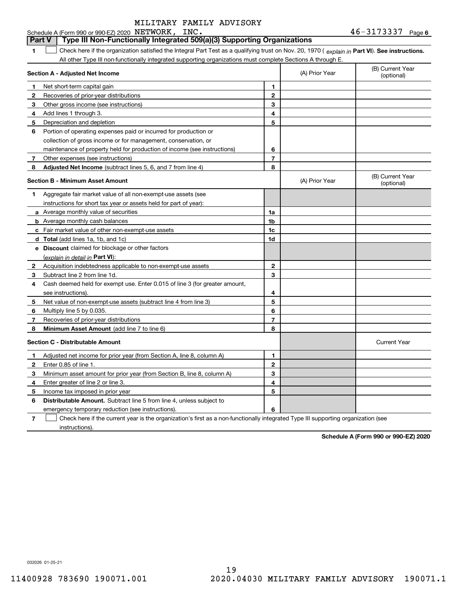#### **6**NETWORK, INC. 46-3173337 **1Part VI** Check here if the organization satisfied the Integral Part Test as a qualifying trust on Nov. 20, 1970 ( explain in Part **VI**). See instructions. **Section A - Adjusted Net Income 12** Recoveries of prior-year distributions **3** Other gross income (see instructions) **4**Add lines 1 through 3. **56** Portion of operating expenses paid or incurred for production or **7** Other expenses (see instructions) **8** Adjusted Net Income (subtract lines 5, 6, and 7 from line 4) **8 8 1234567Section B - Minimum Asset Amount 1**Aggregate fair market value of all non-exempt-use assets (see **2**Acquisition indebtedness applicable to non-exempt-use assets **3** Subtract line 2 from line 1d. **4**Cash deemed held for exempt use. Enter 0.015 of line 3 (for greater amount, **5** Net value of non-exempt-use assets (subtract line 4 from line 3) **678a** Average monthly value of securities **b** Average monthly cash balances **c**Fair market value of other non-exempt-use assets **dTotal**  (add lines 1a, 1b, and 1c) **eDiscount** claimed for blockage or other factors **1a1b1c1d2345678**(explain in detail in Part VI): **Minimum Asset Amount**  (add line 7 to line 6) **Section C - Distributable Amount 12**Enter 0.85 of line 1. **3456123456Distributable Amount.** Subtract line 5 from line 4, unless subject to Schedule A (Form 990 or 990-EZ) 2020 NETWORK, INC. All other Type III non-functionally integrated supporting organizations must complete Sections A through E. (B) Current Year (optional)(A) Prior Year Net short-term capital gain Depreciation and depletion collection of gross income or for management, conservation, or maintenance of property held for production of income (see instructions) (B) Current Year (optional)(A) Prior Year instructions for short tax year or assets held for part of year): see instructions). Multiply line 5 by 0.035. Recoveries of prior-year distributions Current Year Adjusted net income for prior year (from Section A, line 8, column A) Minimum asset amount for prior year (from Section B, line 8, column A) Enter greater of line 2 or line 3. Income tax imposed in prior year emergency temporary reduction (see instructions). **Part V Type III Non-Functionally Integrated 509(a)(3) Supporting Organizations**   $\mathcal{L}^{\text{max}}$

**7**Check here if the current year is the organization's first as a non-functionally integrated Type III supporting organization (see instructions). $\mathcal{L}^{\text{max}}$ 

**Schedule A (Form 990 or 990-EZ) 2020**

032026 01-25-21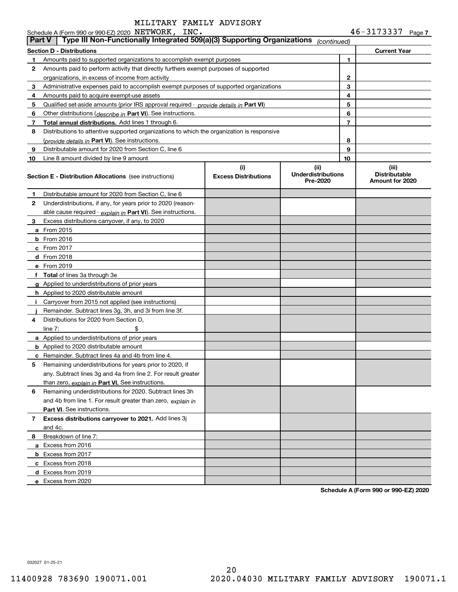| <b>Part V</b> | Schedule A (Form 990 or 990-EZ) 2020 NETWORK, INC.<br>Type III Non-Functionally Integrated 509(a)(3) Supporting Organizations |                                    |                                               |        | $46 - 3173337$ Page 7                            |
|---------------|-------------------------------------------------------------------------------------------------------------------------------|------------------------------------|-----------------------------------------------|--------|--------------------------------------------------|
|               |                                                                                                                               |                                    | (continued)                                   |        |                                                  |
|               | <b>Section D - Distributions</b>                                                                                              |                                    |                                               |        | <b>Current Year</b>                              |
| 1             | Amounts paid to supported organizations to accomplish exempt purposes                                                         |                                    |                                               | 1      |                                                  |
| 2             | Amounts paid to perform activity that directly furthers exempt purposes of supported                                          |                                    |                                               |        |                                                  |
|               | organizations, in excess of income from activity                                                                              |                                    |                                               | 2<br>3 |                                                  |
| 3             | Administrative expenses paid to accomplish exempt purposes of supported organizations                                         |                                    |                                               |        |                                                  |
| 4             | Amounts paid to acquire exempt-use assets                                                                                     |                                    |                                               | 4      |                                                  |
| 5             | Qualified set-aside amounts (prior IRS approval required - provide details in Part VI)                                        |                                    |                                               | 5      |                                                  |
| 6             | Other distributions ( <i>describe in</i> Part VI). See instructions.                                                          |                                    |                                               | 6      |                                                  |
| 7             | Total annual distributions. Add lines 1 through 6.                                                                            |                                    |                                               | 7      |                                                  |
| 8             | Distributions to attentive supported organizations to which the organization is responsive                                    |                                    |                                               |        |                                                  |
|               | (provide details in Part VI). See instructions.                                                                               |                                    |                                               | 8      |                                                  |
| 9             | Distributable amount for 2020 from Section C, line 6                                                                          |                                    |                                               | 9      |                                                  |
| 10            | Line 8 amount divided by line 9 amount                                                                                        |                                    |                                               | 10     |                                                  |
|               | <b>Section E - Distribution Allocations</b> (see instructions)                                                                | (i)<br><b>Excess Distributions</b> | (ii)<br><b>Underdistributions</b><br>Pre-2020 |        | (iii)<br><b>Distributable</b><br>Amount for 2020 |
| 1             | Distributable amount for 2020 from Section C, line 6                                                                          |                                    |                                               |        |                                                  |
| 2             | Underdistributions, if any, for years prior to 2020 (reason-                                                                  |                                    |                                               |        |                                                  |
|               | able cause required - explain in Part VI). See instructions.                                                                  |                                    |                                               |        |                                                  |
| 3             | Excess distributions carryover, if any, to 2020                                                                               |                                    |                                               |        |                                                  |
|               | a From 2015                                                                                                                   |                                    |                                               |        |                                                  |
|               | <b>b</b> From 2016                                                                                                            |                                    |                                               |        |                                                  |
|               | c From 2017                                                                                                                   |                                    |                                               |        |                                                  |
|               | d From 2018                                                                                                                   |                                    |                                               |        |                                                  |
|               | e From 2019                                                                                                                   |                                    |                                               |        |                                                  |
|               | f Total of lines 3a through 3e                                                                                                |                                    |                                               |        |                                                  |
|               | g Applied to underdistributions of prior years                                                                                |                                    |                                               |        |                                                  |
|               | <b>h</b> Applied to 2020 distributable amount                                                                                 |                                    |                                               |        |                                                  |
| $\mathbf{L}$  | Carryover from 2015 not applied (see instructions)                                                                            |                                    |                                               |        |                                                  |
|               | Remainder. Subtract lines 3g, 3h, and 3i from line 3f.                                                                        |                                    |                                               |        |                                                  |
| 4             | Distributions for 2020 from Section D,                                                                                        |                                    |                                               |        |                                                  |
|               | line $7:$                                                                                                                     |                                    |                                               |        |                                                  |
|               | a Applied to underdistributions of prior years                                                                                |                                    |                                               |        |                                                  |
|               | <b>b</b> Applied to 2020 distributable amount                                                                                 |                                    |                                               |        |                                                  |
|               | c Remainder. Subtract lines 4a and 4b from line 4.                                                                            |                                    |                                               |        |                                                  |
|               | 5 Remaining underdistributions for years prior to 2020, if                                                                    |                                    |                                               |        |                                                  |
|               | any. Subtract lines 3g and 4a from line 2. For result greater                                                                 |                                    |                                               |        |                                                  |
|               | than zero, explain in Part VI. See instructions.                                                                              |                                    |                                               |        |                                                  |
| 6             | Remaining underdistributions for 2020. Subtract lines 3h                                                                      |                                    |                                               |        |                                                  |
|               | and 4b from line 1. For result greater than zero, explain in                                                                  |                                    |                                               |        |                                                  |
|               | <b>Part VI.</b> See instructions.                                                                                             |                                    |                                               |        |                                                  |
| 7             | Excess distributions carryover to 2021. Add lines 3j                                                                          |                                    |                                               |        |                                                  |
|               | and 4c.                                                                                                                       |                                    |                                               |        |                                                  |
| 8             | Breakdown of line 7:                                                                                                          |                                    |                                               |        |                                                  |
|               | a Excess from 2016                                                                                                            |                                    |                                               |        |                                                  |
|               | <b>b</b> Excess from 2017                                                                                                     |                                    |                                               |        |                                                  |
|               | c Excess from 2018                                                                                                            |                                    |                                               |        |                                                  |
|               | d Excess from 2019                                                                                                            |                                    |                                               |        |                                                  |
|               | e Excess from 2020                                                                                                            |                                    |                                               |        |                                                  |
|               |                                                                                                                               |                                    |                                               |        |                                                  |

**Schedule A (Form 990 or 990-EZ) 2020**

032027 01-25-21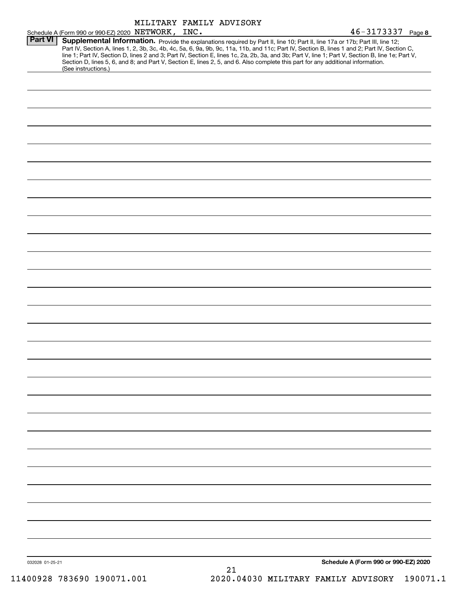|                 |                                                                                                                                                                                                                                                                                                                                                                                                                                                                                                                                                                                             | MILITARY FAMILY ADVISORY |    |  |                                      |  |
|-----------------|---------------------------------------------------------------------------------------------------------------------------------------------------------------------------------------------------------------------------------------------------------------------------------------------------------------------------------------------------------------------------------------------------------------------------------------------------------------------------------------------------------------------------------------------------------------------------------------------|--------------------------|----|--|--------------------------------------|--|
|                 | Schedule A (Form 990 or 990-EZ) 2020 NETWORK, INC.                                                                                                                                                                                                                                                                                                                                                                                                                                                                                                                                          |                          |    |  | $46 - 3173337$ Page 8                |  |
| <b>Part VI</b>  | Supplemental Information. Provide the explanations required by Part II, line 10; Part II, line 17a or 17b; Part III, line 12;<br>Part IV, Section A, lines 1, 2, 3b, 3c, 4b, 4c, 5a, 6, 9a, 9b, 9c, 11a, 11b, and 11c; Part IV, Section B, lines 1 and 2; Part IV, Section C,<br>line 1; Part IV, Section D, lines 2 and 3; Part IV, Section E, lines 1c, 2a, 2b, 3a, and 3b; Part V, line 1; Part V, Section B, line 1e; Part V,<br>Section D, lines 5, 6, and 8; and Part V, Section E, lines 2, 5, and 6. Also complete this part for any additional information.<br>(See instructions.) |                          |    |  |                                      |  |
|                 |                                                                                                                                                                                                                                                                                                                                                                                                                                                                                                                                                                                             |                          |    |  |                                      |  |
|                 |                                                                                                                                                                                                                                                                                                                                                                                                                                                                                                                                                                                             |                          |    |  |                                      |  |
|                 |                                                                                                                                                                                                                                                                                                                                                                                                                                                                                                                                                                                             |                          |    |  |                                      |  |
|                 |                                                                                                                                                                                                                                                                                                                                                                                                                                                                                                                                                                                             |                          |    |  |                                      |  |
|                 |                                                                                                                                                                                                                                                                                                                                                                                                                                                                                                                                                                                             |                          |    |  |                                      |  |
|                 |                                                                                                                                                                                                                                                                                                                                                                                                                                                                                                                                                                                             |                          |    |  |                                      |  |
|                 |                                                                                                                                                                                                                                                                                                                                                                                                                                                                                                                                                                                             |                          |    |  |                                      |  |
|                 |                                                                                                                                                                                                                                                                                                                                                                                                                                                                                                                                                                                             |                          |    |  |                                      |  |
|                 |                                                                                                                                                                                                                                                                                                                                                                                                                                                                                                                                                                                             |                          |    |  |                                      |  |
|                 |                                                                                                                                                                                                                                                                                                                                                                                                                                                                                                                                                                                             |                          |    |  |                                      |  |
|                 |                                                                                                                                                                                                                                                                                                                                                                                                                                                                                                                                                                                             |                          |    |  |                                      |  |
|                 |                                                                                                                                                                                                                                                                                                                                                                                                                                                                                                                                                                                             |                          |    |  |                                      |  |
|                 |                                                                                                                                                                                                                                                                                                                                                                                                                                                                                                                                                                                             |                          |    |  |                                      |  |
|                 |                                                                                                                                                                                                                                                                                                                                                                                                                                                                                                                                                                                             |                          |    |  |                                      |  |
|                 |                                                                                                                                                                                                                                                                                                                                                                                                                                                                                                                                                                                             |                          |    |  |                                      |  |
|                 |                                                                                                                                                                                                                                                                                                                                                                                                                                                                                                                                                                                             |                          |    |  |                                      |  |
|                 |                                                                                                                                                                                                                                                                                                                                                                                                                                                                                                                                                                                             |                          |    |  |                                      |  |
|                 |                                                                                                                                                                                                                                                                                                                                                                                                                                                                                                                                                                                             |                          |    |  |                                      |  |
|                 |                                                                                                                                                                                                                                                                                                                                                                                                                                                                                                                                                                                             |                          |    |  |                                      |  |
|                 |                                                                                                                                                                                                                                                                                                                                                                                                                                                                                                                                                                                             |                          |    |  |                                      |  |
|                 |                                                                                                                                                                                                                                                                                                                                                                                                                                                                                                                                                                                             |                          |    |  |                                      |  |
|                 |                                                                                                                                                                                                                                                                                                                                                                                                                                                                                                                                                                                             |                          |    |  |                                      |  |
|                 |                                                                                                                                                                                                                                                                                                                                                                                                                                                                                                                                                                                             |                          |    |  |                                      |  |
|                 |                                                                                                                                                                                                                                                                                                                                                                                                                                                                                                                                                                                             |                          |    |  |                                      |  |
|                 |                                                                                                                                                                                                                                                                                                                                                                                                                                                                                                                                                                                             |                          |    |  |                                      |  |
|                 |                                                                                                                                                                                                                                                                                                                                                                                                                                                                                                                                                                                             |                          |    |  |                                      |  |
|                 |                                                                                                                                                                                                                                                                                                                                                                                                                                                                                                                                                                                             |                          |    |  |                                      |  |
|                 |                                                                                                                                                                                                                                                                                                                                                                                                                                                                                                                                                                                             |                          |    |  |                                      |  |
|                 |                                                                                                                                                                                                                                                                                                                                                                                                                                                                                                                                                                                             |                          |    |  |                                      |  |
|                 |                                                                                                                                                                                                                                                                                                                                                                                                                                                                                                                                                                                             |                          |    |  |                                      |  |
|                 |                                                                                                                                                                                                                                                                                                                                                                                                                                                                                                                                                                                             |                          |    |  |                                      |  |
|                 |                                                                                                                                                                                                                                                                                                                                                                                                                                                                                                                                                                                             |                          |    |  |                                      |  |
|                 |                                                                                                                                                                                                                                                                                                                                                                                                                                                                                                                                                                                             |                          |    |  |                                      |  |
|                 |                                                                                                                                                                                                                                                                                                                                                                                                                                                                                                                                                                                             |                          |    |  |                                      |  |
|                 |                                                                                                                                                                                                                                                                                                                                                                                                                                                                                                                                                                                             |                          |    |  |                                      |  |
| 032028 01-25-21 |                                                                                                                                                                                                                                                                                                                                                                                                                                                                                                                                                                                             |                          | 21 |  | Schedule A (Form 990 or 990-EZ) 2020 |  |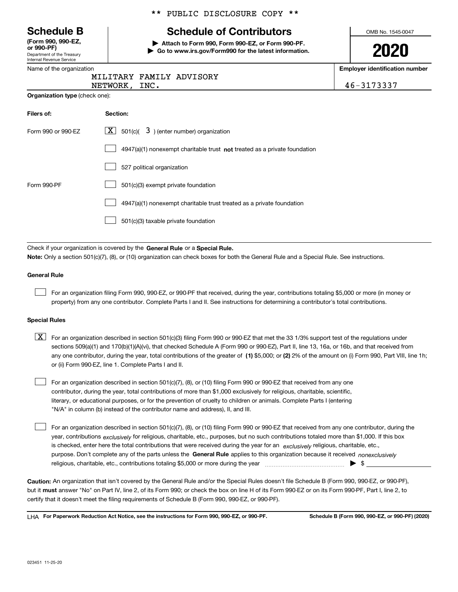| <b>Schedule B</b> |  |  |  |
|-------------------|--|--|--|
|-------------------|--|--|--|

Department of the Treasury Internal Revenue Service **(Form 990, 990-EZ, or 990-PF)**

|  |  | ** PUBLIC DISCLOSURE COPY ** |  |  |
|--|--|------------------------------|--|--|
|--|--|------------------------------|--|--|

# **Schedule of Contributors**

**| Attach to Form 990, Form 990-EZ, or Form 990-PF. | Go to www.irs.gov/Form990 for the latest information.** OMB No. 1545-0047

| J | Λ | ∽<br>J<br>17 | I |  |
|---|---|--------------|---|--|
|   |   |              |   |  |

mber

| Name of the organization              |                                                                                    | <b>Employer identification nur</b> |
|---------------------------------------|------------------------------------------------------------------------------------|------------------------------------|
|                                       | MILITARY FAMILY ADVISORY                                                           |                                    |
|                                       | NETWORK, INC.                                                                      | 46-3173337                         |
| <b>Organization type (check one):</b> |                                                                                    |                                    |
| Filers of:                            | Section:                                                                           |                                    |
| Form 990 or 990-EZ                    | $501(c)$ $\left( 3 \right)$ (enter number) organization<br>  X                     |                                    |
|                                       | $4947(a)(1)$ nonexempt charitable trust <b>not</b> treated as a private foundation |                                    |
|                                       | 527 political organization                                                         |                                    |
| Form 990-PF                           | 501(c)(3) exempt private foundation                                                |                                    |
|                                       | 4947(a)(1) nonexempt charitable trust treated as a private foundation              |                                    |
|                                       | 501(c)(3) taxable private foundation                                               |                                    |
|                                       | Check if your organization is covered by the General Rule or a Special Rule.       |                                    |

**Note:**  Only a section 501(c)(7), (8), or (10) organization can check boxes for both the General Rule and a Special Rule. See instructions.

#### **General Rule**

 $\mathcal{L}^{\text{max}}$ 

For an organization filing Form 990, 990-EZ, or 990-PF that received, during the year, contributions totaling \$5,000 or more (in money or property) from any one contributor. Complete Parts I and II. See instructions for determining a contributor's total contributions.

#### **Special Rules**

any one contributor, during the year, total contributions of the greater of  $\,$  (1) \$5,000; or **(2)** 2% of the amount on (i) Form 990, Part VIII, line 1h;  $\boxed{\textbf{X}}$  For an organization described in section 501(c)(3) filing Form 990 or 990-EZ that met the 33 1/3% support test of the regulations under sections 509(a)(1) and 170(b)(1)(A)(vi), that checked Schedule A (Form 990 or 990-EZ), Part II, line 13, 16a, or 16b, and that received from or (ii) Form 990-EZ, line 1. Complete Parts I and II.

For an organization described in section 501(c)(7), (8), or (10) filing Form 990 or 990-EZ that received from any one contributor, during the year, total contributions of more than \$1,000 exclusively for religious, charitable, scientific, literary, or educational purposes, or for the prevention of cruelty to children or animals. Complete Parts I (entering "N/A" in column (b) instead of the contributor name and address), II, and III.  $\mathcal{L}^{\text{max}}$ 

purpose. Don't complete any of the parts unless the **General Rule** applies to this organization because it received *nonexclusively* year, contributions <sub>exclusively</sub> for religious, charitable, etc., purposes, but no such contributions totaled more than \$1,000. If this box is checked, enter here the total contributions that were received during the year for an  $\;$ exclusively religious, charitable, etc., For an organization described in section 501(c)(7), (8), or (10) filing Form 990 or 990-EZ that received from any one contributor, during the religious, charitable, etc., contributions totaling \$5,000 or more during the year  $\Box$ — $\Box$  =  $\Box$  $\mathcal{L}^{\text{max}}$ 

**Caution:**  An organization that isn't covered by the General Rule and/or the Special Rules doesn't file Schedule B (Form 990, 990-EZ, or 990-PF),  **must** but it answer "No" on Part IV, line 2, of its Form 990; or check the box on line H of its Form 990-EZ or on its Form 990-PF, Part I, line 2, to certify that it doesn't meet the filing requirements of Schedule B (Form 990, 990-EZ, or 990-PF).

**For Paperwork Reduction Act Notice, see the instructions for Form 990, 990-EZ, or 990-PF. Schedule B (Form 990, 990-EZ, or 990-PF) (2020)** LHA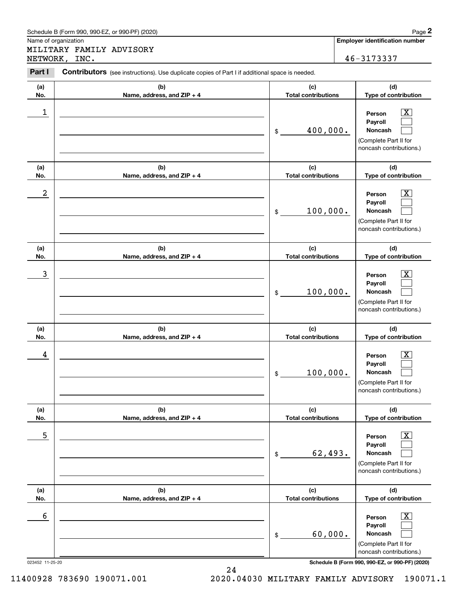|                  | Schedule B (Form 990, 990-EZ, or 990-PF) (2020)                                                |                                   | Page 2                                                                                                      |
|------------------|------------------------------------------------------------------------------------------------|-----------------------------------|-------------------------------------------------------------------------------------------------------------|
|                  | Name of organization<br>MILITARY FAMILY ADVISORY                                               |                                   | <b>Employer identification number</b>                                                                       |
|                  | NETWORK, INC.                                                                                  |                                   | 46-3173337                                                                                                  |
| Part I           | Contributors (see instructions). Use duplicate copies of Part I if additional space is needed. |                                   |                                                                                                             |
| (a)<br>No.       | (b)<br>Name, address, and ZIP + 4                                                              | (c)<br><b>Total contributions</b> | (d)<br>Type of contribution                                                                                 |
| 1                |                                                                                                | 400,000.<br>\$                    | X<br>Person<br>Payroll<br>Noncash<br>(Complete Part II for<br>noncash contributions.)                       |
| (a)<br>No.       | (b)<br>Name, address, and ZIP + 4                                                              | (c)<br><b>Total contributions</b> | (d)<br>Type of contribution                                                                                 |
| $\boldsymbol{2}$ |                                                                                                | 100,000.<br>\$                    | X<br>Person<br>Payroll<br>Noncash<br>(Complete Part II for<br>noncash contributions.)                       |
| (a)              | (b)                                                                                            | (c)                               | (d)                                                                                                         |
| No.              | Name, address, and ZIP + 4                                                                     | <b>Total contributions</b>        | Type of contribution                                                                                        |
| 3                |                                                                                                | 100,000.<br>\$                    | X<br>Person<br>Payroll<br>Noncash<br>(Complete Part II for<br>noncash contributions.)                       |
| (a)<br>No.       | (b)<br>Name, address, and ZIP + 4                                                              | (c)<br><b>Total contributions</b> | (d)<br>Type of contribution                                                                                 |
| 4                |                                                                                                | 100,000.<br>\$                    | $\overline{\text{X}}$<br>Person<br>Payroll<br>Noncash<br>(Complete Part II for<br>noncash contributions.)   |
| (a)<br>No.       | (b)<br>Name, address, and ZIP + 4                                                              | (c)<br><b>Total contributions</b> | (d)<br>Type of contribution                                                                                 |
| 5                |                                                                                                | 62,493.<br>\$                     | $\overline{\mathbf{X}}$<br>Person<br>Payroll<br>Noncash<br>(Complete Part II for<br>noncash contributions.) |
| (a)<br>No.       | (b)<br>Name, address, and ZIP + 4                                                              | (c)<br><b>Total contributions</b> | (d)<br>Type of contribution                                                                                 |
| 6                |                                                                                                | 60,000.<br>\$                     | $\overline{\mathbf{X}}$<br>Person<br>Payroll<br>Noncash<br>(Complete Part II for<br>noncash contributions.) |
| 023452 11-25-20  |                                                                                                |                                   | Schedule B (Form 990, 990-EZ, or 990-PF) (2020)                                                             |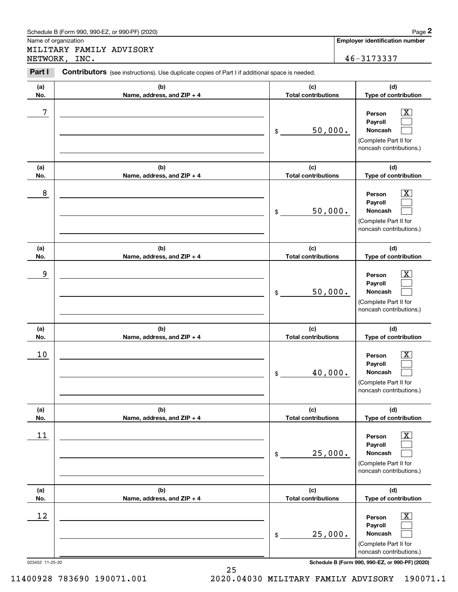|                      | Schedule B (Form 990, 990-EZ, or 990-PF) (2020)                                                |                                             | Page 2                                                                                                        |
|----------------------|------------------------------------------------------------------------------------------------|---------------------------------------------|---------------------------------------------------------------------------------------------------------------|
| Name of organization | MILITARY FAMILY ADVISORY                                                                       |                                             | <b>Employer identification number</b>                                                                         |
|                      | NETWORK, INC.                                                                                  |                                             | 46-3173337                                                                                                    |
| Part I               | Contributors (see instructions). Use duplicate copies of Part I if additional space is needed. |                                             |                                                                                                               |
| (a)<br>No.           | (b)<br>Name, address, and ZIP + 4                                                              | (c)<br><b>Total contributions</b>           | (d)<br>Type of contribution                                                                                   |
| 7                    |                                                                                                | 50,000.<br>\$                               | X<br>Person<br>Payroll<br><b>Noncash</b><br>(Complete Part II for<br>noncash contributions.)                  |
| (a)<br>No.           | (b)<br>Name, address, and ZIP + 4                                                              | (c)<br><b>Total contributions</b>           | (d)<br>Type of contribution                                                                                   |
| 8                    |                                                                                                | 50,000.<br>\$                               | X<br>Person<br>Payroll<br>Noncash<br>(Complete Part II for<br>noncash contributions.)                         |
| (a)                  | (b)                                                                                            | (c)                                         | (d)                                                                                                           |
| No.<br>9             | Name, address, and ZIP + 4                                                                     | <b>Total contributions</b><br>50,000.<br>\$ | Type of contribution<br>X<br>Person<br>Payroll<br>Noncash<br>(Complete Part II for<br>noncash contributions.) |
| (a)<br>No.           | (b)<br>Name, address, and ZIP + 4                                                              | (c)<br><b>Total contributions</b>           | (d)<br>Type of contribution                                                                                   |
| 10                   |                                                                                                | 40,000.<br>\$                               | $\overline{\text{X}}$<br>Person<br>Payroll<br>Noncash<br>(Complete Part II for<br>noncash contributions.)     |
| (a)<br>No.           | (b)<br>Name, address, and ZIP + 4                                                              | (c)<br><b>Total contributions</b>           | (d)<br>Type of contribution                                                                                   |
| 11                   |                                                                                                | 25,000.<br>\$                               | $\overline{\mathbf{X}}$<br>Person<br>Payroll<br>Noncash<br>(Complete Part II for<br>noncash contributions.)   |
| (a)<br>No.           | (b)<br>Name, address, and ZIP + 4                                                              | (c)<br><b>Total contributions</b>           | (d)<br>Type of contribution                                                                                   |
| 12                   |                                                                                                | 25,000.<br>\$                               | $\mathbf{X}$<br>Person<br>Payroll<br>Noncash<br>(Complete Part II for<br>noncash contributions.)              |
| 023452 11-25-20      |                                                                                                |                                             | Schedule B (Form 990, 990-EZ, or 990-PF) (2020)                                                               |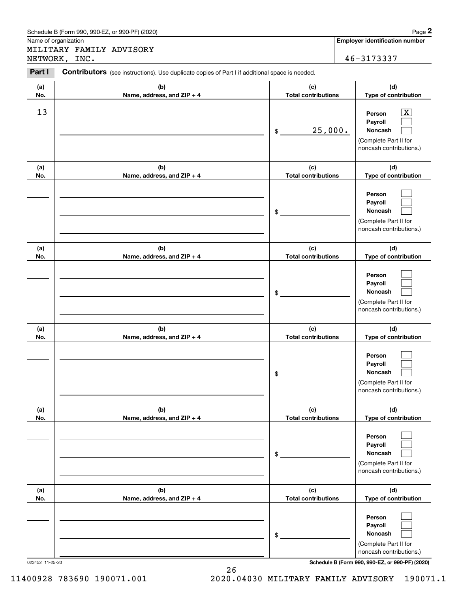|                      | Schedule B (Form 990, 990-EZ, or 990-PF) (2020)                                                                 |                                             | Page 2                                                                                                        |
|----------------------|-----------------------------------------------------------------------------------------------------------------|---------------------------------------------|---------------------------------------------------------------------------------------------------------------|
| Name of organization | MILITARY FAMILY ADVISORY                                                                                        |                                             | <b>Employer identification number</b>                                                                         |
| Part I               | NETWORK, INC.<br>Contributors (see instructions). Use duplicate copies of Part I if additional space is needed. |                                             | 46-3173337                                                                                                    |
| (a)                  | (b)                                                                                                             | (c)                                         | (d)                                                                                                           |
| No.<br>13            | Name, address, and ZIP + 4                                                                                      | <b>Total contributions</b><br>25,000.<br>\$ | Type of contribution<br>x<br>Person<br>Payroll<br>Noncash<br>(Complete Part II for<br>noncash contributions.) |
| (a)<br>No.           | (b)<br>Name, address, and ZIP + 4                                                                               | (c)<br><b>Total contributions</b>           | (d)<br>Type of contribution                                                                                   |
|                      |                                                                                                                 | \$                                          | Person<br>Payroll<br>Noncash<br>(Complete Part II for<br>noncash contributions.)                              |
| (a)<br>No.           | (b)<br>Name, address, and ZIP + 4                                                                               | (c)<br><b>Total contributions</b>           | (d)<br>Type of contribution                                                                                   |
|                      |                                                                                                                 | \$                                          | Person<br>Payroll<br>Noncash<br>(Complete Part II for<br>noncash contributions.)                              |
| (a)<br>No.           | (b)<br>Name, address, and ZIP + 4                                                                               | (c)<br><b>Total contributions</b>           | (d)<br>Type of contribution                                                                                   |
|                      |                                                                                                                 | \$                                          | Person<br>Payroll<br>Noncash<br>(Complete Part II for<br>noncash contributions.)                              |
| (a)<br>No.           | (b)<br>Name, address, and ZIP + 4                                                                               | (c)<br><b>Total contributions</b>           | (d)<br>Type of contribution                                                                                   |
|                      |                                                                                                                 | \$                                          | Person<br>Payroll<br>Noncash<br>(Complete Part II for<br>noncash contributions.)                              |
| (a)<br>No.           | (b)<br>Name, address, and ZIP + 4                                                                               | (c)<br><b>Total contributions</b>           | (d)<br>Type of contribution                                                                                   |
|                      |                                                                                                                 | \$                                          | Person<br>Payroll<br>Noncash<br>(Complete Part II for<br>noncash contributions.)                              |

023452 11-25-20 **Schedule B (Form 990, 990-EZ, or 990-PF) (2020)**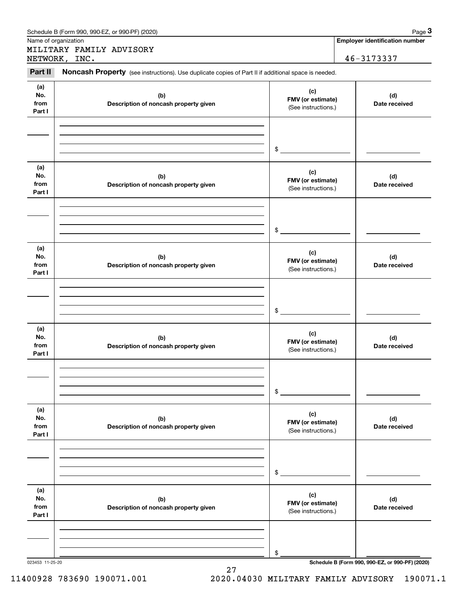| Name of organization<br>NETWORK, INC.<br>Part II<br>(a)<br>No.<br>from<br>Part I | MILITARY FAMILY ADVISORY<br>Noncash Property (see instructions). Use duplicate copies of Part II if additional space is needed.<br>(b)<br>Description of noncash property given | (c)<br>FMV (or estimate)<br>(See instructions.) | <b>Employer identification number</b><br>46-3173337<br>(d)<br>Date received |
|----------------------------------------------------------------------------------|---------------------------------------------------------------------------------------------------------------------------------------------------------------------------------|-------------------------------------------------|-----------------------------------------------------------------------------|
|                                                                                  |                                                                                                                                                                                 |                                                 |                                                                             |
|                                                                                  |                                                                                                                                                                                 |                                                 |                                                                             |
|                                                                                  |                                                                                                                                                                                 |                                                 |                                                                             |
|                                                                                  |                                                                                                                                                                                 | \$                                              |                                                                             |
| (a)<br>No.<br>from<br>Part I                                                     | (b)<br>Description of noncash property given                                                                                                                                    | (c)<br>FMV (or estimate)<br>(See instructions.) | (d)<br>Date received                                                        |
|                                                                                  |                                                                                                                                                                                 | \$                                              |                                                                             |
| (a)<br>No.<br>from<br>Part I                                                     | (b)<br>Description of noncash property given                                                                                                                                    | (c)<br>FMV (or estimate)<br>(See instructions.) | (d)<br>Date received                                                        |
|                                                                                  |                                                                                                                                                                                 | \$                                              |                                                                             |
| (a)<br>No.<br>from<br>Part I                                                     | (b)<br>Description of noncash property given                                                                                                                                    | (c)<br>FMV (or estimate)<br>(See instructions.) | (d)<br>Date received                                                        |
|                                                                                  |                                                                                                                                                                                 | \$                                              |                                                                             |
| (a)<br>No.<br>from<br>Part I                                                     | (b)<br>Description of noncash property given                                                                                                                                    | (c)<br>FMV (or estimate)<br>(See instructions.) | (d)<br>Date received                                                        |
|                                                                                  |                                                                                                                                                                                 | \$                                              |                                                                             |
| (a)<br>No.<br>from<br>Part I                                                     | (b)<br>Description of noncash property given                                                                                                                                    | (c)<br>FMV (or estimate)<br>(See instructions.) | (d)<br>Date received                                                        |
|                                                                                  |                                                                                                                                                                                 | \$                                              |                                                                             |

27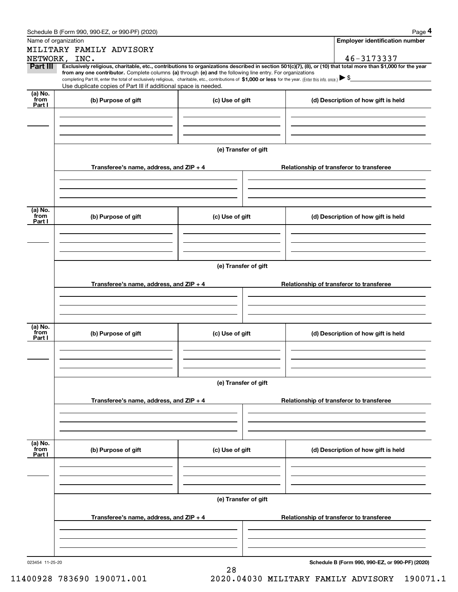| Schedule B (Form 990. 990-EZ. or 990-PF) (2020) | Page |  |
|-------------------------------------------------|------|--|
|-------------------------------------------------|------|--|

|                 | Schedule B (Form 990, 990-EZ, or 990-PF) (2020)                                                                                                                                   |                      | Page 4                                                                                                                                                         |
|-----------------|-----------------------------------------------------------------------------------------------------------------------------------------------------------------------------------|----------------------|----------------------------------------------------------------------------------------------------------------------------------------------------------------|
|                 | Name of organization                                                                                                                                                              |                      | <b>Employer identification number</b>                                                                                                                          |
|                 | MILITARY FAMILY ADVISORY                                                                                                                                                          |                      |                                                                                                                                                                |
| <b>Part III</b> | NETWORK, INC.                                                                                                                                                                     |                      | 46-3173337                                                                                                                                                     |
|                 | from any one contributor. Complete columns (a) through (e) and the following line entry. For organizations                                                                        |                      | Exclusively religious, charitable, etc., contributions to organizations described in section 501(c)(7), (8), or (10) that total more than \$1,000 for the year |
|                 | completing Part III, enter the total of exclusively religious, charitable, etc., contributions of \$1,000 or less for the year. (Enter this info. once.) $\blacktriangleright$ \$ |                      |                                                                                                                                                                |
| (a) No.         | Use duplicate copies of Part III if additional space is needed.                                                                                                                   |                      |                                                                                                                                                                |
| from<br>Part I  | (b) Purpose of gift                                                                                                                                                               | (c) Use of gift      | (d) Description of how gift is held                                                                                                                            |
|                 |                                                                                                                                                                                   |                      |                                                                                                                                                                |
|                 |                                                                                                                                                                                   |                      |                                                                                                                                                                |
|                 |                                                                                                                                                                                   |                      |                                                                                                                                                                |
|                 |                                                                                                                                                                                   |                      |                                                                                                                                                                |
|                 |                                                                                                                                                                                   | (e) Transfer of gift |                                                                                                                                                                |
|                 |                                                                                                                                                                                   |                      |                                                                                                                                                                |
|                 | Transferee's name, address, and ZIP + 4                                                                                                                                           |                      | Relationship of transferor to transferee                                                                                                                       |
|                 |                                                                                                                                                                                   |                      |                                                                                                                                                                |
|                 |                                                                                                                                                                                   |                      |                                                                                                                                                                |
|                 |                                                                                                                                                                                   |                      |                                                                                                                                                                |
| (a) No.         |                                                                                                                                                                                   |                      |                                                                                                                                                                |
| from<br>Part I  | (b) Purpose of gift                                                                                                                                                               | (c) Use of gift      | (d) Description of how gift is held                                                                                                                            |
|                 |                                                                                                                                                                                   |                      |                                                                                                                                                                |
|                 |                                                                                                                                                                                   |                      |                                                                                                                                                                |
|                 |                                                                                                                                                                                   |                      |                                                                                                                                                                |
|                 |                                                                                                                                                                                   |                      |                                                                                                                                                                |
|                 |                                                                                                                                                                                   | (e) Transfer of gift |                                                                                                                                                                |
|                 | Transferee's name, address, and ZIP + 4                                                                                                                                           |                      | Relationship of transferor to transferee                                                                                                                       |
|                 |                                                                                                                                                                                   |                      |                                                                                                                                                                |
|                 |                                                                                                                                                                                   |                      |                                                                                                                                                                |
|                 |                                                                                                                                                                                   |                      |                                                                                                                                                                |
|                 |                                                                                                                                                                                   |                      |                                                                                                                                                                |
| (a) No.<br>from | (b) Purpose of gift                                                                                                                                                               | (c) Use of gift      | (d) Description of how gift is held                                                                                                                            |
| Part I          |                                                                                                                                                                                   |                      |                                                                                                                                                                |
|                 |                                                                                                                                                                                   |                      |                                                                                                                                                                |
|                 |                                                                                                                                                                                   |                      |                                                                                                                                                                |
|                 |                                                                                                                                                                                   |                      |                                                                                                                                                                |
|                 |                                                                                                                                                                                   | (e) Transfer of gift |                                                                                                                                                                |
|                 |                                                                                                                                                                                   |                      |                                                                                                                                                                |
|                 | Transferee's name, address, and $ZIP + 4$                                                                                                                                         |                      | Relationship of transferor to transferee                                                                                                                       |
|                 |                                                                                                                                                                                   |                      |                                                                                                                                                                |
|                 |                                                                                                                                                                                   |                      |                                                                                                                                                                |
|                 |                                                                                                                                                                                   |                      |                                                                                                                                                                |
| (a) No.<br>from | (b) Purpose of gift                                                                                                                                                               | (c) Use of gift      | (d) Description of how gift is held                                                                                                                            |
| Part I          |                                                                                                                                                                                   |                      |                                                                                                                                                                |
|                 |                                                                                                                                                                                   |                      |                                                                                                                                                                |
|                 |                                                                                                                                                                                   |                      |                                                                                                                                                                |
|                 |                                                                                                                                                                                   |                      |                                                                                                                                                                |
|                 |                                                                                                                                                                                   | (e) Transfer of gift |                                                                                                                                                                |
|                 |                                                                                                                                                                                   |                      |                                                                                                                                                                |
|                 | Transferee's name, address, and ZIP + 4                                                                                                                                           |                      | Relationship of transferor to transferee                                                                                                                       |
|                 |                                                                                                                                                                                   |                      |                                                                                                                                                                |
|                 |                                                                                                                                                                                   |                      |                                                                                                                                                                |
|                 |                                                                                                                                                                                   |                      |                                                                                                                                                                |
|                 |                                                                                                                                                                                   |                      |                                                                                                                                                                |

28

**Schedule B (Form 990, 990-EZ, or 990-PF) (2020)**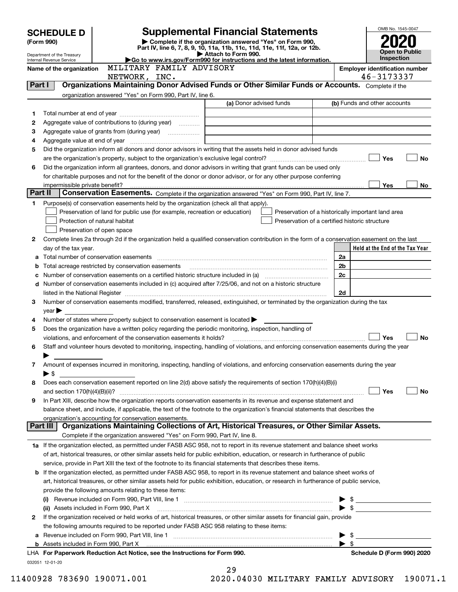|         | <b>SCHEDULE D</b>                                      |                                                                                                                                                                                                                                |                          | <b>Supplemental Financial Statements</b>                                                                                             |                                                    |                          | OMB No. 1545-0047                     |     |
|---------|--------------------------------------------------------|--------------------------------------------------------------------------------------------------------------------------------------------------------------------------------------------------------------------------------|--------------------------|--------------------------------------------------------------------------------------------------------------------------------------|----------------------------------------------------|--------------------------|---------------------------------------|-----|
|         | (Form 990)                                             |                                                                                                                                                                                                                                |                          | Complete if the organization answered "Yes" on Form 990,<br>Part IV, line 6, 7, 8, 9, 10, 11a, 11b, 11c, 11d, 11e, 11f, 12a, or 12b. |                                                    |                          |                                       |     |
|         | Department of the Treasury<br>Internal Revenue Service |                                                                                                                                                                                                                                |                          | Attach to Form 990.<br>Go to www.irs.gov/Form990 for instructions and the latest information.                                        |                                                    |                          | <b>Open to Public</b><br>Inspection   |     |
|         | Name of the organization                               |                                                                                                                                                                                                                                | MILITARY FAMILY ADVISORY |                                                                                                                                      |                                                    |                          | <b>Employer identification number</b> |     |
|         |                                                        | NETWORK, INC.                                                                                                                                                                                                                  |                          |                                                                                                                                      |                                                    |                          | 46-3173337                            |     |
| Part I  |                                                        | Organizations Maintaining Donor Advised Funds or Other Similar Funds or Accounts. Complete if the                                                                                                                              |                          |                                                                                                                                      |                                                    |                          |                                       |     |
|         |                                                        | organization answered "Yes" on Form 990, Part IV, line 6.                                                                                                                                                                      |                          |                                                                                                                                      |                                                    |                          |                                       |     |
|         |                                                        |                                                                                                                                                                                                                                |                          | (a) Donor advised funds                                                                                                              |                                                    |                          | (b) Funds and other accounts          |     |
| 1<br>2  |                                                        | Aggregate value of contributions to (during year)                                                                                                                                                                              |                          |                                                                                                                                      |                                                    |                          |                                       |     |
| з       |                                                        |                                                                                                                                                                                                                                |                          |                                                                                                                                      |                                                    |                          |                                       |     |
| 4       |                                                        |                                                                                                                                                                                                                                |                          |                                                                                                                                      |                                                    |                          |                                       |     |
| 5       |                                                        | Did the organization inform all donors and donor advisors in writing that the assets held in donor advised funds                                                                                                               |                          |                                                                                                                                      |                                                    |                          |                                       |     |
|         |                                                        |                                                                                                                                                                                                                                |                          |                                                                                                                                      |                                                    |                          | Yes                                   | No  |
| 6       |                                                        | Did the organization inform all grantees, donors, and donor advisors in writing that grant funds can be used only                                                                                                              |                          |                                                                                                                                      |                                                    |                          |                                       |     |
|         |                                                        | for charitable purposes and not for the benefit of the donor or donor advisor, or for any other purpose conferring                                                                                                             |                          |                                                                                                                                      |                                                    |                          |                                       |     |
| Part II |                                                        | Conservation Easements. Complete if the organization answered "Yes" on Form 990, Part IV, line 7.                                                                                                                              |                          |                                                                                                                                      |                                                    |                          | Yes                                   | No. |
| 1       |                                                        | Purpose(s) of conservation easements held by the organization (check all that apply).                                                                                                                                          |                          |                                                                                                                                      |                                                    |                          |                                       |     |
|         |                                                        | Preservation of land for public use (for example, recreation or education)                                                                                                                                                     |                          |                                                                                                                                      | Preservation of a historically important land area |                          |                                       |     |
|         |                                                        | Protection of natural habitat                                                                                                                                                                                                  |                          |                                                                                                                                      | Preservation of a certified historic structure     |                          |                                       |     |
|         |                                                        | Preservation of open space                                                                                                                                                                                                     |                          |                                                                                                                                      |                                                    |                          |                                       |     |
| 2       |                                                        | Complete lines 2a through 2d if the organization held a qualified conservation contribution in the form of a conservation easement on the last                                                                                 |                          |                                                                                                                                      |                                                    |                          |                                       |     |
|         | day of the tax year.                                   |                                                                                                                                                                                                                                |                          |                                                                                                                                      |                                                    |                          | Held at the End of the Tax Year       |     |
| а       |                                                        |                                                                                                                                                                                                                                |                          |                                                                                                                                      |                                                    | 2a                       |                                       |     |
| b       |                                                        | Total acreage restricted by conservation easements                                                                                                                                                                             |                          |                                                                                                                                      |                                                    | 2b                       |                                       |     |
| c       |                                                        |                                                                                                                                                                                                                                |                          |                                                                                                                                      |                                                    | 2c                       |                                       |     |
| d       |                                                        | Number of conservation easements included in (c) acquired after 7/25/06, and not on a historic structure                                                                                                                       |                          |                                                                                                                                      |                                                    |                          |                                       |     |
|         |                                                        | listed in the National Register [1,1,2000] [1,2000] [1,2000] [1,2000] [1,2000] [1,2000] [1,2000] [1,2000] [1,2000] [1,2000] [1,2000] [1,2000] [1,2000] [1,2000] [1,2000] [1,2000] [1,2000] [1,2000] [1,2000] [1,2000] [1,2000] |                          |                                                                                                                                      |                                                    | 2d                       |                                       |     |
| 3       | $\mathsf{year}$                                        | Number of conservation easements modified, transferred, released, extinguished, or terminated by the organization during the tax                                                                                               |                          |                                                                                                                                      |                                                    |                          |                                       |     |
| 4       |                                                        | Number of states where property subject to conservation easement is located $\blacktriangleright$                                                                                                                              |                          |                                                                                                                                      |                                                    |                          |                                       |     |
| 5       |                                                        | Does the organization have a written policy regarding the periodic monitoring, inspection, handling of                                                                                                                         |                          |                                                                                                                                      |                                                    |                          |                                       |     |
|         |                                                        | violations, and enforcement of the conservation easements it holds?                                                                                                                                                            |                          |                                                                                                                                      |                                                    |                          | Yes                                   | No  |
| 6       |                                                        | Staff and volunteer hours devoted to monitoring, inspecting, handling of violations, and enforcing conservation easements during the year                                                                                      |                          |                                                                                                                                      |                                                    |                          |                                       |     |
|         |                                                        |                                                                                                                                                                                                                                |                          |                                                                                                                                      |                                                    |                          |                                       |     |
| 7       |                                                        | Amount of expenses incurred in monitoring, inspecting, handling of violations, and enforcing conservation easements during the year                                                                                            |                          |                                                                                                                                      |                                                    |                          |                                       |     |
|         | $\blacktriangleright$ \$                               |                                                                                                                                                                                                                                |                          |                                                                                                                                      |                                                    |                          |                                       |     |
| 8       |                                                        | Does each conservation easement reported on line 2(d) above satisfy the requirements of section 170(h)(4)(B)(i)                                                                                                                |                          |                                                                                                                                      |                                                    |                          |                                       |     |
| 9       |                                                        | In Part XIII, describe how the organization reports conservation easements in its revenue and expense statement and                                                                                                            |                          |                                                                                                                                      |                                                    |                          | Yes                                   | No  |
|         |                                                        | balance sheet, and include, if applicable, the text of the footnote to the organization's financial statements that describes the                                                                                              |                          |                                                                                                                                      |                                                    |                          |                                       |     |
|         |                                                        | organization's accounting for conservation easements.                                                                                                                                                                          |                          |                                                                                                                                      |                                                    |                          |                                       |     |
|         | Part III                                               | Organizations Maintaining Collections of Art, Historical Treasures, or Other Similar Assets.                                                                                                                                   |                          |                                                                                                                                      |                                                    |                          |                                       |     |
|         |                                                        | Complete if the organization answered "Yes" on Form 990, Part IV, line 8.                                                                                                                                                      |                          |                                                                                                                                      |                                                    |                          |                                       |     |
|         |                                                        | 1a If the organization elected, as permitted under FASB ASC 958, not to report in its revenue statement and balance sheet works                                                                                                |                          |                                                                                                                                      |                                                    |                          |                                       |     |
|         |                                                        | of art, historical treasures, or other similar assets held for public exhibition, education, or research in furtherance of public                                                                                              |                          |                                                                                                                                      |                                                    |                          |                                       |     |
|         |                                                        | service, provide in Part XIII the text of the footnote to its financial statements that describes these items.                                                                                                                 |                          |                                                                                                                                      |                                                    |                          |                                       |     |
| b       |                                                        | If the organization elected, as permitted under FASB ASC 958, to report in its revenue statement and balance sheet works of                                                                                                    |                          |                                                                                                                                      |                                                    |                          |                                       |     |
|         |                                                        | art, historical treasures, or other similar assets held for public exhibition, education, or research in furtherance of public service,                                                                                        |                          |                                                                                                                                      |                                                    |                          |                                       |     |
|         |                                                        | provide the following amounts relating to these items:                                                                                                                                                                         |                          |                                                                                                                                      |                                                    |                          |                                       |     |
|         |                                                        | (ii) Assets included in Form 990, Part X                                                                                                                                                                                       |                          |                                                                                                                                      |                                                    | $\blacktriangleright$ \$ |                                       |     |
| 2       |                                                        | If the organization received or held works of art, historical treasures, or other similar assets for financial gain, provide                                                                                                   |                          |                                                                                                                                      |                                                    |                          |                                       |     |
|         |                                                        | the following amounts required to be reported under FASB ASC 958 relating to these items:                                                                                                                                      |                          |                                                                                                                                      |                                                    |                          |                                       |     |
| a       |                                                        |                                                                                                                                                                                                                                |                          |                                                                                                                                      |                                                    | - \$                     |                                       |     |
|         |                                                        |                                                                                                                                                                                                                                |                          |                                                                                                                                      |                                                    | $\blacktriangleright$ s  |                                       |     |
|         |                                                        | LHA For Paperwork Reduction Act Notice, see the Instructions for Form 990.                                                                                                                                                     |                          |                                                                                                                                      |                                                    |                          | Schedule D (Form 990) 2020            |     |
|         | 032051 12-01-20                                        |                                                                                                                                                                                                                                |                          | 29                                                                                                                                   |                                                    |                          |                                       |     |

| - - |                      |  |
|-----|----------------------|--|
|     | 0.04030 MTLTTARY FAI |  |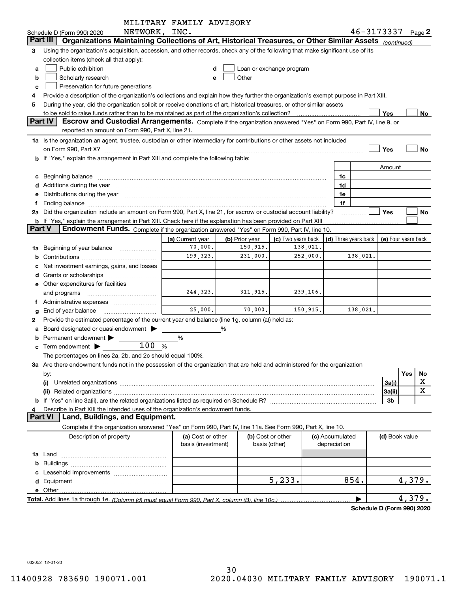|               |                                                                                                                                                                                                                                | MILITARY FAMILY ADVISORY |                |                                                                                                                                                                                                                                |                                            |          |                |                       |
|---------------|--------------------------------------------------------------------------------------------------------------------------------------------------------------------------------------------------------------------------------|--------------------------|----------------|--------------------------------------------------------------------------------------------------------------------------------------------------------------------------------------------------------------------------------|--------------------------------------------|----------|----------------|-----------------------|
|               | NETWORK, INC.<br>Schedule D (Form 990) 2020                                                                                                                                                                                    |                          |                |                                                                                                                                                                                                                                |                                            |          |                | $46 - 3173337$ Page 2 |
|               | Organizations Maintaining Collections of Art, Historical Treasures, or Other Similar Assets (continued)<br>Part III                                                                                                            |                          |                |                                                                                                                                                                                                                                |                                            |          |                |                       |
| З             | Using the organization's acquisition, accession, and other records, check any of the following that make significant use of its                                                                                                |                          |                |                                                                                                                                                                                                                                |                                            |          |                |                       |
|               | collection items (check all that apply):                                                                                                                                                                                       |                          |                |                                                                                                                                                                                                                                |                                            |          |                |                       |
| a             | Public exhibition                                                                                                                                                                                                              |                          |                | Loan or exchange program                                                                                                                                                                                                       |                                            |          |                |                       |
| b             | Scholarly research                                                                                                                                                                                                             | е                        |                | Other and the control of the control of the control of the control of the control of the control of the control of the control of the control of the control of the control of the control of the control of the control of th |                                            |          |                |                       |
| c             | Preservation for future generations                                                                                                                                                                                            |                          |                |                                                                                                                                                                                                                                |                                            |          |                |                       |
|               | Provide a description of the organization's collections and explain how they further the organization's exempt purpose in Part XIII.                                                                                           |                          |                |                                                                                                                                                                                                                                |                                            |          |                |                       |
| 5             | During the year, did the organization solicit or receive donations of art, historical treasures, or other similar assets                                                                                                       |                          |                |                                                                                                                                                                                                                                |                                            |          |                |                       |
|               | to be sold to raise funds rather than to be maintained as part of the organization's collection?                                                                                                                               |                          |                |                                                                                                                                                                                                                                |                                            |          | Yes            | No                    |
|               | Part IV<br>Escrow and Custodial Arrangements. Complete if the organization answered "Yes" on Form 990, Part IV, line 9, or                                                                                                     |                          |                |                                                                                                                                                                                                                                |                                            |          |                |                       |
|               | reported an amount on Form 990, Part X, line 21.                                                                                                                                                                               |                          |                |                                                                                                                                                                                                                                |                                            |          |                |                       |
|               | 1a Is the organization an agent, trustee, custodian or other intermediary for contributions or other assets not included                                                                                                       |                          |                |                                                                                                                                                                                                                                |                                            |          |                |                       |
|               |                                                                                                                                                                                                                                |                          |                |                                                                                                                                                                                                                                |                                            |          | Yes            | No                    |
|               | b If "Yes," explain the arrangement in Part XIII and complete the following table:                                                                                                                                             |                          |                |                                                                                                                                                                                                                                |                                            |          |                |                       |
|               |                                                                                                                                                                                                                                |                          |                |                                                                                                                                                                                                                                |                                            |          | Amount         |                       |
|               | c Beginning balance measurements and the contract of the contract of the contract of the contract of the contract of the contract of the contract of the contract of the contract of the contract of the contract of the contr |                          |                |                                                                                                                                                                                                                                | 1c                                         |          |                |                       |
|               |                                                                                                                                                                                                                                |                          |                |                                                                                                                                                                                                                                | 1d                                         |          |                |                       |
|               | Distributions during the year manufactured and continuum and continuum and continuum and continuum and continuum                                                                                                               |                          |                |                                                                                                                                                                                                                                | 1e                                         |          |                |                       |
|               | Ending balance manufactured and contract and contract and contract and contract and contract and contract and                                                                                                                  |                          |                |                                                                                                                                                                                                                                | 1f                                         |          |                |                       |
|               | 2a Did the organization include an amount on Form 990, Part X, line 21, for escrow or custodial account liability?                                                                                                             |                          |                |                                                                                                                                                                                                                                |                                            |          | Yes            | No                    |
| <b>Part V</b> | <b>b</b> If "Yes," explain the arrangement in Part XIII. Check here if the explanation has been provided on Part XIII                                                                                                          |                          |                |                                                                                                                                                                                                                                |                                            |          |                |                       |
|               | Endowment Funds. Complete if the organization answered "Yes" on Form 990, Part IV, line 10.                                                                                                                                    |                          |                |                                                                                                                                                                                                                                |                                            |          |                |                       |
|               |                                                                                                                                                                                                                                | (a) Current year         | (b) Prior year | (c) Two years back                                                                                                                                                                                                             | (d) Three years back   (e) Four years back |          |                |                       |
| 1a            | Beginning of year balance                                                                                                                                                                                                      | 70,000.<br>199,323.      | 150,915.       | 138,021.<br>252,000.                                                                                                                                                                                                           |                                            |          |                |                       |
|               |                                                                                                                                                                                                                                |                          | 231,000.       |                                                                                                                                                                                                                                |                                            | 138,021. |                |                       |
|               | Net investment earnings, gains, and losses                                                                                                                                                                                     |                          |                |                                                                                                                                                                                                                                |                                            |          |                |                       |
|               |                                                                                                                                                                                                                                |                          |                |                                                                                                                                                                                                                                |                                            |          |                |                       |
|               | e Other expenditures for facilities                                                                                                                                                                                            |                          | 311, 915.      |                                                                                                                                                                                                                                |                                            |          |                |                       |
|               | and programs                                                                                                                                                                                                                   | 244, 323.                |                | 239,106.                                                                                                                                                                                                                       |                                            |          |                |                       |
|               |                                                                                                                                                                                                                                | 25,000.                  | 70,000.        | 150,915.                                                                                                                                                                                                                       |                                            | 138,021. |                |                       |
|               | End of year balance                                                                                                                                                                                                            |                          |                |                                                                                                                                                                                                                                |                                            |          |                |                       |
| 2             | Provide the estimated percentage of the current year end balance (line 1g, column (a)) held as:                                                                                                                                |                          |                |                                                                                                                                                                                                                                |                                            |          |                |                       |
|               | Board designated or quasi-endowment                                                                                                                                                                                            | %                        | %              |                                                                                                                                                                                                                                |                                            |          |                |                       |
|               | Permanent endowment ><br>100 %                                                                                                                                                                                                 |                          |                |                                                                                                                                                                                                                                |                                            |          |                |                       |
|               | $\mathbf c$ Term endowment $\blacktriangleright$                                                                                                                                                                               |                          |                |                                                                                                                                                                                                                                |                                            |          |                |                       |
|               | The percentages on lines 2a, 2b, and 2c should equal 100%.<br>3a Are there endowment funds not in the possession of the organization that are held and administered for the organization                                       |                          |                |                                                                                                                                                                                                                                |                                            |          |                |                       |
|               |                                                                                                                                                                                                                                |                          |                |                                                                                                                                                                                                                                |                                            |          |                | Yes                   |
|               | by:<br>(i)                                                                                                                                                                                                                     |                          |                |                                                                                                                                                                                                                                |                                            |          | 3a(i)          | No<br>X               |
|               |                                                                                                                                                                                                                                |                          |                |                                                                                                                                                                                                                                |                                            |          | 3a(ii)         | $\mathbf X$           |
|               |                                                                                                                                                                                                                                |                          |                |                                                                                                                                                                                                                                |                                            |          | 3b             |                       |
|               | Describe in Part XIII the intended uses of the organization's endowment funds.                                                                                                                                                 |                          |                |                                                                                                                                                                                                                                |                                            |          |                |                       |
|               | Land, Buildings, and Equipment.<br><b>Part VI</b>                                                                                                                                                                              |                          |                |                                                                                                                                                                                                                                |                                            |          |                |                       |
|               | Complete if the organization answered "Yes" on Form 990, Part IV, line 11a. See Form 990, Part X, line 10.                                                                                                                     |                          |                |                                                                                                                                                                                                                                |                                            |          |                |                       |
|               | Description of property                                                                                                                                                                                                        | (a) Cost or other        |                | (b) Cost or other                                                                                                                                                                                                              | (c) Accumulated                            |          |                |                       |
|               |                                                                                                                                                                                                                                | basis (investment)       |                | basis (other)                                                                                                                                                                                                                  | depreciation                               |          | (d) Book value |                       |
|               |                                                                                                                                                                                                                                |                          |                |                                                                                                                                                                                                                                |                                            |          |                |                       |
|               |                                                                                                                                                                                                                                |                          |                |                                                                                                                                                                                                                                |                                            |          |                |                       |
|               |                                                                                                                                                                                                                                |                          |                |                                                                                                                                                                                                                                |                                            |          |                |                       |
|               |                                                                                                                                                                                                                                |                          |                | 5, 233.                                                                                                                                                                                                                        | 854.                                       |          |                | 4,379.                |
|               |                                                                                                                                                                                                                                |                          |                |                                                                                                                                                                                                                                |                                            |          |                |                       |
|               |                                                                                                                                                                                                                                |                          |                |                                                                                                                                                                                                                                |                                            |          |                | 4,379.                |
|               |                                                                                                                                                                                                                                |                          |                |                                                                                                                                                                                                                                |                                            |          |                |                       |

**Schedule D (Form 990) 2020**

032052 12-01-20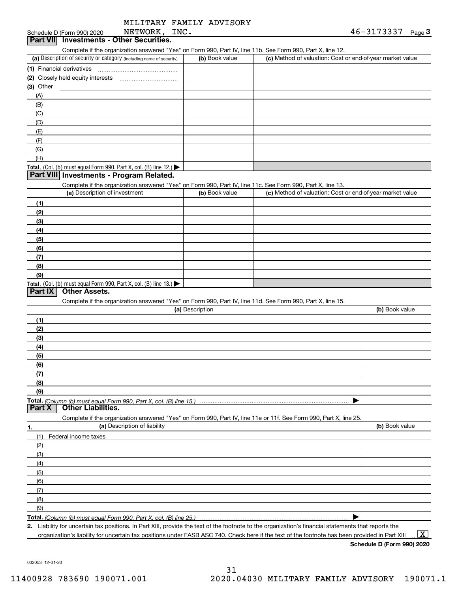| MILITARY FAMILY ADVISORY |  |
|--------------------------|--|
|--------------------------|--|

#### Schedule D (Form 990) 2020 NETWORK, INC **Part VII Investments - Other Securities.**

Complete if the organization answered "Yes" on Form 990, Part IV, line 11b. See Form 990, Part X, line 12.

| (a) Description of security or category (including name of security)                   | (b) Book value | (c) Method of valuation: Cost or end-of-year market value |
|----------------------------------------------------------------------------------------|----------------|-----------------------------------------------------------|
| (1) Financial derivatives                                                              |                |                                                           |
| (2) Closely held equity interests                                                      |                |                                                           |
| (3) Other                                                                              |                |                                                           |
| (A)                                                                                    |                |                                                           |
| (B)                                                                                    |                |                                                           |
| (C)                                                                                    |                |                                                           |
| (D)                                                                                    |                |                                                           |
| (E)                                                                                    |                |                                                           |
| (F)                                                                                    |                |                                                           |
| (G)                                                                                    |                |                                                           |
| (H)                                                                                    |                |                                                           |
| Total. (Col. (b) must equal Form 990, Part X, col. (B) line 12.) $\blacktriangleright$ |                |                                                           |

#### **Part VIII Investments - Program Related.**

Complete if the organization answered "Yes" on Form 990, Part IV, line 11c. See Form 990, Part X, line 13.

| (a) Description of investment                                                                 | (b) Book value | (c) Method of valuation: Cost or end-of-year market value |
|-----------------------------------------------------------------------------------------------|----------------|-----------------------------------------------------------|
| (1)                                                                                           |                |                                                           |
| (2)                                                                                           |                |                                                           |
| $\frac{1}{2}$                                                                                 |                |                                                           |
| (4)                                                                                           |                |                                                           |
| (5)                                                                                           |                |                                                           |
| (6)                                                                                           |                |                                                           |
| (7)                                                                                           |                |                                                           |
| (8)                                                                                           |                |                                                           |
| (9)                                                                                           |                |                                                           |
| <b>Total.</b> (Col. (b) must equal Form 990, Part X, col. (B) line 13.) $\blacktriangleright$ |                |                                                           |

### **Part IX Other Assets.**

Complete if the organization answered "Yes" on Form 990, Part IV, line 11d. See Form 990, Part X, line 15.

| (a) Description                                                                                                   | (b) Book value |
|-------------------------------------------------------------------------------------------------------------------|----------------|
| (1)                                                                                                               |                |
| (2)                                                                                                               |                |
| $\frac{1}{2}$                                                                                                     |                |
| (4)                                                                                                               |                |
| (5)                                                                                                               |                |
| (6)                                                                                                               |                |
|                                                                                                                   |                |
| (8)                                                                                                               |                |
| (9)                                                                                                               |                |
|                                                                                                                   |                |
| <b>Part X</b><br><b>Other Liabilities.</b>                                                                        |                |
| Complete if the organization answered "Yes" on Form 990, Part IV, line 11e or 11f. See Form 990, Part X, line 25. |                |

**1.(a)** Description of liability **Book value** Book value Book value Book value Book value (1)Federal income taxes (2)(3)(4)(5) (6)(7)(8)(9) $\blacktriangleright$ 

**Total.**  *(Column (b) must equal Form 990, Part X, col. (B) line 25.)* 

**2.**Liability for uncertain tax positions. In Part XIII, provide the text of the footnote to the organization's financial statements that reports the organization's liability for uncertain tax positions under FASB ASC 740. Check here if the text of the footnote has been provided in Part XIII

**Schedule D (Form 990) 2020**

 $\boxed{\text{X}}$ 

032053 12-01-20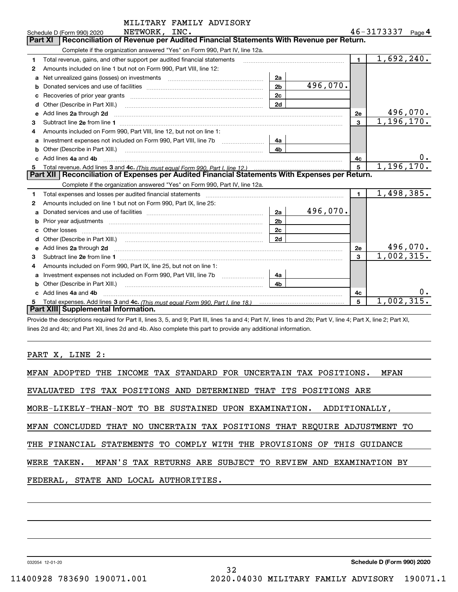|    | MILITARY FAMILY ADVISORY                                                                                                                                                                                                             |                |          |                         |                   |
|----|--------------------------------------------------------------------------------------------------------------------------------------------------------------------------------------------------------------------------------------|----------------|----------|-------------------------|-------------------|
|    | NETWORK, INC.<br>Schedule D (Form 990) 2020                                                                                                                                                                                          |                |          |                         | 46-3173337 Page 4 |
|    | Reconciliation of Revenue per Audited Financial Statements With Revenue per Return.<br>Part XI                                                                                                                                       |                |          |                         |                   |
|    | Complete if the organization answered "Yes" on Form 990, Part IV, line 12a.                                                                                                                                                          |                |          |                         |                   |
| 1  | Total revenue, gains, and other support per audited financial statements                                                                                                                                                             |                |          | $\blacksquare$          | 1,692,240.        |
| 2  | Amounts included on line 1 but not on Form 990, Part VIII, line 12:                                                                                                                                                                  |                |          |                         |                   |
| a  | Net unrealized gains (losses) on investments [11] matter than the unrealized gains (losses) on investments [11                                                                                                                       | 2a             |          |                         |                   |
| b  |                                                                                                                                                                                                                                      | 2 <sub>b</sub> | 496,070. |                         |                   |
|    |                                                                                                                                                                                                                                      | 2c             |          |                         |                   |
|    | Other (Describe in Part XIII.) [100] [100] [100] [100] [100] [100] [100] [100] [100] [100] [100] [100] [100] [                                                                                                                       | 2d             |          |                         |                   |
| е  | Add lines 2a through 2d                                                                                                                                                                                                              |                |          | 2е                      | 496,070.          |
| 3  |                                                                                                                                                                                                                                      |                |          | $\overline{\mathbf{3}}$ | 1,196,170.        |
| 4  | Amounts included on Form 990, Part VIII, line 12, but not on line 1:                                                                                                                                                                 |                |          |                         |                   |
| a  |                                                                                                                                                                                                                                      | 4a             |          |                         |                   |
| b  |                                                                                                                                                                                                                                      | 4 <sub>b</sub> |          |                         |                   |
| C. | Add lines 4a and 4b                                                                                                                                                                                                                  |                |          | 4с                      | υ.                |
|    |                                                                                                                                                                                                                                      |                |          | 5                       | 1,196,170.        |
|    | Part XII   Reconciliation of Expenses per Audited Financial Statements With Expenses per Return.                                                                                                                                     |                |          |                         |                   |
|    | Complete if the organization answered "Yes" on Form 990, Part IV, line 12a.                                                                                                                                                          |                |          |                         |                   |
| 1  | Total expenses and losses per audited financial statements                                                                                                                                                                           |                |          | $\blacksquare$          | 1,498,385.        |
| 2  | Amounts included on line 1 but not on Form 990, Part IX, line 25:                                                                                                                                                                    |                |          |                         |                   |
| а  |                                                                                                                                                                                                                                      | 2a             | 496,070. |                         |                   |
| b  |                                                                                                                                                                                                                                      | 2 <sub>b</sub> |          |                         |                   |
|    | Other losses                                                                                                                                                                                                                         | 2c             |          |                         |                   |
|    |                                                                                                                                                                                                                                      | 2d             |          |                         |                   |
| е  | Add lines 2a through 2d <b>continuum continuum contract and all algebra 2</b> d through 2d continuum continuum contract and all algebra 2d continuum contract and all algebra 2d continuum contract and algebra 2d continuum contrac |                |          | 2e                      | 496,070.          |
| 3  |                                                                                                                                                                                                                                      |                |          | 3                       | 1,002,315.        |
| 4  | Amounts included on Form 990, Part IX, line 25, but not on line 1:                                                                                                                                                                   |                |          |                         |                   |
|    |                                                                                                                                                                                                                                      | 4a             |          |                         |                   |
| b  |                                                                                                                                                                                                                                      | 4 <sub>h</sub> |          |                         |                   |
| C  | Add lines 4a and 4b                                                                                                                                                                                                                  |                |          | 4c                      |                   |
|    | Total expenses. Add lines 3 and 4c. (This must equal Form 990, Part I, line 18.) <b>Conservers</b> manufactured in the                                                                                                               |                |          | 5                       | 1,002,315.        |
|    | Part XIII Supplemental Information.                                                                                                                                                                                                  |                |          |                         |                   |
|    |                                                                                                                                                                                                                                      |                |          |                         |                   |

Provide the descriptions required for Part II, lines 3, 5, and 9; Part III, lines 1a and 4; Part IV, lines 1b and 2b; Part V, line 4; Part X, line 2; Part XI, lines 2d and 4b; and Part XII, lines 2d and 4b. Also complete this part to provide any additional information.

PART X, LINE 2:

| MFAN ADOPTED THE INCOME TAX STANDARD FOR UNCERTAIN TAX POSITIONS.<br><b>MFAN</b> |
|----------------------------------------------------------------------------------|
| EVALUATED ITS TAX POSITIONS AND DETERMINED THAT ITS POSITIONS ARE                |
| MORE-LIKELY-THAN-NOT TO BE SUSTAINED UPON EXAMINATION. ADDITIONALLY,             |
| MFAN CONCLUDED THAT NO UNCERTAIN TAX POSITIONS THAT REOUIRE ADJUSTMENT TO        |
| THE FINANCIAL STATEMENTS TO COMPLY WITH THE PROVISIONS OF THIS GUIDANCE          |
| WERE TAKEN.  MFAN'S TAX RETURNS ARE SUBJECT TO REVIEW AND EXAMINATION BY         |
| FEDERAL, STATE AND LOCAL AUTHORITIES.                                            |
|                                                                                  |

32

032054 12-01-20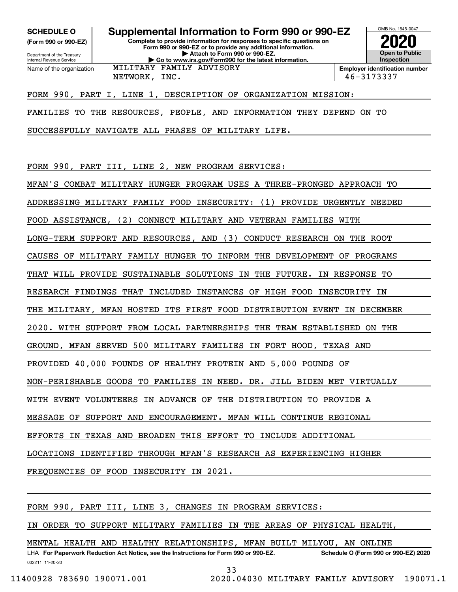**(Form 990 or 990-EZ)**

Department of the Treasury Internal Revenue Service Name of the organization

**Complete to provide information for responses to specific questions on Form 990 or 990-EZ or to provide any additional information. | Attach to Form 990 or 990-EZ. | Go to www.irs.gov/Form990 for the latest information. SCHEDULE O Supplemental Information to Form 990 or 990-EZ**



NETWORK, INC. 46-3173337

FORM 990, PART I, LINE 1, DESCRIPTION OF ORGANIZATION MISSION:

MILITARY FAMILY ADVISORY

FAMILIES TO THE RESOURCES, PEOPLE, AND INFORMATION THEY DEPEND ON TO

SUCCESSFULLY NAVIGATE ALL PHASES OF MILITARY LIFE.

FORM 990, PART III, LINE 2, NEW PROGRAM SERVICES:

MFAN'S COMBAT MILITARY HUNGER PROGRAM USES A THREE-PRONGED APPROACH TO

ADDRESSING MILITARY FAMILY FOOD INSECURITY: (1) PROVIDE URGENTLY NEEDED

FOOD ASSISTANCE, (2) CONNECT MILITARY AND VETERAN FAMILIES WITH

LONG-TERM SUPPORT AND RESOURCES, AND (3) CONDUCT RESEARCH ON THE ROOT

CAUSES OF MILITARY FAMILY HUNGER TO INFORM THE DEVELOPMENT OF PROGRAMS

THAT WILL PROVIDE SUSTAINABLE SOLUTIONS IN THE FUTURE. IN RESPONSE TO

RESEARCH FINDINGS THAT INCLUDED INSTANCES OF HIGH FOOD INSECURITY IN

THE MILITARY, MFAN HOSTED ITS FIRST FOOD DISTRIBUTION EVENT IN DECEMBER

2020. WITH SUPPORT FROM LOCAL PARTNERSHIPS THE TEAM ESTABLISHED ON THE

GROUND, MFAN SERVED 500 MILITARY FAMILIES IN FORT HOOD, TEXAS AND

PROVIDED 40,000 POUNDS OF HEALTHY PROTEIN AND 5,000 POUNDS OF

NON-PERISHABLE GOODS TO FAMILIES IN NEED. DR. JILL BIDEN MET VIRTUALLY

WITH EVENT VOLUNTEERS IN ADVANCE OF THE DISTRIBUTION TO PROVIDE A

MESSAGE OF SUPPORT AND ENCOURAGEMENT. MFAN WILL CONTINUE REGIONAL

EFFORTS IN TEXAS AND BROADEN THIS EFFORT TO INCLUDE ADDITIONAL

LOCATIONS IDENTIFIED THROUGH MFAN'S RESEARCH AS EXPERIENCING HIGHER

FREQUENCIES OF FOOD INSECURITY IN 2021.

FORM 990, PART III, LINE 3, CHANGES IN PROGRAM SERVICES:

IN ORDER TO SUPPORT MILITARY FAMILIES IN THE AREAS OF PHYSICAL HEALTH,

MENTAL HEALTH AND HEALTHY RELATIONSHIPS, MFAN BUILT MILYOU, AN ONLINE

032211 11-20-20 LHA For Paperwork Reduction Act Notice, see the Instructions for Form 990 or 990-EZ. Schedule O (Form 990 or 990-EZ) 2020 33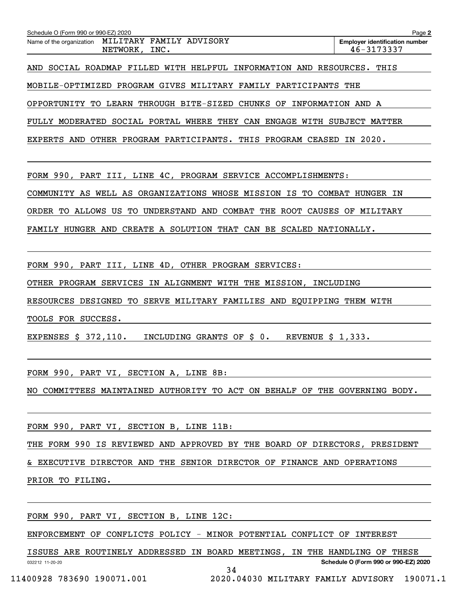|  |  |               | Name of the organization MILITARY FAMILY ADVISORY                      |  |  | <b>Employer identification number</b> |  |
|--|--|---------------|------------------------------------------------------------------------|--|--|---------------------------------------|--|
|  |  | NETWORK, INC. |                                                                        |  |  | 46-3173337                            |  |
|  |  |               |                                                                        |  |  |                                       |  |
|  |  |               | AND SOCIAL ROADMAP FILLED WITH HELPFUL INFORMATION AND RESOURCES. THIS |  |  |                                       |  |
|  |  |               |                                                                        |  |  |                                       |  |
|  |  |               | MOBILE-OPTIMIZED PROGRAM GIVES MILITARY FAMILY PARTICIPANTS THE        |  |  |                                       |  |

OPPORTUNITY TO LEARN THROUGH BITE-SIZED CHUNKS OF INFORMATION AND A

FULLY MODERATED SOCIAL PORTAL WHERE THEY CAN ENGAGE WITH SUBJECT MATTER

EXPERTS AND OTHER PROGRAM PARTICIPANTS. THIS PROGRAM CEASED IN 2020.

FORM 990, PART III, LINE 4C, PROGRAM SERVICE ACCOMPLISHMENTS:

COMMUNITY AS WELL AS ORGANIZATIONS WHOSE MISSION IS TO COMBAT HUNGER IN

ORDER TO ALLOWS US TO UNDERSTAND AND COMBAT THE ROOT CAUSES OF MILITARY

FAMILY HUNGER AND CREATE A SOLUTION THAT CAN BE SCALED NATIONALLY.

FORM 990, PART III, LINE 4D, OTHER PROGRAM SERVICES:

OTHER PROGRAM SERVICES IN ALIGNMENT WITH THE MISSION, INCLUDING

RESOURCES DESIGNED TO SERVE MILITARY FAMILIES AND EQUIPPING THEM WITH

TOOLS FOR SUCCESS.

EXPENSES \$ 372,110. INCLUDING GRANTS OF \$ 0. REVENUE \$ 1,333.

FORM 990, PART VI, SECTION A, LINE 8B:

NO COMMITTEES MAINTAINED AUTHORITY TO ACT ON BEHALF OF THE GOVERNING BODY.

FORM 990, PART VI, SECTION B, LINE 11B:

THE FORM 990 IS REVIEWED AND APPROVED BY THE BOARD OF DIRECTORS, PRESIDENT

& EXECUTIVE DIRECTOR AND THE SENIOR DIRECTOR OF FINANCE AND OPERATIONS

PRIOR TO FILING.

FORM 990, PART VI, SECTION B, LINE 12C:

ENFORCEMENT OF CONFLICTS POLICY - MINOR POTENTIAL CONFLICT OF INTEREST

032212 11-20-20 **Schedule O (Form 990 or 990-EZ) 2020** ISSUES ARE ROUTINELY ADDRESSED IN BOARD MEETINGS, IN THE HANDLING OF THESE 34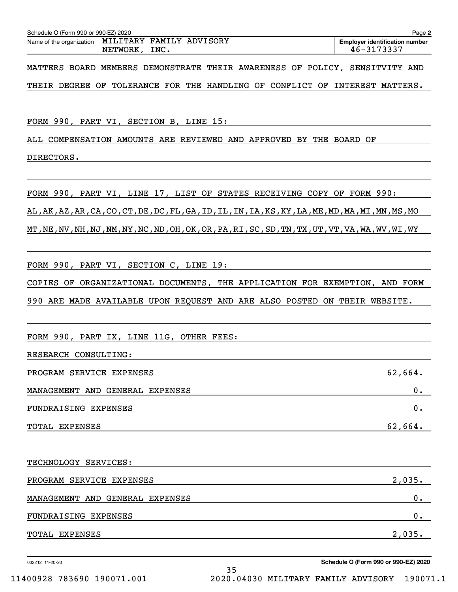| Schedule O (Form 990 or 990-EZ) 2020 | Page 2                                                             |  |  |  |  |  |                                                                             |  |  |
|--------------------------------------|--------------------------------------------------------------------|--|--|--|--|--|-----------------------------------------------------------------------------|--|--|
|                                      | Name of the organization MILITARY FAMILY ADVISORY<br>NETWORK, INC. |  |  |  |  |  | <b>Employer identification number</b><br>46-3173337                         |  |  |
|                                      |                                                                    |  |  |  |  |  | MATTERS BOARD MEMBERS DEMONSTRATE THEIR AWARENESS OF POLICY, SENSITVITY AND |  |  |

THEIR DEGREE OF TOLERANCE FOR THE HANDLING OF CONFLICT OF INTEREST MATTERS.

FORM 990, PART VI, SECTION B, LINE 15:

ALL COMPENSATION AMOUNTS ARE REVIEWED AND APPROVED BY THE BOARD OF

DIRECTORS.

FORM 990, PART VI, LINE 17, LIST OF STATES RECEIVING COPY OF FORM 990: AL,AK,AZ,AR,CA,CO,CT,DE,DC,FL,GA,ID,IL,IN,IA,KS,KY,LA,ME,MD,MA,MI,MN,MS,MO MT,NE,NV,NH,NJ,NM,NY,NC,ND,OH,OK,OR,PA,RI,SC,SD,TN,TX,UT,VT,VA,WA,WV,WI,WY

FORM 990, PART VI, SECTION C, LINE 19:

COPIES OF ORGANIZATIONAL DOCUMENTS, THE APPLICATION FOR EXEMPTION, AND FORM 990 ARE MADE AVAILABLE UPON REQUEST AND ARE ALSO POSTED ON THEIR WEBSITE.

FORM 990, PART IX, LINE 11G, OTHER FEES:

RESEARCH CONSULTING:

| PROGRAM SERVICE EXPENSES        | 62,664. |
|---------------------------------|---------|
| MANAGEMENT AND GENERAL EXPENSES | υ.      |
| FUNDRAISING EXPENSES            | υ.      |
| TOTAL EXPENSES                  | 62,664. |

TECHNOLOGY SERVICES:

| PROGRAM SERVICE EXPENSES        |        |  |  |  |  |  |
|---------------------------------|--------|--|--|--|--|--|
| MANAGEMENT AND GENERAL EXPENSES | υ.     |  |  |  |  |  |
| FUNDRAISING EXPENSES            | υ.     |  |  |  |  |  |
| TOTAL EXPENSES                  | 2,035. |  |  |  |  |  |

35

032212 11-20-20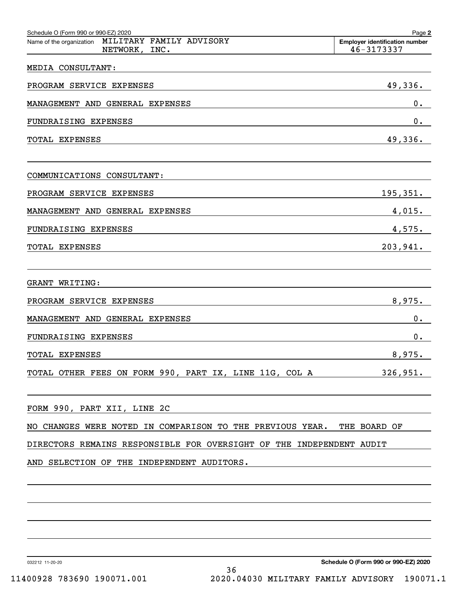| Schedule O (Form 990 or 990-EZ) 2020<br>MILITARY FAMILY ADVISORY<br>Name of the organization<br>NETWORK, INC. | Page 2<br><b>Employer identification number</b><br>46-3173337 |
|---------------------------------------------------------------------------------------------------------------|---------------------------------------------------------------|
| MEDIA CONSULTANT:                                                                                             |                                                               |
| PROGRAM SERVICE EXPENSES                                                                                      | 49, 336.                                                      |
| MANAGEMENT AND GENERAL EXPENSES                                                                               | $0$ .                                                         |
| FUNDRAISING EXPENSES                                                                                          | 0.                                                            |
| TOTAL EXPENSES                                                                                                | 49,336.                                                       |
| COMMUNICATIONS CONSULTANT:                                                                                    |                                                               |
| PROGRAM SERVICE EXPENSES                                                                                      | 195, 351.                                                     |
| MANAGEMENT AND GENERAL EXPENSES                                                                               | 4,015.                                                        |
| FUNDRAISING EXPENSES                                                                                          | 4,575.                                                        |
| TOTAL EXPENSES                                                                                                | 203,941.                                                      |
|                                                                                                               |                                                               |
| GRANT WRITING:                                                                                                |                                                               |
| PROGRAM SERVICE EXPENSES                                                                                      | 8,975.                                                        |
| MANAGEMENT AND GENERAL EXPENSES                                                                               | $0$ .                                                         |
| FUNDRAISING EXPENSES                                                                                          | 0.                                                            |
| TOTAL EXPENSES                                                                                                | 8,975.                                                        |
| TOTAL OTHER FEES ON FORM 990, PART IX, LINE 11G, COL A                                                        | 326,951.                                                      |
| FORM 990, PART XII, LINE 2C                                                                                   |                                                               |
| NO CHANGES WERE NOTED IN COMPARISON TO THE PREVIOUS YEAR.                                                     | THE BOARD OF                                                  |
| DIRECTORS REMAINS RESPONSIBLE FOR OVERSIGHT OF THE INDEPENDENT AUDIT                                          |                                                               |
| AND SELECTION OF THE INDEPENDENT AUDITORS.                                                                    |                                                               |
|                                                                                                               |                                                               |
|                                                                                                               |                                                               |
|                                                                                                               |                                                               |
|                                                                                                               |                                                               |
| 032212 11-20-20<br>36                                                                                         | Schedule O (Form 990 or 990-EZ) 2020                          |